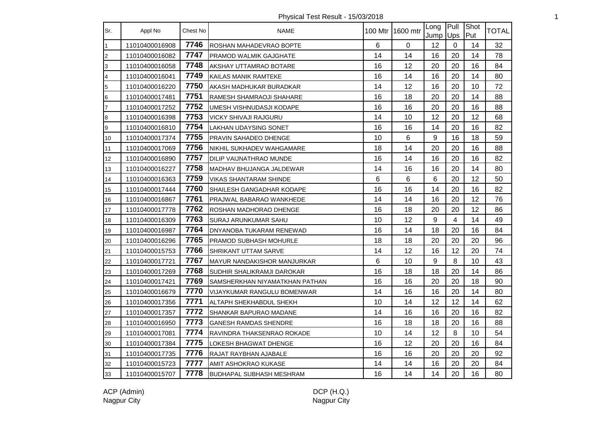Physical Test Result - 15/03/2018 1

| Sr.                     | Appl No        | Chest No | NAME                               |    | 100 Mtr 1600 mtr | Long<br>Jump Ups | Pull           | Shot<br>Put | <b>TOTAL</b> |
|-------------------------|----------------|----------|------------------------------------|----|------------------|------------------|----------------|-------------|--------------|
| $\mathbf{1}$            | 11010400016908 | 7746     | ROSHAN MAHADEVRAO BOPTE            | 6  | $\mathbf 0$      | 12               | $\mathbf 0$    | 14          | 32           |
| $\overline{c}$          | 11010400016082 | 7747     | PRAMOD WALMIK GAJGHATE             | 14 | 14               | 16               | 20             | 14          | 78           |
| $\overline{3}$          | 11010400016058 | 7748     | AKSHAY UTTAMRAO BOTARE             | 16 | 12               | 20               | 20             | 16          | 84           |
| $\overline{\mathbf{4}}$ | 11010400016041 | 7749     | KAILAS MANIK RAMTEKE               | 16 | 14               | 16               | 20             | 14          | 80           |
| $\overline{5}$          | 11010400016220 | 7750     | AKASH MADHUKAR BURADKAR            | 14 | 12               | 16               | 20             | 10          | 72           |
| $6\phantom{.}6$         | 11010400017481 | 7751     | RAMESH SHAMRAOJI SHAHARE           | 16 | 18               | 20               | 20             | 14          | 88           |
| $\overline{7}$          | 11010400017252 | 7752     | UMESH VISHNUDASJI KODAPE           | 16 | 16               | 20               | 20             | 16          | 88           |
| $\bf{8}$                | 11010400016398 | 7753     | VICKY SHIVAJI RAJGURU              | 14 | 10               | 12               | 20             | 12          | 68           |
| 9                       | 11010400016810 | 7754     | LAKHAN UDAYSING SONET              | 16 | 16               | 14               | 20             | 16          | 82           |
| 10                      | 11010400017374 | 7755     | PRAVIN SAHADEO DHENGE              | 10 | 6                | 9                | 16             | 18          | 59           |
| 11                      | 11010400017069 | 7756     | NIKHIL SUKHADEV WAHGAMARE          | 18 | 14               | 20               | 20             | 16          | 88           |
| 12                      | 11010400016890 | 7757     | DILIP VAIJNATHRAO MUNDE            | 16 | 14               | 16               | 20             | 16          | 82           |
| 13                      | 11010400016227 | 7758     | MADHAV BHUJANGA JALDEWAR           | 14 | 16               | 16               | 20             | 14          | 80           |
| 14                      | 11010400016363 | 7759     | <b>VIKAS SHANTARAM SHINDE</b>      | 6  | $\,6\,$          | 6                | 20             | 12          | 50           |
| 15                      | 11010400017444 | 7760     | SHAILESH GANGADHAR KODAPE          | 16 | 16               | 14               | 20             | 16          | 82           |
| 16                      | 11010400016867 | 7761     | PRAJWAL BABARAO WANKHEDE           | 14 | 14               | 16               | 20             | 12          | 76           |
| 17                      | 11010400017778 | 7762     | ROSHAN MADHORAO DHENGE             | 16 | 18               | 20               | 20             | 12          | 86           |
| 18                      | 11010400016309 | 7763     | SURAJ ARUNKUMAR SAHU               | 10 | 12               | 9                | $\overline{4}$ | 14          | 49           |
| 19                      | 11010400016987 | 7764     | DNYANOBA TUKARAM RENEWAD           | 16 | 14               | 18               | 20             | 16          | 84           |
| 20                      | 11010400016296 | 7765     | <b>PRAMOD SUBHASH MOHURLE</b>      | 18 | 18               | 20               | 20             | 20          | 96           |
| 21                      | 11010400015753 | 7766     | <b>SHRIKANT UTTAM SARVE</b>        | 14 | 12               | 16               | 12             | 20          | 74           |
| 22                      | 11010400017721 | 7767     | <b>MAYUR NANDAKISHOR MANJURKAR</b> | 6  | 10               | 9                | 8              | 10          | 43           |
| 23                      | 11010400017269 | 7768     | SUDHIR SHALIKRAMJI DAROKAR         | 16 | 18               | 18               | 20             | 14          | 86           |
| 24                      | 11010400017421 | 7769     | SAMSHERKHAN NIYAMATKHAN PATHAN     | 16 | 16               | 20               | 20             | 18          | 90           |
| 25                      | 11010400016679 | 7770     | VIJAYKUMAR RANGULU BOMENWAR        | 14 | 16               | 16               | 20             | 14          | 80           |
| 26                      | 11010400017356 | 7771     | ALTAPH SHEKHABDUL SHEKH            | 10 | 14               | 12               | 12             | 14          | 62           |
| 27                      | 11010400017357 | 7772     | SHANKAR BAPURAO MADANE             | 14 | 16               | 16               | 20             | 16          | 82           |
| 28                      | 11010400016950 | 7773     | <b>GANESH RAMDAS SHENDRE</b>       | 16 | 18               | 18               | 20             | 16          | 88           |
| 29                      | 11010400017081 | 7774     | RAVINDRA THAKSENRAO ROKADE         | 10 | 14               | 12               | $\,8\,$        | 10          | 54           |
| 30                      | 11010400017384 | 7775     | LOKESH BHAGWAT DHENGE              | 16 | 12               | 20               | 20             | 16          | 84           |
| 31                      | 11010400017735 | 7776     | RAJAT RAYBHAN AJABALE              | 16 | 16               | 20               | 20             | 20          | 92           |
| 32                      | 11010400015723 | 7777     | <b>AMIT ASHOKRAO KUKASE</b>        | 14 | 14               | 16               | 20             | 20          | 84           |
| 33                      | 11010400015707 | 7778     | <b>BUDHAPAL SUBHASH MESHRAM</b>    | 16 | 14               | 14               | 20             | 16          | 80           |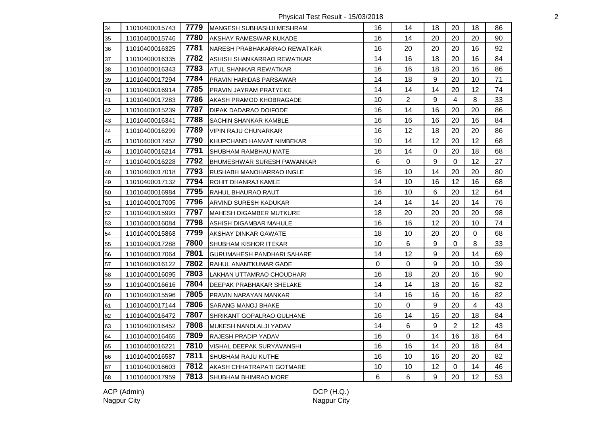Physical Test Result - 15/03/2018 2

| 34 | 11010400015743 | 7779 | MANGESH SUBHASHJI MESHRAM         | 16 | 14             | 18          | 20             | 18 | 86 |
|----|----------------|------|-----------------------------------|----|----------------|-------------|----------------|----|----|
| 35 | 11010400015746 | 7780 | AKSHAY RAMESWAR KUKADE            | 16 | 14             | 20          | 20             | 20 | 90 |
| 36 | 11010400016325 | 7781 | INARESH PRABHAKARRAO REWATKAR     | 16 | 20             | 20          | 20             | 16 | 92 |
| 37 | 11010400016335 | 7782 | ASHISH SHANKARRAO REWATKAR        | 14 | 16             | 18          | 20             | 16 | 84 |
| 38 | 11010400016343 | 7783 | ATUL SHANKAR REWATKAR             | 16 | 16             | 18          | 20             | 16 | 86 |
| 39 | 11010400017294 | 7784 | <b>PRAVIN HARIDAS PARSAWAR</b>    | 14 | 18             | 9           | 20             | 10 | 71 |
| 40 | 11010400016914 | 7785 | PRAVIN JAYRAM PRATYEKE            | 14 | 14             | 14          | 20             | 12 | 74 |
| 41 | 11010400017283 | 7786 | AKASH PRAMOD KHOBRAGADE           | 10 | $\overline{2}$ | 9           | $\overline{4}$ | 8  | 33 |
| 42 | 11010400015239 | 7787 | DIPAK DADARAO DOIFODE             | 16 | 14             | 16          | 20             | 20 | 86 |
| 43 | 11010400016341 | 7788 | SACHIN SHANKAR KAMBLE             | 16 | 16             | 16          | 20             | 16 | 84 |
| 44 | 11010400016299 | 7789 | <b>VIPIN RAJU CHUNARKAR</b>       | 16 | 12             | 18          | 20             | 20 | 86 |
| 45 | 11010400017452 | 7790 | KHUPCHAND HANVAT NIMBEKAR         | 10 | 14             | 12          | 20             | 12 | 68 |
| 46 | 11010400016214 | 7791 | SHUBHAM RAMBHAU MATE              | 16 | 14             | $\mathsf 0$ | 20             | 18 | 68 |
| 47 | 11010400016228 | 7792 | BHUMESHWAR SURESH PAWANKAR        | 6  | $\overline{0}$ | 9           | $\Omega$       | 12 | 27 |
| 48 | 11010400017018 | 7793 | RUSHABH MANOHARRAO INGLE          | 16 | 10             | 14          | 20             | 20 | 80 |
| 49 | 11010400017132 | 7794 | ROHIT DHANRAJ KAMLE               | 14 | 10             | 16          | 12             | 16 | 68 |
| 50 | 11010400016984 | 7795 | RAHUL BHAURAO RAUT                | 16 | 10             | 6           | 20             | 12 | 64 |
| 51 | 11010400017005 | 7796 | <b>ARVIND SURESH KADUKAR</b>      | 14 | 14             | 14          | 20             | 14 | 76 |
| 52 | 11010400015993 | 7797 | MAHESH DIGAMBER MUTKURE           | 18 | 20             | 20          | 20             | 20 | 98 |
| 53 | 11010400016084 | 7798 | ASHISH DIGAMBAR MAHULE            | 16 | 16             | 12          | 20             | 10 | 74 |
| 54 | 11010400015868 | 7799 | <b>AKSHAY DINKAR GAWATE</b>       | 18 | 10             | 20          | 20             | 0  | 68 |
| 55 | 11010400017288 | 7800 | <b>SHUBHAM KISHOR ITEKAR</b>      | 10 | 6              | 9           | $\Omega$       | 8  | 33 |
| 56 | 11010400017064 | 7801 | <b>GURUMAHESH PANDHARI SAHARE</b> | 14 | 12             | 9           | 20             | 14 | 69 |
| 57 | 11010400016122 | 7802 | RAHUL ANANTKUMAR GADE             | 0  | 0              | 9           | 20             | 10 | 39 |
| 58 | 11010400016095 | 7803 | LAKHAN UTTAMRAO CHOUDHARI         | 16 | 18             | 20          | 20             | 16 | 90 |
| 59 | 11010400016616 | 7804 | DEEPAK PRABHAKAR SHELAKE          | 14 | 14             | 18          | 20             | 16 | 82 |
| 60 | 11010400015596 | 7805 | <b>PRAVIN NARAYAN MANKAR</b>      | 14 | 16             | 16          | 20             | 16 | 82 |
| 61 | 11010400017144 | 7806 | <b>SARANG MANOJ BHAKE</b>         | 10 | $\Omega$       | 9           | 20             | 4  | 43 |
| 62 | 11010400016472 | 7807 | SHRIKANT GOPALRAO GULHANE         | 16 | 14             | 16          | 20             | 18 | 84 |
| 63 | 11010400016452 | 7808 | MUKESH NANDLALJI YADAV            | 14 | 6              | 9           | $\overline{2}$ | 12 | 43 |
| 64 | 11010400016465 | 7809 | RAJESH PRADIP YADAV               | 16 | 0              | 14          | 16             | 18 | 64 |
| 65 | 11010400016221 | 7810 | <b>VISHAL DEEPAK SURYAVANSHI</b>  | 16 | 16             | 14          | 20             | 18 | 84 |
| 66 | 11010400016587 | 7811 | <b>SHUBHAM RAJU KUTHE</b>         | 16 | 10             | 16          | 20             | 20 | 82 |
| 67 | 11010400016603 | 7812 | AKASH CHHATRAPATI GOTMARE         | 10 | 10             | 12          | $\mathbf 0$    | 14 | 46 |
| 68 | 11010400017959 | 7813 | <b>SHUBHAM BHIMRAO MORE</b>       | 6  | 6              | 9           | 20             | 12 | 53 |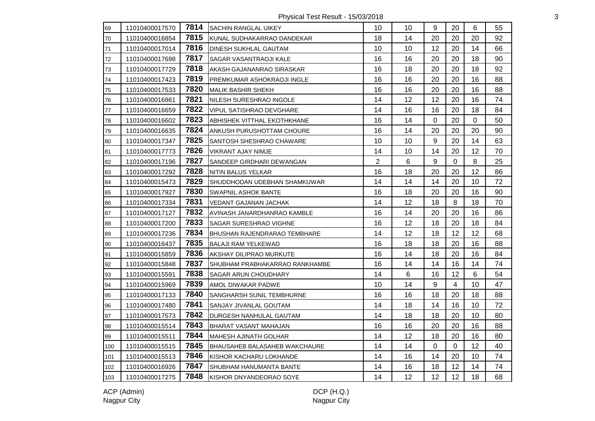Physical Test Result - 15/03/2018 3

| 69  | 11010400017570 | 7814 | <b>SACHIN RANGLAL UIKEY</b>         | 10             | 10 | 9           | 20                      | 6       | 55 |
|-----|----------------|------|-------------------------------------|----------------|----|-------------|-------------------------|---------|----|
| 70  | 11010400016854 | 7815 | KUNAL SUDHAKARRAO DANDEKAR          | 18             | 14 | 20          | 20                      | 20      | 92 |
| 71  | 11010400017014 | 7816 | <b>DINESH SUKHLAL GAUTAM</b>        | 10             | 10 | 12          | 20                      | 14      | 66 |
| 72  | 11010400017698 | 7817 | SAGAR VASANTRAOJI KALE              | 16             | 16 | 20          | 20                      | 18      | 90 |
| 73  | 11010400017729 | 7818 | AKASH GAJANANRAO SIRASKAR           | 16             | 18 | 20          | 20                      | 18      | 92 |
| 74  | 11010400017423 | 7819 | PREMKUMAR ASHOKRAOJI INGLE          | 16             | 16 | 20          | 20                      | 16      | 88 |
| 75  | 11010400017533 | 7820 | <b>MALIK BASHIR SHEKH</b>           | 16             | 16 | 20          | 20                      | 16      | 88 |
| 76  | 11010400016861 | 7821 | NILESH SURESHRAO INGOLE             | 14             | 12 | 12          | 20                      | 16      | 74 |
| 77  | 11010400016659 | 7822 | <b>VIPUL SATISHRAO DEVGHARE</b>     | 14             | 16 | 16          | 20                      | 18      | 84 |
| 78  | 11010400016602 | 7823 | ABHISHEK VITTHAL EKOTHKHANE         | 16             | 14 | $\mathbf 0$ | 20                      | 0       | 50 |
| 79  | 11010400016635 | 7824 | ANKUSH PURUSHOTTAM CHOURE           | 16             | 14 | 20          | 20                      | 20      | 90 |
| 80  | 11010400017347 | 7825 | ISANTOSH SHESHRAO CHAWARE           | 10             | 10 | $9\,$       | 20                      | 14      | 63 |
| 81  | 11010400017773 | 7826 | VIKRANT AJAY NIMJE                  | 14             | 10 | 14          | 20                      | 12      | 70 |
| 82  | 11010400017196 | 7827 | SANDEEP GIRDHARI DEWANGAN           | $\overline{2}$ | 6  | 9           | $\mathbf 0$             | 8       | 25 |
| 83  | 11010400017292 | 7828 | NITIN BALUS YELKAR                  | 16             | 18 | 20          | 20                      | 12      | 86 |
| 84  | 11010400015473 | 7829 | SHUDDHODAN UDEBHAN SHAMKUWAR        | 14             | 14 | 14          | 20                      | 10      | 72 |
| 85  | 11010400017927 | 7830 | SWAPNIL ASHOK BANTE                 | 16             | 18 | 20          | 20                      | 16      | 90 |
| 86  | 11010400017334 | 7831 | <b>VEDANT GAJANAN JACHAK</b>        | 14             | 12 | 18          | 8                       | 18      | 70 |
| 87  | 11010400017127 | 7832 | AVINASH JANARDHANRAO KAMBLE         | 16             | 14 | 20          | 20                      | 16      | 86 |
| 88  | 11010400017200 | 7833 | <b>SAGAR SURESHRAO VIGHNE</b>       | 16             | 12 | 18          | 20                      | 18      | 84 |
| 89  | 11010400017236 | 7834 | <b>BHUSHAN RAJENDRARAO TEMBHARE</b> | 14             | 12 | 18          | 12                      | 12      | 68 |
| 90  | 11010400016437 | 7835 | <b>BALAJI RAM YELKEWAD</b>          | 16             | 18 | 18          | 20                      | 16      | 88 |
| 91  | 11010400015859 | 7836 | <b>AKSHAY DILIPRAO MURKUTE</b>      | 16             | 14 | 18          | 20                      | 16      | 84 |
| 92  | 11010400015848 | 7837 | SHUBHAM PRABHAKARRAO RANKHAMBE      | 16             | 14 | 14          | 16                      | 14      | 74 |
| 93  | 11010400015591 | 7838 | SAGAR ARUN CHOUDHARY                | 14             | 6  | 16          | 12                      | 6       | 54 |
| 94  | 11010400015969 | 7839 | AMOL DIWAKAR PADWE                  | 10             | 14 | 9           | $\overline{\mathbf{4}}$ | 10      | 47 |
| 95  | 11010400017133 | 7840 | <b>SANGHARSH SUNIL TEMBHURNE</b>    | 16             | 16 | 18          | 20                      | 18      | 88 |
| 96  | 11010400017480 | 7841 | <b>SANJAY JIVANLAL GOUTAM</b>       | 14             | 18 | 14          | 16                      | 10      | 72 |
| 97  | 11010400017573 | 7842 | DURGESH NANHULAL GAUTAM             | 14             | 18 | 18          | 20                      | 10      | 80 |
| 98  | 11010400015514 | 7843 | BHARAT VASANT MAHAJAN               | 16             | 16 | 20          | 20                      | 16      | 88 |
| 99  | 11010400015511 | 7844 | <b>MAHESH AJINATH GOLHAR</b>        | 14             | 12 | 18          | 20                      | 16      | 80 |
| 100 | 11010400015515 | 7845 | BHAUSAHEB BALASAHEB WAKCHAURE       | 14             | 14 | $\Omega$    | $\Omega$                | $12 \,$ | 40 |
| 101 | 11010400015513 | 7846 | KISHOR KACHARU LOKHANDE             | 14             | 16 | 14          | 20                      | 10      | 74 |
| 102 | 11010400016926 | 7847 | SHUBHAM HANUMANTA BANTE             | 14             | 16 | 18          | 12                      | 14      | 74 |
| 103 | 11010400017275 | 7848 | KISHOR DNYANDEORAO SOYE             | 14             | 12 | 12          | 12                      | 18      | 68 |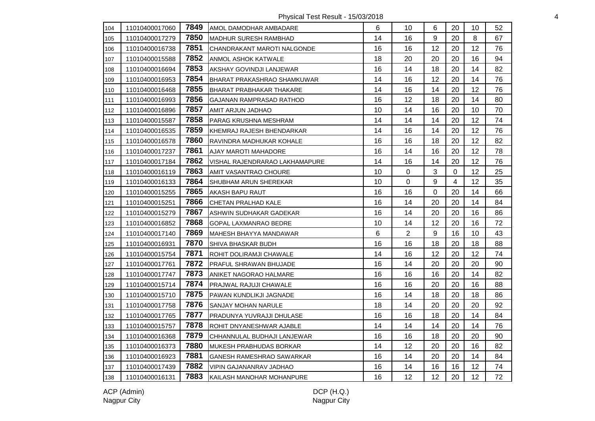Physical Test Result - 15/03/2018 4

| 104 | 11010400017060 | 7849 | AMOL DAMODHAR AMBADARE          | 6  | 10             | 6           | 20             | 10 | 52 |
|-----|----------------|------|---------------------------------|----|----------------|-------------|----------------|----|----|
| 105 | 11010400017279 | 7850 | <b>MADHUR SURESH RAMBHAD</b>    | 14 | 16             | 9           | 20             | 8  | 67 |
| 106 | 11010400016738 | 7851 | CHANDRAKANT MAROTI NALGONDE     | 16 | 16             | 12          | 20             | 12 | 76 |
| 107 | 11010400015588 | 7852 | ANMOL ASHOK KATWALE             | 18 | 20             | 20          | 20             | 16 | 94 |
| 108 | 11010400016694 | 7853 | AKSHAY GOVINDJI LANJEWAR        | 16 | 14             | 18          | 20             | 14 | 82 |
| 109 | 11010400016953 | 7854 | BHARAT PRAKASHRAO SHAMKUWAR     | 14 | 16             | 12          | 20             | 14 | 76 |
| 110 | 11010400016468 | 7855 | <b>BHARAT PRABHAKAR THAKARE</b> | 14 | 16             | 14          | 20             | 12 | 76 |
| 111 | 11010400016993 | 7856 | <b>GAJANAN RAMPRASAD RATHOD</b> | 16 | 12             | 18          | 20             | 14 | 80 |
| 112 | 11010400016896 | 7857 | AMIT ARJUN JADHAO               | 10 | 14             | 16          | 20             | 10 | 70 |
| 113 | 11010400015587 | 7858 | PARAG KRUSHNA MESHRAM           | 14 | 14             | 14          | 20             | 12 | 74 |
| 114 | 11010400016535 | 7859 | KHEMRAJ RAJESH BHENDARKAR       | 14 | 16             | 14          | 20             | 12 | 76 |
| 115 | 11010400016578 | 7860 | RAVINDRA MADHUKAR KOHALE        | 16 | 16             | 18          | 20             | 12 | 82 |
| 116 | 11010400017237 | 7861 | <b>AJAY MAROTI MAHADORE</b>     | 16 | 14             | 16          | 20             | 12 | 78 |
| 117 | 11010400017184 | 7862 | VISHAL RAJENDRARAO LAKHAMAPURE  | 14 | 16             | 14          | 20             | 12 | 76 |
| 118 | 11010400016119 | 7863 | AMIT VASANTRAO CHOURE           | 10 | $\Omega$       | 3           | $\mathbf 0$    | 12 | 25 |
| 119 | 11010400016133 | 7864 | <b>SHUBHAM ARUN SHEREKAR</b>    | 10 | 0              | 9           | $\overline{4}$ | 12 | 35 |
| 120 | 11010400015255 | 7865 | AKASH BAPU RAUT                 | 16 | 16             | $\mathbf 0$ | 20             | 14 | 66 |
| 121 | 11010400015251 | 7866 | CHETAN PRALHAD KALE             | 16 | 14             | 20          | 20             | 14 | 84 |
| 122 | 11010400015279 | 7867 | ASHWIN SUDHAKAR GADEKAR         | 16 | 14             | 20          | 20             | 16 | 86 |
| 123 | 11010400016852 | 7868 | <b>GOPAL LAXMANRAO BEDRE</b>    | 10 | 14             | 12          | 20             | 16 | 72 |
| 124 | 11010400017140 | 7869 | MAHESH BHAYYA MANDAWAR          | 6  | $\overline{2}$ | 9           | 16             | 10 | 43 |
| 125 | 11010400016931 | 7870 | <b>SHIVA BHASKAR BUDH</b>       | 16 | 16             | 18          | 20             | 18 | 88 |
| 126 | 11010400015754 | 7871 | ROHIT DOLIRAMJI CHAWALE         | 14 | 16             | 12          | 20             | 12 | 74 |
| 127 | 11010400017761 | 7872 | PRAFUL SHRAWAN BHUJADE          | 16 | 14             | 20          | 20             | 20 | 90 |
| 128 | 11010400017747 | 7873 | ANIKET NAGORAO HALMARE          | 16 | 16             | 16          | 20             | 14 | 82 |
| 129 | 11010400015714 | 7874 | PRAJWAL RAJUJI CHAWALE          | 16 | 16             | 20          | 20             | 16 | 88 |
| 130 | 11010400015710 | 7875 | PAWAN KUNDLIKJI JAGNADE         | 16 | 14             | 18          | 20             | 18 | 86 |
| 131 | 11010400017758 | 7876 | <b>SANJAY MOHAN NARULE</b>      | 18 | 14             | 20          | 20             | 20 | 92 |
| 132 | 11010400017765 | 7877 | PRADUNYA YUVRAJJI DHULASE       | 16 | 16             | 18          | 20             | 14 | 84 |
| 133 | 11010400015757 | 7878 | ROHIT DNYANESHWAR AJABLE        | 14 | 14             | 14          | 20             | 14 | 76 |
| 134 | 11010400016368 | 7879 | CHHANNULAL BUDHAJI LANJEWAR     | 16 | 16             | 18          | 20             | 20 | 90 |
| 135 | 11010400016373 | 7880 | MUKESH PRABHUDAS BORKAR         | 14 | 12             | 20          | 20             | 16 | 82 |
| 136 | 11010400016923 | 7881 | GANESH RAMESHRAO SAWARKAR       | 16 | 14             | 20          | 20             | 14 | 84 |
| 137 | 11010400017439 | 7882 | VIPIN GAJANANRAV JADHAO         | 16 | 14             | 16          | 16             | 12 | 74 |
| 138 | 11010400016131 | 7883 | KAILASH MANOHAR MOHANPURE       | 16 | 12             | 12          | 20             | 12 | 72 |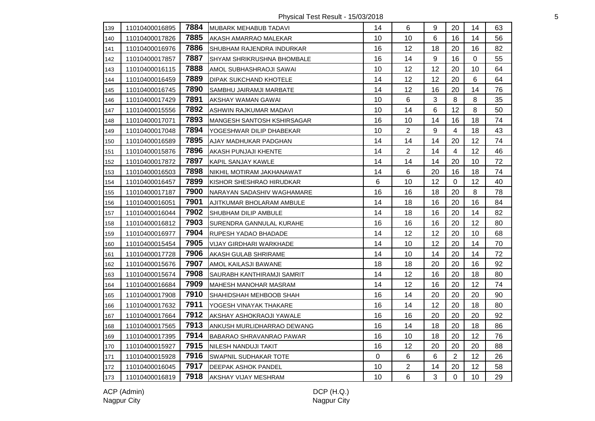Physical Test Result - 15/03/2018 5

| 139 | 11010400016895 | 7884 | <b>MUBARK MEHABUB TADAVI</b>    | 14 | 6              | 9                | 20                      | 14 | 63 |
|-----|----------------|------|---------------------------------|----|----------------|------------------|-------------------------|----|----|
| 140 | 11010400017826 | 7885 | AKASH AMARRAO MALEKAR           | 10 | 10             | 6                | 16                      | 14 | 56 |
| 141 | 11010400016976 | 7886 | SHUBHAM RAJENDRA INDURKAR       | 16 | 12             | 18               | 20                      | 16 | 82 |
| 142 | 11010400017857 | 7887 | ISHYAM SHRIKRUSHNA BHOMBALE     | 16 | 14             | $\boldsymbol{9}$ | 16                      | 0  | 55 |
| 143 | 11010400016115 | 7888 | AMOL SUBHASHRAOJI SAWAI         | 10 | 12             | 12               | 20                      | 10 | 64 |
| 144 | 11010400016459 | 7889 | <b>DIPAK SUKCHAND KHOTELE</b>   | 14 | 12             | 12               | 20                      | 6  | 64 |
| 145 | 11010400016745 | 7890 | SAMBHU JAIRAMJI MARBATE         | 14 | 12             | 16               | 20                      | 14 | 76 |
| 146 | 11010400017429 | 7891 | AKSHAY WAMAN GAWAI              | 10 | 6              | $\mathbf{3}$     | 8                       | 8  | 35 |
| 147 | 11010400015556 | 7892 | ASHWIN RAJKUMAR MADAVI          | 10 | 14             | 6                | 12                      | 8  | 50 |
| 148 | 11010400017071 | 7893 | MANGESH SANTOSH KSHIRSAGAR      | 16 | 10             | 14               | 16                      | 18 | 74 |
| 149 | 11010400017048 | 7894 | YOGESHWAR DILIP DHABEKAR        | 10 | $\overline{2}$ | 9                | $\overline{\mathbf{4}}$ | 18 | 43 |
| 150 | 11010400016589 | 7895 | AJAY MADHUKAR PADGHAN           | 14 | 14             | 14               | 20                      | 12 | 74 |
| 151 | 11010400015876 | 7896 | AKASH PUNJAJI KHENTE            | 14 | $\overline{2}$ | 14               | 4                       | 12 | 46 |
| 152 | 11010400017872 | 7897 | KAPIL SANJAY KAWLE              | 14 | 14             | 14               | 20                      | 10 | 72 |
| 153 | 11010400016503 | 7898 | NIKHIL MOTIRAM JAKHANAWAT       | 14 | 6              | 20               | 16                      | 18 | 74 |
| 154 | 11010400016457 | 7899 | KISHOR SHESHRAO HIRUDKAR        | 6  | 10             | 12               | $\mathbf 0$             | 12 | 40 |
| 155 | 11010400017187 | 7900 | NARAYAN SADASHIV WAGHAMARE      | 16 | 16             | 18               | 20                      | 8  | 78 |
| 156 | 11010400016051 | 7901 | AJITKUMAR BHOLARAM AMBULE       | 14 | 18             | 16               | 20                      | 16 | 84 |
| 157 | 11010400016044 | 7902 | SHUBHAM DILIP AMBULE            | 14 | 18             | 16               | 20                      | 14 | 82 |
| 158 | 11010400016812 | 7903 | <b>SURENDRA GANNULAL KURAHE</b> | 16 | 16             | 16               | 20                      | 12 | 80 |
| 159 | 11010400016977 | 7904 | RUPESH YADAO BHADADE            | 14 | 12             | 12               | 20                      | 10 | 68 |
| 160 | 11010400015454 | 7905 | VIJAY GIRDHARI WARKHADE         | 14 | 10             | 12               | 20                      | 14 | 70 |
| 161 | 11010400017728 | 7906 | <b>AKASH GULAB SHRIRAME</b>     | 14 | 10             | 14               | 20                      | 14 | 72 |
| 162 | 11010400015676 | 7907 | AMOL KAILASJI BAWANE            | 18 | 18             | 20               | 20                      | 16 | 92 |
| 163 | 11010400015674 | 7908 | SAURABH KANTHIRAMJI SAMRIT      | 14 | 12             | 16               | 20                      | 18 | 80 |
| 164 | 11010400016684 | 7909 | MAHESH MANOHAR MASRAM           | 14 | 12             | 16               | 20                      | 12 | 74 |
| 165 | 11010400017908 | 7910 | SHAHIDSHAH MEHBOOB SHAH         | 16 | 14             | 20               | 20                      | 20 | 90 |
| 166 | 11010400017632 | 7911 | YOGESH VINAYAK THAKARE          | 16 | 14             | 12               | 20                      | 18 | 80 |
| 167 | 11010400017664 | 7912 | AKSHAY ASHOKRAOJI YAWALE        | 16 | 16             | 20               | 20                      | 20 | 92 |
| 168 | 11010400017565 | 7913 | ANKUSH MURLIDHARRAO DEWANG      | 16 | 14             | 18               | 20                      | 18 | 86 |
| 169 | 11010400017395 | 7914 | BABARAO SHRAVANRAO PAWAR        | 16 | 10             | 18               | 20                      | 12 | 76 |
| 170 | 11010400015927 | 7915 | NILESH NANDUJI TAKIT            | 16 | 12             | 20               | 20                      | 20 | 88 |
| 171 | 11010400015928 | 7916 | SWAPNIL SUDHAKAR TOTE           | 0  | 6              | 6                | $\overline{2}$          | 12 | 26 |
| 172 | 11010400016045 | 7917 | <b>DEEPAK ASHOK PANDEL</b>      | 10 | $\overline{2}$ | 14               | 20                      | 12 | 58 |
| 173 | 11010400016819 | 7918 | <b>AKSHAY VIJAY MESHRAM</b>     | 10 | 6              | $\mathfrak{S}$   | $\mathbf 0$             | 10 | 29 |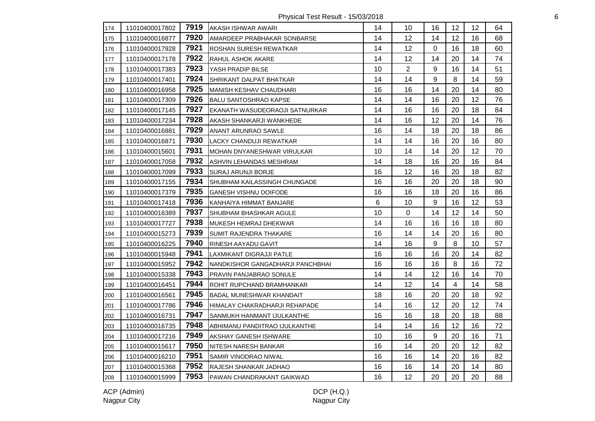Physical Test Result - 15/03/2018 6

| 174 | 11010400017802 | 7919 | AKASH ISHWAR AWARI               | 14 | 10             | 16 | 12 | 12 | 64 |
|-----|----------------|------|----------------------------------|----|----------------|----|----|----|----|
| 175 | 11010400016877 | 7920 | AMARDEEP PRABHAKAR SONBARSE      | 14 | 12             | 14 | 12 | 16 | 68 |
| 176 | 11010400017928 | 7921 | ROSHAN SURESH REWATKAR           | 14 | 12             | 0  | 16 | 18 | 60 |
| 177 | 11010400017178 | 7922 | <b>RAHUL ASHOK AKARE</b>         | 14 | 12             | 14 | 20 | 14 | 74 |
| 178 | 11010400017383 | 7923 | YASH PRADIP BILSE                | 10 | $\overline{2}$ | 9  | 16 | 14 | 51 |
| 179 | 11010400017401 | 7924 | <b>SHRIKANT DALPAT BHATKAR</b>   | 14 | 14             | 9  | 8  | 14 | 59 |
| 180 | 11010400016958 | 7925 | <b>MANISH KESHAV CHAUDHARI</b>   | 16 | 16             | 14 | 20 | 14 | 80 |
| 181 | 11010400017309 | 7926 | BALU SANTOSHRAO KAPSE            | 14 | 14             | 16 | 20 | 12 | 76 |
| 182 | 11010400017145 | 7927 | EKANATH WASUDEORAOJI SATNURKAR   | 14 | 16             | 16 | 20 | 18 | 84 |
| 183 | 11010400017234 | 7928 | AKASH SHANKARJI WANKHEDE         | 14 | 16             | 12 | 20 | 14 | 76 |
| 184 | 11010400016881 | 7929 | ANANT ARUNRAO SAWLE              | 16 | 14             | 18 | 20 | 18 | 86 |
| 185 | 11010400016871 | 7930 | LACKY CHANDUJI REWATKAR          | 14 | 14             | 16 | 20 | 16 | 80 |
| 186 | 11010400015601 | 7931 | MOHAN DNYANESHWAR VIRULKAR       | 10 | 14             | 14 | 20 | 12 | 70 |
| 187 | 11010400017058 | 7932 | ASHVIN LEHANDAS MESHRAM          | 14 | 18             | 16 | 20 | 16 | 84 |
| 188 | 11010400017099 | 7933 | SURAJ ARUNJI BORJE               | 16 | 12             | 16 | 20 | 18 | 82 |
| 189 | 11010400017155 | 7934 | SHUBHAM KAILASSINGH CHUNGADE     | 16 | 16             | 20 | 20 | 18 | 90 |
| 190 | 11010400017379 | 7935 | <b>GANESH VISHNU DOIFODE</b>     | 16 | 16             | 18 | 20 | 16 | 86 |
| 191 | 11010400017418 | 7936 | KANHAIYA HIMMAT BANJARE          | 6  | 10             | 9  | 16 | 12 | 53 |
| 192 | 11010400016389 | 7937 | <b>SHUBHAM BHASHKAR AGULE</b>    | 10 | $\mathbf 0$    | 14 | 12 | 14 | 50 |
| 193 | 11010400017727 | 7938 | MUKESH HEMRAJ DHEKWAR            | 14 | 16             | 16 | 16 | 18 | 80 |
| 194 | 11010400015273 | 7939 | SUMIT RAJENDRA THAKARE           | 16 | 14             | 14 | 20 | 16 | 80 |
| 195 | 11010400016225 | 7940 | <b>RINESH AAYADU GAVIT</b>       | 14 | 16             | 9  | 8  | 10 | 57 |
| 196 | 11010400015948 | 7941 | LAXMIKANT DIGRAJJI PATLE         | 16 | 16             | 16 | 20 | 14 | 82 |
| 197 | 11010400015952 | 7942 | NANDKISHOR GANGADHARJI PANCHBHAI | 16 | 16             | 16 | 8  | 16 | 72 |
| 198 | 11010400015338 | 7943 | PRAVIN PANJABRAO SONULE          | 14 | 14             | 12 | 16 | 14 | 70 |
| 199 | 11010400016451 | 7944 | ROHIT RUPCHAND BRAMHANKAR        | 14 | 12             | 14 | 4  | 14 | 58 |
| 200 | 11010400016561 | 7945 | BADAL MUNESHWAR KHANDAIT         | 18 | 16             | 20 | 20 | 18 | 92 |
| 201 | 11010400017786 | 7946 | HIMALAY CHAKRADHARJI REHAPADE    | 14 | 16             | 12 | 20 | 12 | 74 |
| 202 | 11010400016731 | 7947 | SANMUKH HANMANT IJULKANTHE       | 16 | 16             | 18 | 20 | 18 | 88 |
| 203 | 11010400016735 | 7948 | ABHIMANU PANDITRAO IJULKANTHE    | 14 | 14             | 16 | 12 | 16 | 72 |
| 204 | 11010400017216 | 7949 | AKSHAY GANESH ISHWARE            | 10 | 16             | 9  | 20 | 16 | 71 |
| 205 | 11010400015617 | 7950 | NITESH NARESH BANKAR             | 16 | 14             | 20 | 20 | 12 | 82 |
| 206 | 11010400016210 | 7951 | SAMIR VINODRAO NIWAL             | 16 | 16             | 14 | 20 | 16 | 82 |
| 207 | 11010400015368 | 7952 | RAJESH SHANKAR JADHAO            | 16 | 16             | 14 | 20 | 14 | 80 |
| 208 | 11010400015999 | 7953 | PAWAN CHANDRAKANT GAIKWAD        | 16 | 12             | 20 | 20 | 20 | 88 |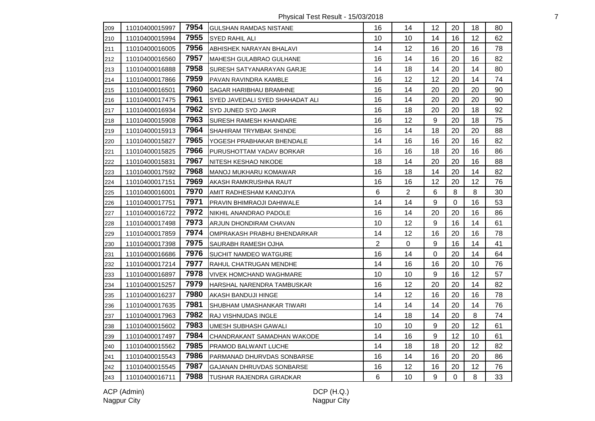Physical Test Result - 15/03/2018 **7** 

| 209 | 11010400015997 | 7954 | <b>GULSHAN RAMDAS NISTANE</b>   | 16             | 14             | 12               | 20             | 18      | 80 |
|-----|----------------|------|---------------------------------|----------------|----------------|------------------|----------------|---------|----|
| 210 | 11010400015994 | 7955 | SYED RAHIL ALI                  | 10             | 10             | 14               | 16             | $12 \,$ | 62 |
| 211 | 11010400016005 | 7956 | ABHISHEK NARAYAN BHALAVI        | 14             | 12             | 16               | 20             | 16      | 78 |
| 212 | 11010400016560 | 7957 | MAHESH GULABRAO GULHANE         | 16             | 14             | 16               | 20             | 16      | 82 |
| 213 | 11010400016888 | 7958 | SURESH SATYANARAYAN GARJE       | 14             | 18             | 14               | 20             | 14      | 80 |
| 214 | 11010400017866 | 7959 | PAVAN RAVINDRA KAMBLE           | 16             | 12             | 12               | 20             | 14      | 74 |
| 215 | 11010400016501 | 7960 | SAGAR HARIBHAU BRAMHNE          | 16             | 14             | 20               | 20             | 20      | 90 |
| 216 | 11010400017475 | 7961 | SYED JAVEDALI SYED SHAHADAT ALI | 16             | 14             | 20               | 20             | 20      | 90 |
| 217 | 11010400016934 | 7962 | SYD JUNED SYD JAKIR             | 16             | 18             | 20               | 20             | 18      | 92 |
| 218 | 11010400015908 | 7963 | SURESH RAMESH KHANDARE          | 16             | 12             | $\boldsymbol{9}$ | 20             | 18      | 75 |
| 219 | 11010400015913 | 7964 | SHAHIRAM TRYMBAK SHINDE         | 16             | 14             | 18               | 20             | 20      | 88 |
| 220 | 11010400015827 | 7965 | YOGESH PRABHAKAR BHENDALE       | 14             | 16             | 16               | 20             | 16      | 82 |
| 221 | 11010400015825 | 7966 | PURUSHOTTAM YADAV BORKAR        | 16             | 16             | 18               | 20             | 16      | 86 |
| 222 | 11010400015831 | 7967 | NITESH KESHAO NIKODE            | 18             | 14             | 20               | 20             | 16      | 88 |
| 223 | 11010400017592 | 7968 | MANOJ MUKHARU KOMAWAR           | 16             | 18             | 14               | 20             | 14      | 82 |
| 224 | 11010400017151 | 7969 | AKASH RAMKRUSHNA RAUT           | 16             | 16             | 12               | 20             | 12      | 76 |
| 225 | 11010400016001 | 7970 | AMIT RADHESHAM KANOJIYA         | 6              | $\overline{2}$ | $\,6\,$          | 8              | 8       | 30 |
| 226 | 11010400017751 | 7971 | PRAVIN BHIMRAOJI DAHIWALE       | 14             | 14             | 9                | $\Omega$       | 16      | 53 |
| 227 | 11010400016722 | 7972 | NIKHIL ANANDRAO PADOLE          | 16             | 14             | 20               | 20             | 16      | 86 |
| 228 | 11010400017498 | 7973 | ARJUN DHONDIRAM CHAVAN          | 10             | 12             | $\boldsymbol{9}$ | 16             | 14      | 61 |
| 229 | 11010400017859 | 7974 | OMPRAKASH PRABHU BHENDARKAR     | 14             | 12             | 16               | 20             | 16      | 78 |
| 230 | 11010400017398 | 7975 | <b>SAURABH RAMESH OJHA</b>      | $\overline{2}$ | $\Omega$       | 9                | 16             | 14      | 41 |
| 231 | 11010400016686 | 7976 | SUCHIT NAMDEO WATGURE           | 16             | 14             | 0                | 20             | 14      | 64 |
| 232 | 11010400017214 | 7977 | RAHUL CHATRUGAN MENDHE          | 14             | 16             | 16               | 20             | 10      | 76 |
| 233 | 11010400016897 | 7978 | <b>VIVEK HOMCHAND WAGHMARE</b>  | 10             | 10             | 9                | 16             | 12      | 57 |
| 234 | 11010400015257 | 7979 | HARSHAL NARENDRA TAMBUSKAR      | 16             | 12             | 20               | 20             | 14      | 82 |
| 235 | 11010400016237 | 7980 | AKASH BANDUJI HINGE             | 14             | 12             | 16               | 20             | 16      | 78 |
| 236 | 11010400017635 | 7981 | SHUBHAM UMASHANKAR TIWARI       | 14             | 14             | 14               | 20             | 14      | 76 |
| 237 | 11010400017963 | 7982 | RAJ VISHNUDAS INGLE             | 14             | 18             | 14               | 20             | 8       | 74 |
| 238 | 11010400015602 | 7983 | UMESH SUBHASH GAWALI            | 10             | 10             | 9                | 20             | 12      | 61 |
| 239 | 11010400017497 | 7984 | CHANDRAKANT SAMADHAN WAKODE     | 14             | 16             | 9                | 12             | 10      | 61 |
| 240 | 11010400015562 | 7985 | PRAMOD BALWANT LUCHE            | 14             | 18             | 18               | 20             | 12      | 82 |
| 241 | 11010400015543 | 7986 | PARMANAD DHURVDAS SONBARSE      | 16             | 14             | 16               | 20             | 20      | 86 |
| 242 | 11010400015545 | 7987 | GAJANAN DHRUVDAS SONBARSE       | 16             | 12             | 16               | 20             | 12      | 76 |
| 243 | 11010400016711 | 7988 | TUSHAR RAJENDRA GIRADKAR        | 6              | 10             | 9                | $\overline{0}$ | 8       | 33 |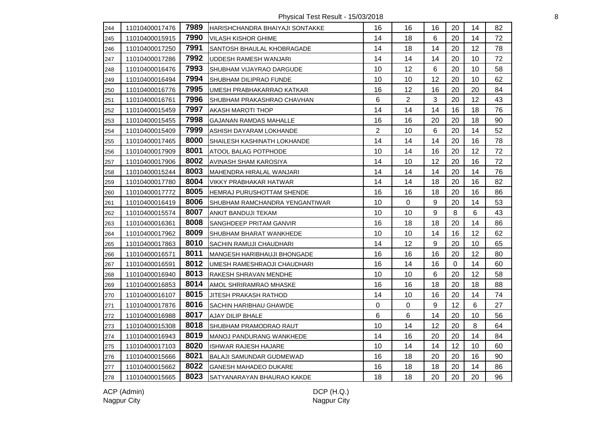Physical Test Result - 15/03/2018 8

| 244 | 11010400017476 | 7989 | IHARISHCHANDRA BHAIYAJI SONTAKKE  | 16             | 16             | 16               | 20 | 14 | 82 |
|-----|----------------|------|-----------------------------------|----------------|----------------|------------------|----|----|----|
| 245 | 11010400015915 | 7990 | <b>VILASH KISHOR GHIME</b>        | 14             | 18             | 6                | 20 | 14 | 72 |
| 246 | 11010400017250 | 7991 | <b>SANTOSH BHAULAL KHOBRAGADE</b> | 14             | 18             | 14               | 20 | 12 | 78 |
| 247 | 11010400017286 | 7992 | UDDESH RAMESH WANJARI             | 14             | 14             | 14               | 20 | 10 | 72 |
| 248 | 11010400016476 | 7993 | <b>SHUBHAM VIJAYRAO DARGUDE</b>   | 10             | 12             | 6                | 20 | 10 | 58 |
| 249 | 11010400016494 | 7994 | SHUBHAM DILIPRAO FUNDE            | 10             | 10             | 12               | 20 | 10 | 62 |
| 250 | 11010400016776 | 7995 | UMESH PRABHAKARRAO KATKAR         | 16             | 12             | 16               | 20 | 20 | 84 |
| 251 | 11010400016761 | 7996 | SHUBHAM PRAKASHRAO CHAVHAN        | 6              | $\overline{2}$ | $\mathbf{3}$     | 20 | 12 | 43 |
| 252 | 11010400015459 | 7997 | <b>AKASH MAROTI THOP</b>          | 14             | 14             | 14               | 16 | 18 | 76 |
| 253 | 11010400015455 | 7998 | <b>GAJANAN RAMDAS MAHALLE</b>     | 16             | 16             | 20               | 20 | 18 | 90 |
| 254 | 11010400015409 | 7999 | ASHISH DAYARAM LOKHANDE           | $\overline{2}$ | 10             | 6                | 20 | 14 | 52 |
| 255 | 11010400017465 | 8000 | SHAILESH KASHINATH LOKHANDE       | 14             | 14             | 14               | 20 | 16 | 78 |
| 256 | 11010400017909 | 8001 | ATOOL BALAG POTPHODE              | 10             | 14             | 16               | 20 | 12 | 72 |
| 257 | 11010400017906 | 8002 | <b>AVINASH SHAM KAROSIYA</b>      | 14             | 10             | 12               | 20 | 16 | 72 |
| 258 | 11010400015244 | 8003 | MAHENDRA HIRALAL WANJARI          | 14             | 14             | 14               | 20 | 14 | 76 |
| 259 | 11010400017780 | 8004 | VIKKY PRABHAKAR HATWAR            | 14             | 14             | 18               | 20 | 16 | 82 |
| 260 | 11010400017772 | 8005 | HEMRAJ PURUSHOTTAM SHENDE         | 16             | 16             | 18               | 20 | 16 | 86 |
| 261 | 11010400016419 | 8006 | SHUBHAM RAMCHANDRA YENGANTIWAR    | 10             | 0              | 9                | 20 | 14 | 53 |
| 262 | 11010400015574 | 8007 | ANKIT BANDUJI TEKAM               | 10             | 10             | 9                | 8  | 6  | 43 |
| 263 | 11010400016361 | 8008 | SANGHDEEP PRITAM GANVIR           | 16             | 18             | 18               | 20 | 14 | 86 |
| 264 | 11010400017962 | 8009 | SHUBHAM BHARAT WANKHEDE           | 10             | 10             | 14               | 16 | 12 | 62 |
| 265 | 11010400017863 | 8010 | SACHIN RAMUJI CHAUDHARI           | 14             | 12             | 9                | 20 | 10 | 65 |
| 266 | 11010400016571 | 8011 | MANGESH HARIBHAUJI BHONGADE       | 16             | 16             | 16               | 20 | 12 | 80 |
| 267 | 11010400016591 | 8012 | UMESH RAMESHRAOJI CHAUDHARI       | 16             | 14             | 16               | 0  | 14 | 60 |
| 268 | 11010400016940 | 8013 | RAKESH SHRAVAN MENDHE             | 10             | 10             | 6                | 20 | 12 | 58 |
| 269 | 11010400016853 | 8014 | AMOL SHRIRAMRAO MHASKE            | 16             | 16             | 18               | 20 | 18 | 88 |
| 270 | 11010400016107 | 8015 | JITESH PRAKASH RATHOD             | 14             | 10             | 16               | 20 | 14 | 74 |
| 271 | 11010400017876 | 8016 | SACHIN HARIBHAU GHAWDE            | 0              | 0              | $\boldsymbol{9}$ | 12 | 6  | 27 |
| 272 | 11010400016988 | 8017 | <b>AJAY DILIP BHALE</b>           | 6              | 6              | 14               | 20 | 10 | 56 |
| 273 | 11010400015308 | 8018 | SHUBHAM PRAMODRAO RAUT            | 10             | 14             | 12               | 20 | 8  | 64 |
| 274 | 11010400016943 | 8019 | MANOJ PANDURANG WANKHEDE          | 14             | 16             | 20               | 20 | 14 | 84 |
| 275 | 11010400017103 | 8020 | <b>ISHWAR RAJESH HAJARE</b>       | 10             | 14             | 14               | 12 | 10 | 60 |
| 276 | 11010400015666 | 8021 | <b>BALAJI SAMUNDAR GUDMEWAD</b>   | 16             | 18             | 20               | 20 | 16 | 90 |
| 277 | 11010400015662 | 8022 | <b>GANESH MAHADEO DUKARE</b>      | 16             | 18             | 18               | 20 | 14 | 86 |
| 278 | 11010400015665 | 8023 | SATYANARAYAN BHAURAO KAKDE        | 18             | 18             | 20               | 20 | 20 | 96 |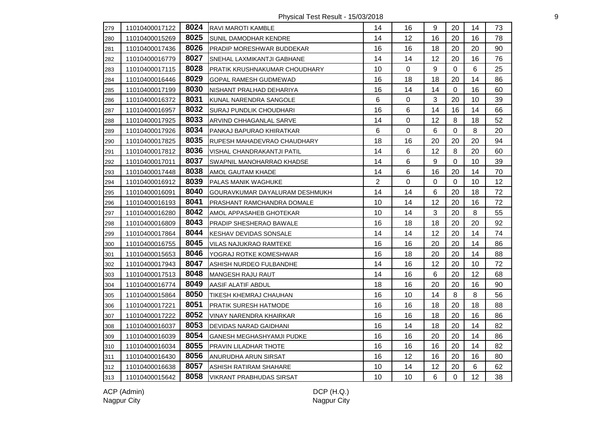Physical Test Result - 15/03/2018 9

| 279 | 11010400017122 | 8024 | RAVI MAROTI KAMBLE               | 14 | 16       | 9              | 20          | 14      | 73 |
|-----|----------------|------|----------------------------------|----|----------|----------------|-------------|---------|----|
| 280 | 11010400015269 | 8025 | <b>SUNIL DAMODHAR KENDRE</b>     | 14 | 12       | 16             | 20          | 16      | 78 |
| 281 | 11010400017436 | 8026 | <b>PRADIP MORESHWAR BUDDEKAR</b> | 16 | 16       | 18             | 20          | 20      | 90 |
| 282 | 11010400016779 | 8027 | SNEHAL LAXMIKANTJI GABHANE       | 14 | 14       | 12             | 20          | 16      | 76 |
| 283 | 11010400017115 | 8028 | PRATIK KRUSHNAKUMAR CHOUDHARY    | 10 | 0        | 9              | 0           | 6       | 25 |
| 284 | 11010400016446 | 8029 | <b>GOPAL RAMESH GUDMEWAD</b>     | 16 | 18       | 18             | 20          | 14      | 86 |
| 285 | 11010400017199 | 8030 | NISHANT PRALHAD DEHARIYA         | 16 | 14       | 14             | $\mathbf 0$ | 16      | 60 |
| 286 | 11010400016372 | 8031 | KUNAL NARENDRA SANGOLE           | 6  | 0        | 3              | 20          | 10      | 39 |
| 287 | 11010400016957 | 8032 | SURAJ PUNDLIK CHOUDHARI          | 16 | 6        | 14             | 16          | 14      | 66 |
| 288 | 11010400017925 | 8033 | ARVIND CHHAGANLAL SARVE          | 14 | 0        | 12             | 8           | 18      | 52 |
| 289 | 11010400017926 | 8034 | PANKAJ BAPURAO KHIRATKAR         | 6  | 0        | 6              | 0           | 8       | 20 |
| 290 | 11010400017825 | 8035 | RUPESH MAHADEVRAO CHAUDHARY      | 18 | 16       | 20             | 20          | 20      | 94 |
| 291 | 11010400017812 | 8036 | VISHAL CHANDRAKANTJI PATIL       | 14 | 6        | 12             | 8           | 20      | 60 |
| 292 | 11010400017011 | 8037 | SWAPNIL MANOHARRAO KHADSE        | 14 | 6        | $9\,$          | 0           | 10      | 39 |
| 293 | 11010400017448 | 8038 | AMOL GAUTAM KHADE                | 14 | 6        | 16             | 20          | 14      | 70 |
| 294 | 11010400016912 | 8039 | PALAS MANIK WAGHUKE              | 2  | $\Omega$ | $\Omega$       | 0           | 10      | 12 |
| 295 | 11010400016091 | 8040 | GOURAVKUMAR DAYALURAM DESHMUKH   | 14 | 14       | 6              | 20          | 18      | 72 |
| 296 | 11010400016193 | 8041 | PRASHANT RAMCHANDRA DOMALE       | 10 | 14       | 12             | 20          | 16      | 72 |
| 297 | 11010400016280 | 8042 | AMOL APPASAHEB GHOTEKAR          | 10 | 14       | $\mathbf{3}$   | 20          | $\,8\,$ | 55 |
| 298 | 11010400016809 | 8043 | <b>PRADIP SHESHERAO BAWALE</b>   | 16 | 18       | 18             | 20          | 20      | 92 |
| 299 | 11010400017864 | 8044 | KESHAV DEVIDAS SONSALE           | 14 | 14       | 12             | 20          | 14      | 74 |
| 300 | 11010400016755 | 8045 | <b>VILAS NAJUKRAO RAMTEKE</b>    | 16 | 16       | 20             | 20          | 14      | 86 |
| 301 | 11010400015653 | 8046 | YOGRAJ ROTKE KOMESHWAR           | 16 | 18       | 20             | 20          | 14      | 88 |
| 302 | 11010400017943 | 8047 | ASHISH NURDEO FULBANDHE          | 14 | 16       | 12             | 20          | 10      | 72 |
| 303 | 11010400017513 | 8048 | MANGESH RAJU RAUT                | 14 | 16       | $\,6\,$        | 20          | 12      | 68 |
| 304 | 11010400016774 | 8049 | AASIF ALATIF ABDUL               | 18 | 16       | 20             | 20          | 16      | 90 |
| 305 | 11010400015864 | 8050 | TIKESH KHEMRAJ CHAUHAN           | 16 | 10       | 14             | 8           | 8       | 56 |
| 306 | 11010400017221 | 8051 | <b>PRATIK SURESH HATMODE</b>     | 16 | 16       | 18             | 20          | 18      | 88 |
| 307 | 11010400017222 | 8052 | VINAY NARENDRA KHAIRKAR          | 16 | 16       | 18             | 20          | 16      | 86 |
| 308 | 11010400016037 | 8053 | <b>DEVIDAS NARAD GAIDHANI</b>    | 16 | 14       | 18             | 20          | 14      | 82 |
| 309 | 11010400016039 | 8054 | <b>GANESH MEGHASHYAMJI PUDKE</b> | 16 | 16       | 20             | 20          | 14      | 86 |
| 310 | 11010400016034 | 8055 | <b>PRAVIN LILADHAR THOTE</b>     | 16 | 16       | 16             | 20          | 14      | 82 |
| 311 | 11010400016430 | 8056 | ANURUDHA ARUN SIRSAT             | 16 | 12       | 16             | 20          | 16      | 80 |
| 312 | 11010400016638 | 8057 | ASHISH RATIRAM SHAHARE           | 10 | 14       | 12             | 20          | 6       | 62 |
| 313 | 11010400015642 | 8058 | VIKRANT PRABHUDAS SIRSAT         | 10 | 10       | $6\phantom{1}$ | $\mathbf 0$ | 12      | 38 |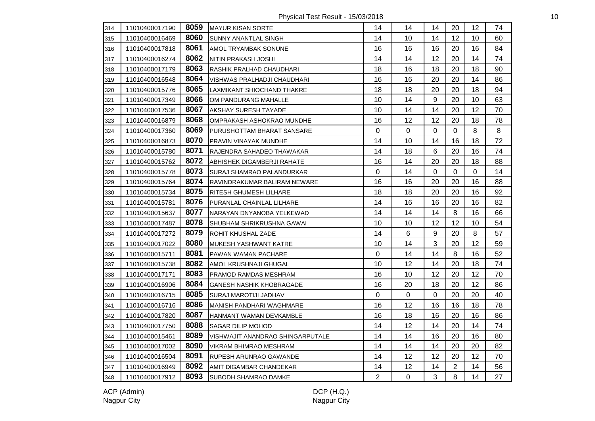Physical Test Result - 15/03/2018 10

| 314 | 11010400017190 | 8059 | <b>IMAYUR KISAN SORTE</b>        | 14             | 14          | 14               | 20             | 12 <sup>2</sup> | 74 |
|-----|----------------|------|----------------------------------|----------------|-------------|------------------|----------------|-----------------|----|
| 315 | 11010400016469 | 8060 | <b>SUNNY ANANTLAL SINGH</b>      | 14             | 10          | 14               | 12             | 10              | 60 |
| 316 | 11010400017818 | 8061 | AMOL TRYAMBAK SONUNE             | 16             | 16          | 16               | 20             | 16              | 84 |
| 317 | 11010400016274 | 8062 | NITIN PRAKASH JOSHI              | 14             | 14          | 12               | 20             | 14              | 74 |
| 318 | 11010400017179 | 8063 | RASHIK PRALHAD CHAUDHARI         | 18             | 16          | 18               | 20             | 18              | 90 |
| 319 | 11010400016548 | 8064 | VISHWAS PRALHADJI CHAUDHARI      | 16             | 16          | 20               | 20             | 14              | 86 |
| 320 | 11010400015776 | 8065 | LAXMIKANT SHIOCHAND THAKRE       | 18             | 18          | 20               | 20             | 18              | 94 |
| 321 | 11010400017349 | 8066 | OM PANDURANG MAHALLE             | 10             | 14          | 9                | 20             | 10              | 63 |
| 322 | 11010400017536 | 8067 | <b>AKSHAY SURESH TAYADE</b>      | 10             | 14          | 14               | 20             | 12              | 70 |
| 323 | 11010400016879 | 8068 | OMPRAKASH ASHOKRAO MUNDHE        | 16             | 12          | 12               | 20             | 18              | 78 |
| 324 | 11010400017360 | 8069 | PURUSHOTTAM BHARAT SANSARE       | 0              | $\mathbf 0$ | 0                | $\mathbf 0$    | 8               | 8  |
| 325 | 11010400016873 | 8070 | <b>PRAVIN VINAYAK MUNDHE</b>     | 14             | 10          | 14               | 16             | 18              | 72 |
| 326 | 11010400015780 | 8071 | RAJENDRA SAHADEO THAWAKAR        | 14             | 18          | 6                | 20             | 16              | 74 |
| 327 | 11010400015762 | 8072 | ABHISHEK DIGAMBERJI RAHATE       | 16             | 14          | 20               | 20             | 18              | 88 |
| 328 | 11010400015778 | 8073 | SURAJ SHAMRAO PALANDURKAR        | 0              | 14          | 0                | 0              | $\mathbf 0$     | 14 |
| 329 | 11010400015764 | 8074 | RAVINDRAKUMAR BALIRAM NEWARE     | 16             | 16          | 20               | 20             | 16              | 88 |
| 330 | 11010400015734 | 8075 | <b>RITESH GHUMESH LILHARE</b>    | 18             | 18          | 20               | 20             | 16              | 92 |
| 331 | 11010400015781 | 8076 | PURANLAL CHAINLAL LILHARE        | 14             | 16          | 16               | 20             | 16              | 82 |
| 332 | 11010400015637 | 8077 | NARAYAN DNYANOBA YELKEWAD        | 14             | 14          | 14               | 8              | 16              | 66 |
| 333 | 11010400017487 | 8078 | ISHUBHAM SHRIKRUSHNA GAWAI       | 10             | 10          | 12               | 12             | 10              | 54 |
| 334 | 11010400017272 | 8079 | ROHIT KHUSHAL ZADE               | 14             | 6           | $\boldsymbol{9}$ | 20             | 8               | 57 |
| 335 | 11010400017022 | 8080 | MUKESH YASHWANT KATRE            | 10             | 14          | 3                | 20             | 12              | 59 |
| 336 | 11010400015711 | 8081 | PAWAN WAMAN PACHARE              | 0              | 14          | 14               | 8              | 16              | 52 |
| 337 | 11010400015738 | 8082 | AMOL KRUSHNAJI GHUGAL            | 10             | 12          | 14               | 20             | 18              | 74 |
| 338 | 11010400017171 | 8083 | PRAMOD RAMDAS MESHRAM            | 16             | 10          | 12               | 20             | 12              | 70 |
| 339 | 11010400016906 | 8084 | <b>GANESH NASHIK KHOBRAGADE</b>  | 16             | 20          | 18               | 20             | 12              | 86 |
| 340 | 11010400016715 | 8085 | SURAJ MAROTIJI JADHAV            | 0              | 0           | $\pmb{0}$        | 20             | 20              | 40 |
| 341 | 11010400016716 | 8086 | MANISH PANDHARI WAGHMARE         | 16             | 12          | 16               | 16             | 18              | 78 |
| 342 | 11010400017820 | 8087 | HANMANT WAMAN DEVKAMBLE          | 16             | 18          | 16               | 20             | 16              | 86 |
| 343 | 11010400017750 | 8088 | <b>SAGAR DILIP MOHOD</b>         | 14             | 12          | 14               | 20             | 14              | 74 |
| 344 | 11010400015461 | 8089 | VISHWAJIT ANANDRAO SHINGARPUTALE | 14             | 14          | 16               | 20             | 16              | 80 |
| 345 | 11010400017002 | 8090 | <b>VIKRAM BHIMRAO MESHRAM</b>    | 14             | 14          | 14               | 20             | 20              | 82 |
| 346 | 11010400016504 | 8091 | RUPESH ARUNRAO GAWANDE           | 14             | 12          | 12               | 20             | 12              | 70 |
| 347 | 11010400016949 | 8092 | AMIT DIGAMBAR CHANDEKAR          | 14             | 12          | 14               | $\overline{2}$ | 14              | 56 |
| 348 | 11010400017912 | 8093 | <b>SUBODH SHAMRAO DAMKE</b>      | $\overline{2}$ | $\mathbf 0$ | 3                | 8              | 14              | 27 |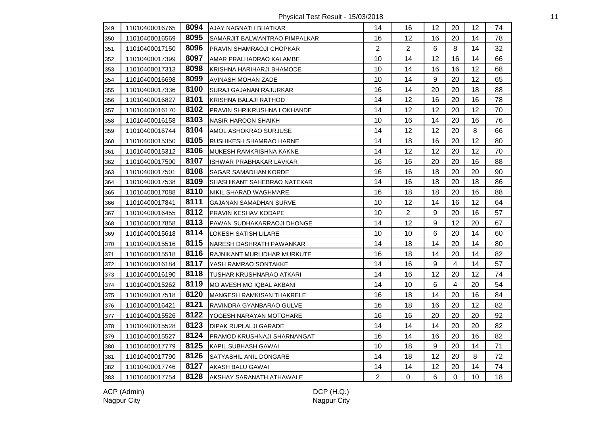Physical Test Result - 15/03/2018 11

| 349 | 11010400016765 |      | 8094 AJAY NAGNATH BHATKAR       | 14             | 16             | 12 | 20             | 12 <sup>°</sup> | 74 |
|-----|----------------|------|---------------------------------|----------------|----------------|----|----------------|-----------------|----|
| 350 | 11010400016569 | 8095 | SAMARJIT BALWANTRAO PIMPALKAR   | 16             | 12             | 16 | 20             | 14              | 78 |
| 351 | 11010400017150 | 8096 | PRAVIN SHAMRAOJI CHOPKAR        | $\overline{2}$ | $\overline{2}$ | 6  | 8              | 14              | 32 |
| 352 | 11010400017399 | 8097 | AMAR PRALHADRAO KALAMBE         | 10             | 14             | 12 | 16             | 14              | 66 |
| 353 | 11010400017313 | 8098 | KRISHNA HARIHARJI BHAMODE       | 10             | 14             | 16 | 16             | 12              | 68 |
| 354 | 11010400016698 | 8099 | AVINASH MOHAN ZADE              | 10             | 14             | 9  | 20             | 12              | 65 |
| 355 | 11010400017336 | 8100 | SURAJ GAJANAN RAJURKAR          | 16             | 14             | 20 | 20             | 18              | 88 |
| 356 | 11010400016827 | 8101 | KRISHNA BALAJI RATHOD           | 14             | 12             | 16 | 20             | 16              | 78 |
| 357 | 11010400016170 | 8102 | PRAVIN SHRIKRUSHNA LOKHANDE     | 14             | 12             | 12 | 20             | 12              | 70 |
| 358 | 11010400016158 | 8103 | <b>NASIR HAROON SHAIKH</b>      | 10             | 16             | 14 | 20             | 16              | 76 |
| 359 | 11010400016744 | 8104 | AMOL ASHOKRAO SURJUSE           | 14             | 12             | 12 | 20             | 8               | 66 |
| 360 | 11010400015350 | 8105 | <b>RUSHIKESH SHAMRAO HARNE</b>  | 14             | 18             | 16 | 20             | 12              | 80 |
| 361 | 11010400015312 | 8106 | MUKESH RAMKRISHNA KAKNE         | 14             | 12             | 12 | 20             | 12              | 70 |
| 362 | 11010400017500 | 8107 | ISHWAR PRABHAKAR LAVKAR         | 16             | 16             | 20 | 20             | 16              | 88 |
| 363 | 11010400017501 | 8108 | SAGAR SAMADHAN KORDE            | 16             | 16             | 18 | 20             | 20              | 90 |
| 364 | 11010400017538 | 8109 | SHASHIKANT SAHEBRAO NATEKAR     | 14             | 16             | 18 | 20             | 18              | 86 |
| 365 | 11010400017088 | 8110 | NIKIL SHARAD WAGHMARE           | 16             | 18             | 18 | 20             | 16              | 88 |
| 366 | 11010400017841 | 8111 | <b>GAJANAN SAMADHAN SURVE</b>   | 10             | 12             | 14 | 16             | 12              | 64 |
| 367 | 11010400016455 | 8112 | PRAVIN KESHAV KODAPE            | 10             | $\overline{2}$ | 9  | 20             | 16              | 57 |
| 368 | 11010400017858 | 8113 | PAWAN SUDHAKARRAOJI DHONGE      | 14             | 12             | 9  | 12             | 20              | 67 |
| 369 | 11010400015618 | 8114 | LOKESH SATISH LILARE            | 10             | 10             | 6  | 20             | 14              | 60 |
| 370 | 11010400015516 | 8115 | INARESH DASHRATH PAWANKAR       | 14             | 18             | 14 | 20             | 14              | 80 |
| 371 | 11010400015518 | 8116 | RAJNIKANT MURLIDHAR MURKUTE     | 16             | 18             | 14 | 20             | 14              | 82 |
| 372 | 11010400016184 | 8117 | YASH RAMRAO SONTAKKE            | 14             | 16             | 9  | $\overline{4}$ | 14              | 57 |
| 373 | 11010400016190 | 8118 | TUSHAR KRUSHNARAO ATKARI        | 14             | 16             | 12 | 20             | 12              | 74 |
| 374 | 11010400015262 | 8119 | MO AVESH MO IQBAL AKBANI        | 14             | 10             | 6  | $\overline{4}$ | 20              | 54 |
| 375 | 11010400017518 | 8120 | MANGESH RAMKISAN THAKRELE       | 16             | 18             | 14 | 20             | 16              | 84 |
| 376 | 11010400016421 | 8121 | RAVINDRA GYANBARAO GULVE        | 16             | 18             | 16 | 20             | 12              | 82 |
| 377 | 11010400015526 | 8122 | YOGESH NARAYAN MOTGHARE         | 16             | 16             | 20 | 20             | 20              | 92 |
| 378 | 11010400015528 | 8123 | DIPAK RUPLALJI GARADE           | 14             | 14             | 14 | 20             | 20              | 82 |
| 379 | 11010400015527 | 8124 | PRAMOD KRUSHNAJI SHARNANGAT     | 16             | 14             | 16 | 20             | 16              | 82 |
| 380 | 11010400017779 | 8125 | KAPIL SUBHASH GAWAI             | 10             | 18             | 9  | 20             | 14              | 71 |
| 381 | 11010400017790 | 8126 | SATYASHIL ANIL DONGARE          | 14             | 18             | 12 | 20             | 8               | 72 |
| 382 | 11010400017746 | 8127 | AKASH BALU GAWAI                | 14             | 14             | 12 | 20             | 14              | 74 |
| 383 | 11010400017754 | 8128 | <b>AKSHAY SARANATH ATHAWALE</b> | $\overline{2}$ | $\mathbf 0$    | 6  | $\overline{0}$ | 10              | 18 |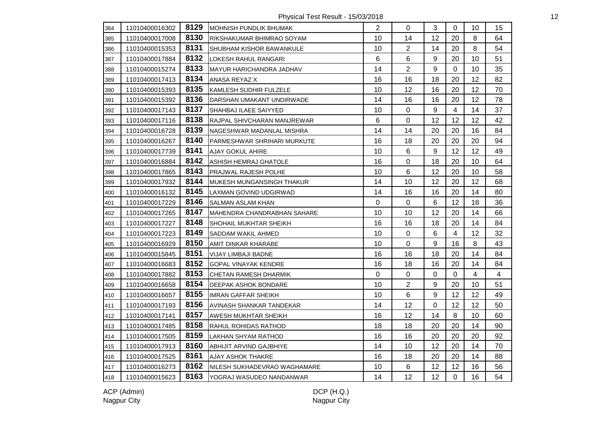Physical Test Result - 15/03/2018 12

| 384 | 11010400016302 | 8129 | IMOHNISH PUNDLIK BHUMAK            | $\overline{2}$ | $\Omega$       | 3                | $\Omega$       | 10             | 15             |
|-----|----------------|------|------------------------------------|----------------|----------------|------------------|----------------|----------------|----------------|
| 385 | 11010400017008 | 8130 | RIKSHAKUMAR BHIMRAO SOYAM          | 10             | 14             | 12               | 20             | 8              | 64             |
| 386 | 11010400015353 | 8131 | ISHUBHAM KISHOR BAWANKULE          | 10             | $\overline{2}$ | 14               | 20             | 8              | 54             |
| 387 | 11010400017884 | 8132 | LOKESH RAHUL RANGARI               | 6              | 6              | 9                | 20             | 10             | 51             |
| 388 | 11010400015274 | 8133 | <b>MAYUR HARICHANDRA JADHAV</b>    | 14             | $\overline{2}$ | 9                | $\overline{0}$ | 10             | 35             |
| 389 | 11010400017413 | 8134 | ANASA REYAZ X                      | 16             | 16             | 18               | 20             | 12             | 82             |
| 390 | 11010400015393 | 8135 | KAMLESH SUDHIR FULZELE             | 10             | 12             | 16               | 20             | 12             | 70             |
| 391 | 11010400015392 | 8136 | DARSHAN UMAKANT UNDIRWADE          | 14             | 16             | 16               | 20             | 12             | 78             |
| 392 | 11010400017143 | 8137 | SHAHBAJ ILAEE SAIYYED              | 10             | 0              | 9                | $\overline{4}$ | 14             | 37             |
| 393 | 11010400017116 | 8138 | RAJPAL SHIVCHARAN MANJREWAR        | 6              | 0              | 12               | 12             | 12             | 42             |
| 394 | 11010400016728 | 8139 | INAGESHWAR MADANLAL MISHRA         | 14             | 14             | 20               | 20             | 16             | 84             |
| 395 | 11010400016267 | 8140 | <b>PARMESHWAR SHRIHARI MURKUTE</b> | 16             | 18             | 20               | 20             | 20             | 94             |
| 396 | 11010400017739 | 8141 | <b>AJAY GOKUL AHIRE</b>            | 10             | 6              | $\boldsymbol{9}$ | 12             | 12             | 49             |
| 397 | 11010400016884 | 8142 | ASHISH HEMRAJ GHATOLE              | 16             | 0              | 18               | 20             | 10             | 64             |
| 398 | 11010400017865 | 8143 | <b>PRAJWAL RAJESH POLHE</b>        | 10             | 6              | 12               | 20             | 10             | 58             |
| 399 | 11010400017932 | 8144 | <b>MUKESH MUNGANSINGH THAKUR</b>   | 14             | 10             | 12               | 20             | 12             | 68             |
| 400 | 11010400016132 | 8145 | LAXMAN GOVIND UDGIRWAD             | 14             | 16             | 16               | 20             | 14             | 80             |
| 401 | 11010400017229 | 8146 | <b>SALMAN ASLAM KHAN</b>           | 0              | $\mathbf 0$    | 6                | 12             | 18             | 36             |
| 402 | 11010400017265 | 8147 | MAHENDRA CHANDRABHAN SAHARE        | 10             | 10             | 12               | 20             | 14             | 66             |
| 403 | 11010400017227 | 8148 | SHOHAIL MUKHTAR SHEIKH             | 16             | 16             | 18               | 20             | 14             | 84             |
| 404 | 11010400017223 | 8149 | SADDAM WAKIL AHMED                 | 10             | 0              | 6                | $\overline{4}$ | 12             | 32             |
| 405 | 11010400016929 | 8150 | AMIT DINKAR KHARABE                | 10             | $\mathbf 0$    | 9                | 16             | 8              | 43             |
| 406 | 11010400015845 | 8151 | VIJAY LIMBAJI BADNE                | 16             | 16             | 18               | 20             | 14             | 84             |
| 407 | 11010400016683 | 8152 | <b>GOPAL VINAYAK KENDRE</b>        | 16             | 18             | 16               | 20             | 14             | 84             |
| 408 | 11010400017882 | 8153 | CHETAN RAMESH DHARMIK              | 0              | $\mathbf 0$    | $\mathsf 0$      | $\mathbf 0$    | $\overline{4}$ | $\overline{4}$ |
| 409 | 11010400016658 | 8154 | <b>DEEPAK ASHOK BONDARE</b>        | 10             | $\overline{2}$ | 9                | 20             | 10             | 51             |
| 410 | 11010400016657 | 8155 | <b>IMRAN GAFFAR SHEIKH</b>         | 10             | 6              | 9                | 12             | 12             | 49             |
| 411 | 11010400017193 | 8156 | AVINASH SHANKAR TANDEKAR           | 14             | 12             | 0                | 12             | 12             | 50             |
| 412 | 11010400017141 | 8157 | <b>AWESH MUKHTAR SHEIKH</b>        | 16             | 12             | 14               | 8              | 10             | 60             |
| 413 | 11010400017485 | 8158 | RAHUL ROHIDAS RATHOD               | 18             | 18             | 20               | 20             | 14             | 90             |
| 414 | 11010400017505 | 8159 | LAKHAN SHYAM RATHOD                | 16             | 16             | 20               | 20             | 20             | 92             |
| 415 | 11010400017913 | 8160 | <b>ABHIJIT ARVIND GAJBHIYE</b>     | 14             | 10             | 12               | 20             | 14             | 70             |
| 416 | 11010400017525 | 8161 | <b>AJAY ASHOK THAKRE</b>           | 16             | 18             | 20               | 20             | 14             | 88             |
| 417 | 11010400016273 | 8162 | NILESH SUKHADEVRAO WAGHAMARE       | 10             | 6              | 12               | 12             | 16             | 56             |
| 418 | 11010400015623 | 8163 | YOGRAJ WASUDEO NANDANWAR           | 14             | 12             | 12               | $\overline{0}$ | 16             | 54             |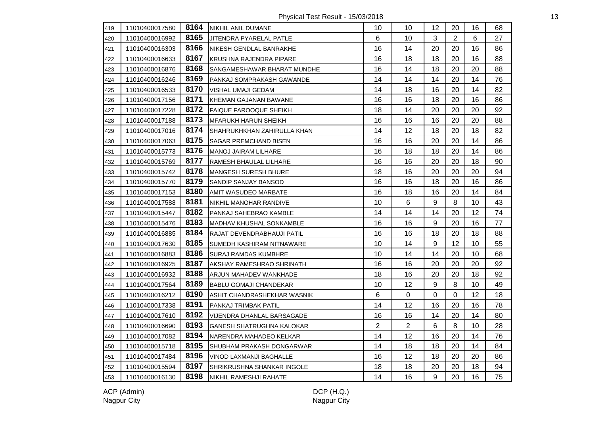Physical Test Result - 15/03/2018 13

| 419 | 11010400017580 | 8164 | NIKHIL ANIL DUMANE               | 10             | 10             | 12 | 20             | 16 | 68 |
|-----|----------------|------|----------------------------------|----------------|----------------|----|----------------|----|----|
| 420 | 11010400016992 | 8165 | JITENDRA PYARELAL PATLE          | 6              | 10             | 3  | $\overline{2}$ | 6  | 27 |
| 421 | 11010400016303 | 8166 | NIKESH GENDLAL BANRAKHE          | 16             | 14             | 20 | 20             | 16 | 86 |
| 422 | 11010400016633 | 8167 | KRUSHNA RAJENDRA PIPARE          | 16             | 18             | 18 | 20             | 16 | 88 |
| 423 | 11010400016876 | 8168 | SANGAMESHAWAR BHARAT MUNDHE      | 16             | 14             | 18 | 20             | 20 | 88 |
| 424 | 11010400016246 | 8169 | PANKAJ SOMPRAKASH GAWANDE        | 14             | 14             | 14 | 20             | 14 | 76 |
| 425 | 11010400016533 | 8170 | VISHAL UMAJI GEDAM               | 14             | 18             | 16 | 20             | 14 | 82 |
| 426 | 11010400017156 | 8171 | KHEMAN GAJANAN BAWANE            | 16             | 16             | 18 | 20             | 16 | 86 |
| 427 | 11010400017228 | 8172 | <b>FAIQUE FAROOQUE SHEIKH</b>    | 18             | 14             | 20 | 20             | 20 | 92 |
| 428 | 11010400017188 | 8173 | <b>MFARUKH HARUN SHEIKH</b>      | 16             | 16             | 16 | 20             | 20 | 88 |
| 429 | 11010400017016 | 8174 | SHAHRUKHKHAN ZAHIRULLA KHAN      | 14             | 12             | 18 | 20             | 18 | 82 |
| 430 | 11010400017063 | 8175 | <b>I</b> SAGAR PREMCHAND BISEN   | 16             | 16             | 20 | 20             | 14 | 86 |
| 431 | 11010400015773 | 8176 | MANOJ JAIRAM LILHARE             | 16             | 18             | 18 | 20             | 14 | 86 |
| 432 | 11010400015769 | 8177 | RAMESH BHAULAL LILHARE           | 16             | 16             | 20 | 20             | 18 | 90 |
| 433 | 11010400015742 | 8178 | MANGESH SURESH BHURE             | 18             | 16             | 20 | 20             | 20 | 94 |
| 434 | 11010400015770 | 8179 | SANDIP SANJAY BANSOD             | 16             | 16             | 18 | 20             | 16 | 86 |
| 435 | 11010400017153 | 8180 | <b>AMIT WASUDEO MARBATE</b>      | 16             | 18             | 16 | 20             | 14 | 84 |
| 436 | 11010400017588 | 8181 | NIKHIL MANOHAR RANDIVE           | 10             | 6              | 9  | 8              | 10 | 43 |
| 437 | 11010400015447 | 8182 | PANKAJ SAHEBRAO KAMBLE           | 14             | 14             | 14 | 20             | 12 | 74 |
| 438 | 11010400015476 | 8183 | MADHAV KHUSHAL SONKAMBLE         | 16             | 16             | 9  | 20             | 16 | 77 |
| 439 | 11010400016885 | 8184 | RAJAT DEVENDRABHAUJI PATIL       | 16             | 16             | 18 | 20             | 18 | 88 |
| 440 | 11010400017630 | 8185 | SUMEDH KASHIRAM NITNAWARE        | 10             | 14             | 9  | 12             | 10 | 55 |
| 441 | 11010400016883 | 8186 | SURAJ RAMDAS KUMBHRE             | 10             | 14             | 14 | 20             | 10 | 68 |
| 442 | 11010400016925 | 8187 | AKSHAY RAMESHRAO SHRINATH        | 16             | 16             | 20 | 20             | 20 | 92 |
| 443 | 11010400016932 | 8188 | ARJUN MAHADEV WANKHADE           | 18             | 16             | 20 | 20             | 18 | 92 |
| 444 | 11010400017564 | 8189 | <b>BABLU GOMAJI CHANDEKAR</b>    | 10             | 12             | 9  | 8              | 10 | 49 |
| 445 | 11010400016212 | 8190 | ASHIT CHANDRASHEKHAR WASNIK      | 6              | 0              | 0  | 0              | 12 | 18 |
| 446 | 11010400017338 | 8191 | PANKAJ TRIMBAK PATIL             | 14             | 12             | 16 | 20             | 16 | 78 |
| 447 | 11010400017610 | 8192 | VIJENDRA DHANLAL BARSAGADE       | 16             | 16             | 14 | 20             | 14 | 80 |
| 448 | 11010400016690 | 8193 | <b>GANESH SHATRUGHNA KALOKAR</b> | $\overline{2}$ | $\overline{2}$ | 6  | 8              | 10 | 28 |
| 449 | 11010400017082 | 8194 | NARENDRA MAHADEO KELKAR          | 14             | 12             | 16 | 20             | 14 | 76 |
| 450 | 11010400015718 | 8195 | SHUBHAM PRAKASH DONGARWAR        | 14             | 18             | 18 | 20             | 14 | 84 |
| 451 | 11010400017484 | 8196 | VINOD LAXMANJI BAGHALLE          | 16             | 12             | 18 | 20             | 20 | 86 |
| 452 | 11010400015594 | 8197 | SHRIKRUSHNA SHANKAR INGOLE       | 18             | 18             | 20 | 20             | 18 | 94 |
| 453 | 11010400016130 | 8198 | NIKHIL RAMESHJI RAHATE           | 14             | 16             | 9  | 20             | 16 | 75 |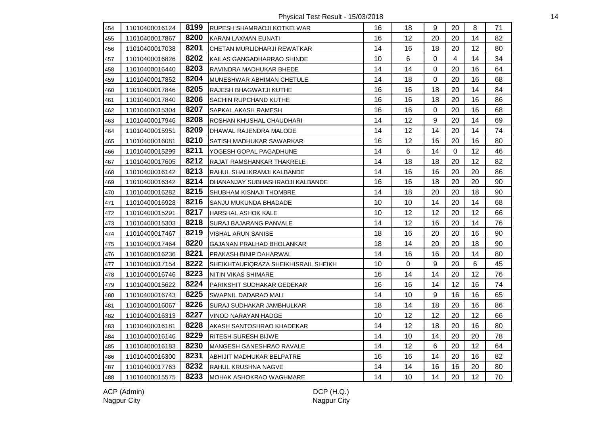Physical Test Result - 15/03/2018 14

| 454 | 11010400016124 | 8199 | <b>IRUPESH SHAMRAOJI KOTKELWAR</b>   | 16 | 18 | 9                | 20             | 8       | 71 |
|-----|----------------|------|--------------------------------------|----|----|------------------|----------------|---------|----|
| 455 | 11010400017867 | 8200 | KARAN LAXMAN EUNATI                  | 16 | 12 | 20               | 20             | 14      | 82 |
| 456 | 11010400017038 | 8201 | CHETAN MURLIDHARJI REWATKAR          | 14 | 16 | 18               | 20             | $12 \,$ | 80 |
| 457 | 11010400016826 | 8202 | KAILAS GANGADHARRAO SHINDE           | 10 | 6  | 0                | $\overline{4}$ | 14      | 34 |
| 458 | 11010400016440 | 8203 | RAVINDRA MADHUKAR BHEDE              | 14 | 14 | 0                | 20             | 16      | 64 |
| 459 | 11010400017852 | 8204 | MUNESHWAR ABHIMAN CHETULE            | 14 | 18 | 0                | 20             | 16      | 68 |
| 460 | 11010400017846 | 8205 | RAJESH BHAGWATJI KUTHE               | 16 | 16 | 18               | 20             | 14      | 84 |
| 461 | 11010400017840 | 8206 | <b>SACHIN RUPCHAND KUTHE</b>         | 16 | 16 | 18               | 20             | 16      | 86 |
| 462 | 11010400015304 | 8207 | SAPKAL AKASH RAMESH                  | 16 | 16 | 0                | 20             | 16      | 68 |
| 463 | 11010400017946 | 8208 | ROSHAN KHUSHAL CHAUDHARI             | 14 | 12 | 9                | 20             | 14      | 69 |
| 464 | 11010400015951 | 8209 | DHAWAL RAJENDRA MALODE               | 14 | 12 | 14               | 20             | 14      | 74 |
| 465 | 11010400016081 | 8210 | SATISH MADHUKAR SAWARKAR             | 16 | 12 | 16               | 20             | 16      | 80 |
| 466 | 11010400015299 | 8211 | YOGESH GOPAL PAGADHUNE               | 14 | 6  | 14               | $\mathbf 0$    | 12      | 46 |
| 467 | 11010400017605 | 8212 | RAJAT RAMSHANKAR THAKRELE            | 14 | 18 | 18               | 20             | 12      | 82 |
| 468 | 11010400016142 | 8213 | RAHUL SHALIKRAMJI KALBANDE           | 14 | 16 | 16               | 20             | 20      | 86 |
| 469 | 11010400016342 | 8214 | DHANANJAY SUBHASHRAOJI KALBANDE      | 16 | 16 | 18               | 20             | 20      | 90 |
| 470 | 11010400016282 | 8215 | <b>SHUBHAM KISNAJI THOMBRE</b>       | 14 | 18 | 20               | 20             | 18      | 90 |
| 471 | 11010400016928 | 8216 | SANJU MUKUNDA BHADADE                | 10 | 10 | 14               | 20             | 14      | 68 |
| 472 | 11010400015291 | 8217 | <b>HARSHAL ASHOK KALE</b>            | 10 | 12 | 12               | 20             | 12      | 66 |
| 473 | 11010400015303 | 8218 | SURAJ BAJARANG PANVALE               | 14 | 12 | 16               | 20             | 14      | 76 |
| 474 | 11010400017467 | 8219 | <b>VISHAL ARUN SANISE</b>            | 18 | 16 | 20               | 20             | 16      | 90 |
| 475 | 11010400017464 | 8220 | GAJANAN PRALHAD BHOLANKAR            | 18 | 14 | 20               | 20             | 18      | 90 |
| 476 | 11010400016236 | 8221 | PRAKASH BINIP DAHARWAL               | 14 | 16 | 16               | 20             | 14      | 80 |
| 477 | 11010400017154 | 8222 | SHEIKHTAUFIQRAZA SHEIKHISRAIL SHEIKH | 10 | 0  | 9                | 20             | 6       | 45 |
| 478 | 11010400016746 | 8223 | NITIN VIKAS SHIMARE                  | 16 | 14 | 14               | 20             | 12      | 76 |
| 479 | 11010400015622 | 8224 | PARIKSHIT SUDHAKAR GEDEKAR           | 16 | 16 | 14               | 12             | 16      | 74 |
| 480 | 11010400016743 | 8225 | SWAPNIL DADARAO MALI                 | 14 | 10 | $\boldsymbol{9}$ | 16             | 16      | 65 |
| 481 | 11010400016067 | 8226 | SURAJ SUDHAKAR JAMBHULKAR            | 18 | 14 | 18               | 20             | 16      | 86 |
| 482 | 11010400016313 | 8227 | VINOD NARAYAN HADGE                  | 10 | 12 | 12               | 20             | 12      | 66 |
| 483 | 11010400016181 | 8228 | AKASH SANTOSHRAO KHADEKAR            | 14 | 12 | 18               | 20             | 16      | 80 |
| 484 | 11010400016146 | 8229 | RITESH SURESH BIJWE                  | 14 | 10 | 14               | 20             | 20      | 78 |
| 485 | 11010400016183 | 8230 | MANGESH GANESHRAO RAVALE             | 14 | 12 | 6                | 20             | 12      | 64 |
| 486 | 11010400016300 | 8231 | ABHIJIT MADHUKAR BELPATRE            | 16 | 16 | 14               | 20             | 16      | 82 |
| 487 | 11010400017763 | 8232 | RAHUL KRUSHNA NAGVE                  | 14 | 14 | 16               | 16             | 20      | 80 |
| 488 | 11010400015575 | 8233 | MOHAK ASHOKRAO WAGHMARE              | 14 | 10 | 14               | 20             | 12      | 70 |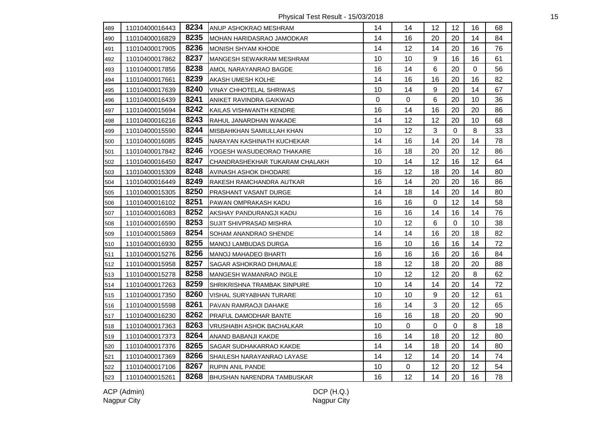Physical Test Result - 15/03/2018 15

| 489 | 11010400016443 | 8234 | ANUP ASHOKRAO MESHRAM           | 14 | 14             | 12               | 12          | 16      | 68 |
|-----|----------------|------|---------------------------------|----|----------------|------------------|-------------|---------|----|
| 490 | 11010400016829 | 8235 | MOHAN HARIDASRAO JAMODKAR       | 14 | 16             | 20               | 20          | 14      | 84 |
| 491 | 11010400017905 | 8236 | <b>MONISH SHYAM KHODE</b>       | 14 | 12             | 14               | 20          | 16      | 76 |
| 492 | 11010400017862 | 8237 | MANGESH SEWAKRAM MESHRAM        | 10 | 10             | 9                | 16          | 16      | 61 |
| 493 | 11010400017856 | 8238 | AMOL NARAYANRAO BAGDE           | 16 | 14             | 6                | 20          | 0       | 56 |
| 494 | 11010400017661 | 8239 | AKASH UMESH KOLHE               | 14 | 16             | 16               | 20          | 16      | 82 |
| 495 | 11010400017639 | 8240 | <b>VINAY CHHOTELAL SHRIWAS</b>  | 10 | 14             | 9                | 20          | 14      | 67 |
| 496 | 11010400016439 | 8241 | ANIKET RAVINDRA GAIKWAD         | 0  | $\mathbf 0$    | 6                | 20          | 10      | 36 |
| 497 | 11010400015694 | 8242 | KAILAS VISHWANTH KENDRE         | 16 | 14             | 16               | 20          | 20      | 86 |
| 498 | 11010400016216 | 8243 | RAHUL JANARDHAN WAKADE          | 14 | 12             | 12               | 20          | 10      | 68 |
| 499 | 11010400015590 | 8244 | MISBAHKHAN SAMIULLAH KHAN       | 10 | 12             | $\mathbf{3}$     | $\mathbf 0$ | 8       | 33 |
| 500 | 11010400016085 | 8245 | INARAYAN KASHINATH KUCHEKAR     | 14 | 16             | 14               | 20          | 14      | 78 |
| 501 | 11010400017842 | 8246 | YOGESH WASUDEORAO THAKARE       | 16 | 18             | 20               | 20          | $12 \,$ | 86 |
| 502 | 11010400016450 | 8247 | CHANDRASHEKHAR TUKARAM CHALAKH  | 10 | 14             | 12               | 16          | 12      | 64 |
| 503 | 11010400015309 | 8248 | AVINASH ASHOK DHODARE           | 16 | 12             | 18               | 20          | 14      | 80 |
| 504 | 11010400016449 | 8249 | RAKESH RAMCHANDRA AUTKAR        | 16 | 14             | 20               | 20          | 16      | 86 |
| 505 | 11010400015305 | 8250 | PRASHANT VASANT DURGE           | 14 | 18             | 14               | 20          | 14      | 80 |
| 506 | 11010400016102 | 8251 | <b>PAWAN OMPRAKASH KADU</b>     | 16 | 16             | 0                | 12          | 14      | 58 |
| 507 | 11010400016083 | 8252 | AKSHAY PANDURANGJI KADU         | 16 | 16             | 14               | 16          | 14      | 76 |
| 508 | 11010400016590 | 8253 | <b>SUJIT SHIVPRASAD MISHRA</b>  | 10 | 12             | $\,6$            | 0           | 10      | 38 |
| 509 | 11010400015869 | 8254 | SOHAM ANANDRAO SHENDE           | 14 | 14             | 16               | 20          | 18      | 82 |
| 510 | 11010400016930 | 8255 | MANOJ LAMBUDAS DURGA            | 16 | 10             | 16               | 16          | 14      | 72 |
| 511 | 11010400015276 | 8256 | MANOJ MAHADEO BHARTI            | 16 | 16             | 16               | 20          | 16      | 84 |
| 512 | 11010400015958 | 8257 | SAGAR ASHOKRAO DHUMALE          | 18 | 12             | 18               | 20          | 20      | 88 |
| 513 | 11010400015278 | 8258 | <b>MANGESH WAMANRAO INGLE</b>   | 10 | 12             | 12               | 20          | 8       | 62 |
| 514 | 11010400017263 | 8259 | SHRIKRISHNA TRAMBAK SINPURE     | 10 | 14             | 14               | 20          | 14      | 72 |
| 515 | 11010400017350 | 8260 | VISHAL SURYABHAN TURARE         | 10 | 10             | $\boldsymbol{9}$ | 20          | 12      | 61 |
| 516 | 11010400015598 | 8261 | PAVAN RAMRAOJI DAHAKE           | 16 | 14             | $\mathbf{3}$     | 20          | 12      | 65 |
| 517 | 11010400016230 | 8262 | PRAFUL DAMODHAR BANTE           | 16 | 16             | 18               | 20          | 20      | 90 |
| 518 | 11010400017363 | 8263 | <b>VRUSHABH ASHOK BACHALKAR</b> | 10 | $\overline{0}$ | $\mathbf 0$      | $\mathbf 0$ | 8       | 18 |
| 519 | 11010400017373 | 8264 | ANAND BABANJI KAKDE             | 16 | 14             | 18               | 20          | 12      | 80 |
| 520 | 11010400017376 | 8265 | SAGAR SUDHAKARRAO KAKDE         | 14 | 14             | 18               | 20          | 14      | 80 |
| 521 | 11010400017369 | 8266 | SHAILESH NARAYANRAO LAYASE      | 14 | 12             | 14               | 20          | 14      | 74 |
| 522 | 11010400017106 | 8267 | <b>RUPIN ANIL PANDE</b>         | 10 | $\mathbf 0$    | 12               | 20          | 12      | 54 |
| 523 | 11010400015261 | 8268 | BHUSHAN NARENDRA TAMBUSKAR      | 16 | 12             | 14               | 20          | 16      | 78 |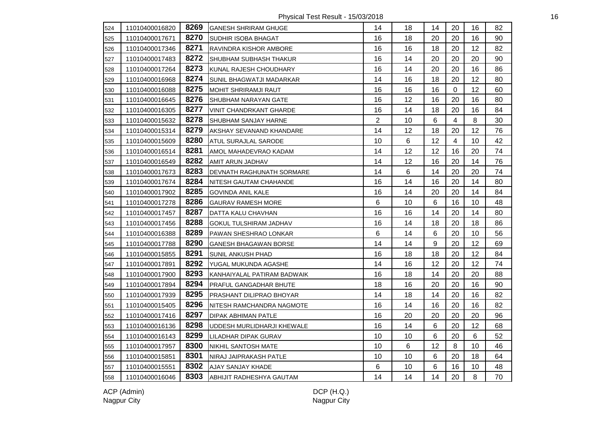Physical Test Result - 15/03/2018 16

| 524 | 11010400016820 | 8269 | GANESH SHRIRAM GHUGE            | 14             | 18 | 14 | 20             | 16 | 82 |
|-----|----------------|------|---------------------------------|----------------|----|----|----------------|----|----|
| 525 | 11010400017671 | 8270 | <b>SUDHIR ISOBA BHAGAT</b>      | 16             | 18 | 20 | 20             | 16 | 90 |
| 526 | 11010400017346 | 8271 | RAVINDRA KISHOR AMBORE          | 16             | 16 | 18 | 20             | 12 | 82 |
| 527 | 11010400017483 | 8272 | SHUBHAM SUBHASH THAKUR          | 16             | 14 | 20 | 20             | 20 | 90 |
| 528 | 11010400017264 | 8273 | KUNAL RAJESH CHOUDHARY          | 16             | 14 | 20 | 20             | 16 | 86 |
| 529 | 11010400016968 | 8274 | <b>SUNIL BHAGWATJI MADARKAR</b> | 14             | 16 | 18 | 20             | 12 | 80 |
| 530 | 11010400016088 | 8275 | MOHIT SHRIRAMJI RAUT            | 16             | 16 | 16 | 0              | 12 | 60 |
| 531 | 11010400016645 | 8276 | SHUBHAM NARAYAN GATE            | 16             | 12 | 16 | 20             | 16 | 80 |
| 532 | 11010400016305 | 8277 | <b>VINIT CHANDRKANT GHARDE</b>  | 16             | 14 | 18 | 20             | 16 | 84 |
| 533 | 11010400015632 | 8278 | SHUBHAM SANJAY HARNE            | $\overline{2}$ | 10 | 6  | $\overline{4}$ | 8  | 30 |
| 534 | 11010400015314 | 8279 | AKSHAY SEVANAND KHANDARE        | 14             | 12 | 18 | 20             | 12 | 76 |
| 535 | 11010400015609 | 8280 | <b>ATUL SURAJLAL SARODE</b>     | 10             | 6  | 12 | $\overline{4}$ | 10 | 42 |
| 536 | 11010400016514 | 8281 | AMOL MAHADEVRAO KADAM           | 14             | 12 | 12 | 16             | 20 | 74 |
| 537 | 11010400016549 | 8282 | <b>AMIT ARUN JADHAV</b>         | 14             | 12 | 16 | 20             | 14 | 76 |
| 538 | 11010400017673 | 8283 | DEVNATH RAGHUNATH SORMARE       | 14             | 6  | 14 | 20             | 20 | 74 |
| 539 | 11010400017674 | 8284 | NITESH GAUTAM CHAHANDE          | 16             | 14 | 16 | 20             | 14 | 80 |
| 540 | 11010400017902 | 8285 | <b>GOVINDA ANIL KALE</b>        | 16             | 14 | 20 | 20             | 14 | 84 |
| 541 | 11010400017278 | 8286 | <b>GAURAV RAMESH MORE</b>       | 6              | 10 | 6  | 16             | 10 | 48 |
| 542 | 11010400017457 | 8287 | DATTA KALU CHAVHAN              | 16             | 16 | 14 | 20             | 14 | 80 |
| 543 | 11010400017456 | 8288 | <b>GOKUL TULSHIRAM JADHAV</b>   | 16             | 14 | 18 | 20             | 18 | 86 |
| 544 | 11010400016388 | 8289 | PAWAN SHESHRAO LONKAR           | 6              | 14 | 6  | 20             | 10 | 56 |
| 545 | 11010400017788 | 8290 | GANESH BHAGAWAN BORSE           | 14             | 14 | 9  | 20             | 12 | 69 |
| 546 | 11010400015855 | 8291 | SUNIL ANKUSH PHAD               | 16             | 18 | 18 | 20             | 12 | 84 |
| 547 | 11010400017891 | 8292 | YUGAL MUKUNDA AGASHE            | 14             | 16 | 12 | 20             | 12 | 74 |
| 548 | 11010400017900 | 8293 | KANHAIYALAL PATIRAM BADWAIK     | 16             | 18 | 14 | 20             | 20 | 88 |
| 549 | 11010400017894 | 8294 | <b>PRAFUL GANGADHAR BHUTE</b>   | 18             | 16 | 20 | 20             | 16 | 90 |
| 550 | 11010400017939 | 8295 | <b>PRASHANT DILIPRAO BHOYAR</b> | 14             | 18 | 14 | 20             | 16 | 82 |
| 551 | 11010400015405 | 8296 | INITESH RAMCHANDRA NAGMOTE      | 16             | 14 | 16 | 20             | 16 | 82 |
| 552 | 11010400017416 | 8297 | DIPAK ABHIMAN PATLE             | 16             | 20 | 20 | 20             | 20 | 96 |
| 553 | 11010400016136 | 8298 | UDDESH MURLIDHARJI KHEWALE      | 16             | 14 | 6  | 20             | 12 | 68 |
| 554 | 11010400016143 | 8299 | LILADHAR DIPAK GURAV            | 10             | 10 | 6  | 20             | 6  | 52 |
| 555 | 11010400017957 | 8300 | NIKHIL SANTOSH MATE             | 10             | 6  | 12 | 8              | 10 | 46 |
| 556 | 11010400015851 | 8301 | NIRAJ JAIPRAKASH PATLE          | 10             | 10 | 6  | 20             | 18 | 64 |
| 557 | 11010400015551 | 8302 | AJAY SANJAY KHADE               | 6              | 10 | 6  | 16             | 10 | 48 |
| 558 | 11010400016046 | 8303 | ABHIJIT RADHESHYA GAUTAM        | 14             | 14 | 14 | 20             | 8  | 70 |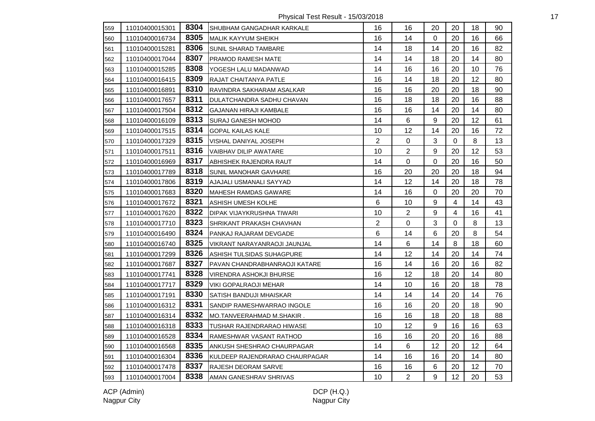Physical Test Result - 15/03/2018 17

| 559 | 11010400015301 | 8304 | SHUBHAM GANGADHAR KARKALE        | 16             | 16             | 20        | 20             | 18 | 90 |
|-----|----------------|------|----------------------------------|----------------|----------------|-----------|----------------|----|----|
| 560 | 11010400016734 | 8305 | <b>MALIK KAYYUM SHEIKH</b>       | 16             | 14             | 0         | 20             | 16 | 66 |
| 561 | 11010400015281 | 8306 | SUNIL SHARAD TAMBARE             | 14             | 18             | 14        | 20             | 16 | 82 |
| 562 | 11010400017044 | 8307 | PRAMOD RAMESH MATE               | 14             | 14             | 18        | 20             | 14 | 80 |
| 563 | 11010400015285 | 8308 | YOGESH LALU MADANWAD             | 14             | 16             | 16        | 20             | 10 | 76 |
| 564 | 11010400016415 | 8309 | RAJAT CHAITANYA PATLE            | 16             | 14             | 18        | 20             | 12 | 80 |
| 565 | 11010400016891 | 8310 | RAVINDRA SAKHARAM ASALKAR        | 16             | 16             | 20        | 20             | 18 | 90 |
| 566 | 11010400017657 | 8311 | DULATCHANDRA SADHU CHAVAN        | 16             | 18             | 18        | 20             | 16 | 88 |
| 567 | 11010400017504 | 8312 | <b>GAJANAN HIRAJI KAMBALE</b>    | 16             | 16             | 14        | 20             | 14 | 80 |
| 568 | 11010400016109 | 8313 | <b>SURAJ GANESH MOHOD</b>        | 14             | 6              | 9         | 20             | 12 | 61 |
| 569 | 11010400017515 | 8314 | <b>GOPAL KAILAS KALE</b>         | 10             | 12             | 14        | 20             | 16 | 72 |
| 570 | 11010400017329 | 8315 | VISHAL DANIYAL JOSEPH            | $\overline{2}$ | $\mathbf 0$    | 3         | $\mathbf 0$    | 8  | 13 |
| 571 | 11010400017511 | 8316 | VAIBHAV DILIP AWATARE            | 10             | $\overline{2}$ | 9         | 20             | 12 | 53 |
| 572 | 11010400016969 | 8317 | ABHISHEK RAJENDRA RAUT           | 14             | $\mathbf 0$    | $\pmb{0}$ | 20             | 16 | 50 |
| 573 | 11010400017789 | 8318 | SUNIL MANOHAR GAVHARE            | 16             | 20             | 20        | 20             | 18 | 94 |
| 574 | 11010400017806 | 8319 | AJAJALI USMANALI SAYYAD          | 14             | 12             | 14        | 20             | 18 | 78 |
| 575 | 11010400017683 | 8320 | MAHESH RAMDAS GAWARE             | 14             | 16             | $\Omega$  | 20             | 20 | 70 |
| 576 | 11010400017672 | 8321 | <b>ASHISH UMESH KOLHE</b>        | 6              | 10             | 9         | $\overline{4}$ | 14 | 43 |
| 577 | 11010400017620 | 8322 | <b>DIPAK VIJAYKRUSHNA TIWARI</b> | 10             | $\overline{2}$ | 9         | $\overline{4}$ | 16 | 41 |
| 578 | 11010400017710 | 8323 | SHRIKANT PRAKASH CHAVHAN         | $\overline{c}$ | 0              | 3         | 0              | 8  | 13 |
| 579 | 11010400016490 | 8324 | PANKAJ RAJARAM DEVGADE           | 6              | 14             | 6         | 20             | 8  | 54 |
| 580 | 11010400016740 | 8325 | VIKRANT NARAYANRAOJI JAUNJAL     | 14             | 6              | 14        | 8              | 18 | 60 |
| 581 | 11010400017299 | 8326 | ASHISH TULSIDAS SUHAGPURE        | 14             | 12             | 14        | 20             | 14 | 74 |
| 582 | 11010400017687 | 8327 | PAVAN CHANDRABHANRAOJI KATARE    | 16             | 14             | 16        | 20             | 16 | 82 |
| 583 | 11010400017741 | 8328 | VIRENDRA ASHOKJI BHURSE          | 16             | 12             | 18        | 20             | 14 | 80 |
| 584 | 11010400017717 | 8329 | <b>VIKI GOPALRAOJI MEHAR</b>     | 14             | 10             | 16        | 20             | 18 | 78 |
| 585 | 11010400017191 | 8330 | SATISH BANDUJI MHAISKAR          | 14             | 14             | 14        | 20             | 14 | 76 |
| 586 | 11010400016312 | 8331 | SANDIP RAMESHWARRAO INGOLE       | 16             | 16             | 20        | 20             | 18 | 90 |
| 587 | 11010400016314 | 8332 | MO.TANVEERAHMAD M.SHAKIR.        | 16             | 16             | 18        | 20             | 18 | 88 |
| 588 | 11010400016318 | 8333 | TUSHAR RAJENDRARAO HIWASE        | 10             | 12             | 9         | 16             | 16 | 63 |
| 589 | 11010400016528 | 8334 | RAMESHWAR VASANT RATHOD          | 16             | 16             | 20        | 20             | 16 | 88 |
| 590 | 11010400016568 | 8335 | ANKUSH SHESHRAO CHAURPAGAR       | 14             | 6              | 12        | 20             | 12 | 64 |
| 591 | 11010400016304 | 8336 | KULDEEP RAJENDRARAO CHAURPAGAR   | 14             | 16             | 16        | 20             | 14 | 80 |
| 592 | 11010400017478 | 8337 | <b>RAJESH DEORAM SARVE</b>       | 16             | 16             | 6         | 20             | 12 | 70 |
| 593 | 11010400017004 | 8338 | AMAN GANESHRAV SHRIVAS           | 10             | $\overline{2}$ | 9         | 12             | 20 | 53 |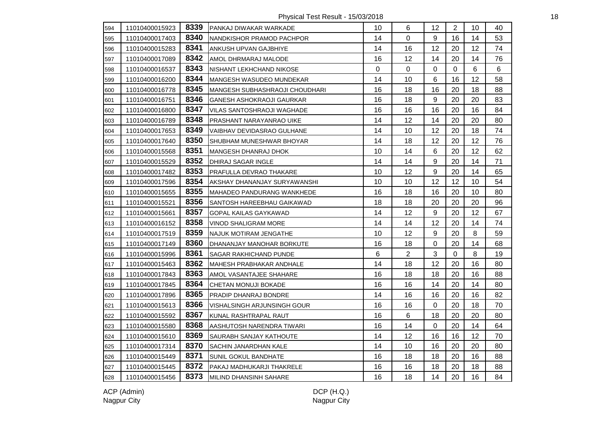Physical Test Result - 15/03/2018 18

| 594 | 11010400015923 | 8339 | PANKAJ DIWAKAR WARKADE         | 10 | 6              | 12               | $\overline{2}$ | 10 | 40 |
|-----|----------------|------|--------------------------------|----|----------------|------------------|----------------|----|----|
| 595 | 11010400017403 | 8340 | NANDKISHOR PRAMOD PACHPOR      | 14 | 0              | 9                | 16             | 14 | 53 |
| 596 | 11010400015283 | 8341 | ANKUSH UPVAN GAJBHIYE          | 14 | 16             | 12               | 20             | 12 | 74 |
| 597 | 11010400017089 | 8342 | AMOL DHRMARAJ MALODE           | 16 | 12             | 14               | 20             | 14 | 76 |
| 598 | 11010400016537 | 8343 | INISHANT LEKHCHAND NIKOSE      | 0  | $\mathbf 0$    | 0                | $\mathbf 0$    | 6  | 6  |
| 599 | 11010400016200 | 8344 | MANGESH WASUDEO MUNDEKAR       | 14 | 10             | 6                | 16             | 12 | 58 |
| 600 | 11010400016778 | 8345 | MANGESH SUBHASHRAOJI CHOUDHARI | 16 | 18             | 16               | 20             | 18 | 88 |
| 601 | 11010400016751 | 8346 | GANESH ASHOKRAOJI GAURKAR      | 16 | 18             | $\boldsymbol{9}$ | 20             | 20 | 83 |
| 602 | 11010400016800 | 8347 | VILAS SANTOSHRAOJI WAGHADE     | 16 | 16             | 16               | 20             | 16 | 84 |
| 603 | 11010400016789 | 8348 | PRASHANT NARAYANRAO UIKE       | 14 | 12             | 14               | 20             | 20 | 80 |
| 604 | 11010400017653 | 8349 | VAIBHAV DEVIDASRAO GULHANE     | 14 | 10             | 12               | 20             | 18 | 74 |
| 605 | 11010400017640 | 8350 | SHUBHAM MUNESHWAR BHOYAR       | 14 | 18             | 12               | 20             | 12 | 76 |
| 606 | 11010400015568 | 8351 | MANGESH DHANRAJ DHOK           | 10 | 14             | 6                | 20             | 12 | 62 |
| 607 | 11010400015529 | 8352 | DHIRAJ SAGAR INGLE             | 14 | 14             | 9                | 20             | 14 | 71 |
| 608 | 11010400017482 | 8353 | PRAFULLA DEVRAO THAKARE        | 10 | 12             | 9                | 20             | 14 | 65 |
| 609 | 11010400017596 | 8354 | AKSHAY DHANANJAY SURYAWANSHI   | 10 | 10             | 12               | 12             | 10 | 54 |
| 610 | 11010400015655 | 8355 | MAHADEO PANDURANG WANKHEDE     | 16 | 18             | 16               | 20             | 10 | 80 |
| 611 | 11010400015521 | 8356 | SANTOSH HAREEBHAU GAIKAWAD     | 18 | 18             | 20               | 20             | 20 | 96 |
| 612 | 11010400015661 | 8357 | GOPAL KAILAS GAYKAWAD          | 14 | 12             | $\boldsymbol{9}$ | 20             | 12 | 67 |
| 613 | 11010400016152 | 8358 | VINOD SHALIGRAM MORE           | 14 | 14             | 12               | 20             | 14 | 74 |
| 614 | 11010400017519 | 8359 | <b>INAJUK MOTIRAM JENGATHE</b> | 10 | 12             | 9                | 20             | 8  | 59 |
| 615 | 11010400017149 | 8360 | DHANANJAY MANOHAR BORKUTE      | 16 | 18             | 0                | 20             | 14 | 68 |
| 616 | 11010400015996 | 8361 | SAGAR RAKHICHAND PUNDE         | 6  | $\overline{2}$ | 3                | $\Omega$       | 8  | 19 |
| 617 | 11010400015463 | 8362 | MAHESH PRABHAKAR ANDHALE       | 14 | 18             | 12               | 20             | 16 | 80 |
| 618 | 11010400017843 | 8363 | AMOL VASANTAJEE SHAHARE        | 16 | 18             | 18               | 20             | 16 | 88 |
| 619 | 11010400017845 | 8364 | CHETAN MONUJI BOKADE           | 16 | 16             | 14               | 20             | 14 | 80 |
| 620 | 11010400017896 | 8365 | <b>PRADIP DHANRAJ BONDRE</b>   | 14 | 16             | 16               | 20             | 16 | 82 |
| 621 | 11010400015613 | 8366 | VISHALSINGH ARJUNSINGH GOUR    | 16 | 16             | $\mathbf 0$      | 20             | 18 | 70 |
| 622 | 11010400015592 | 8367 | KUNAL RASHTRAPAL RAUT          | 16 | 6              | 18               | 20             | 20 | 80 |
| 623 | 11010400015580 | 8368 | AASHUTOSH NARENDRA TIWARI      | 16 | 14             | $\mathbf 0$      | 20             | 14 | 64 |
| 624 | 11010400015610 | 8369 | SAURABH SANJAY KATHOUTE        | 14 | 12             | 16               | 16             | 12 | 70 |
| 625 | 11010400017314 | 8370 | <b>SACHIN JANARDHAN KALE</b>   | 14 | 10             | 16               | 20             | 20 | 80 |
| 626 | 11010400015449 | 8371 | <b>SUNIL GOKUL BANDHATE</b>    | 16 | 18             | 18               | 20             | 16 | 88 |
| 627 | 11010400015445 | 8372 | PAKAJ MADHUKARJI THAKRELE      | 16 | 16             | 18               | 20             | 18 | 88 |
| 628 | 11010400015456 | 8373 | MILIND DHANSINH SAHARE         | 16 | 18             | 14               | 20             | 16 | 84 |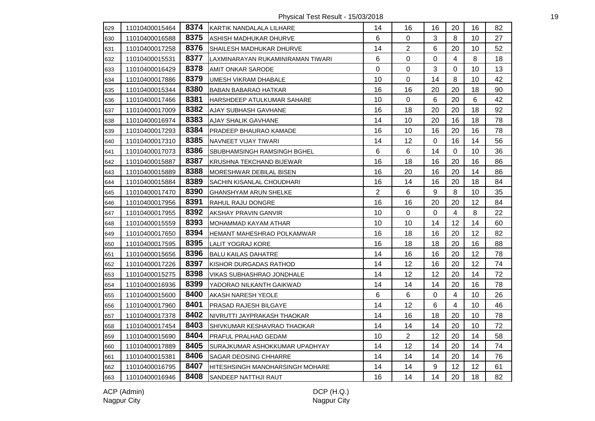Physical Test Result - 15/03/2018 19

| 629 | 11010400015464 |      | 8374 KARTIK NANDALALA LILHARE      | 14             | 16             | 16          | 20             | 16      | 82 |
|-----|----------------|------|------------------------------------|----------------|----------------|-------------|----------------|---------|----|
| 630 | 11010400016588 | 8375 | ASHISH MADHUKAR DHURVE             | 6              | 0              | 3           | 8              | 10      | 27 |
| 631 | 11010400017258 | 8376 | SHAILESH MADHUKAR DHURVE           | 14             | $\overline{2}$ | 6           | 20             | 10      | 52 |
| 632 | 11010400015531 | 8377 | LAXMINARAYAN RUKAMINIRAMAN TIWARI  | 6              | $\mathbf 0$    | 0           | $\overline{4}$ | 8       | 18 |
| 633 | 11010400016429 | 8378 | AMIT ONKAR SARODE                  | 0              | 0              | 3           | $\Omega$       | 10      | 13 |
| 634 | 11010400017886 | 8379 | UMESH VIKRAM DHABALE               | 10             | 0              | 14          | 8              | 10      | 42 |
| 635 | 11010400015344 | 8380 | BABAN BABARAO HATKAR               | 16             | 16             | 20          | 20             | 18      | 90 |
| 636 | 11010400017466 | 8381 | HARSHDEEP ATULKUMAR SAHARE         | 10             | 0              | $\,6\,$     | 20             | 6       | 42 |
| 637 | 11010400017009 | 8382 | AJAY SUBHASH GAVHANE               | 16             | 18             | 20          | 20             | 18      | 92 |
| 638 | 11010400016974 | 8383 | <b>AJAY SHALIK GAVHANE</b>         | 14             | 10             | 20          | 16             | 18      | 78 |
| 639 | 11010400017293 | 8384 | PRADEEP BHAURAO KAMADE             | 16             | 10             | 16          | 20             | 16      | 78 |
| 640 | 11010400017310 | 8385 | NAVNEET VIJAY TIWARI               | 14             | 12             | $\mathsf 0$ | 16             | 14      | 56 |
| 641 | 11010400017073 | 8386 | <b>SBUBHAMSINGH RAMSINGH BGHEL</b> | 6              | 6              | 14          | $\Omega$       | 10      | 36 |
| 642 | 11010400015887 | 8387 | KRUSHNA TEKCHAND BIJEWAR           | 16             | 18             | 16          | 20             | 16      | 86 |
| 643 | 11010400015889 | 8388 | MORESHWAR DEBILAL BISEN            | 16             | 20             | 16          | 20             | 14      | 86 |
| 644 | 11010400015884 | 8389 | SACHIN KISANLAL CHOUDHARI          | 16             | 14             | 16          | 20             | 18      | 84 |
| 645 | 11010400017470 | 8390 | <b>GHANSHYAM ARUN SHELKE</b>       | $\overline{2}$ | 6              | 9           | 8              | 10      | 35 |
| 646 | 11010400017956 | 8391 | <b>RAHUL RAJU DONGRE</b>           | 16             | 16             | 20          | 20             | 12      | 84 |
| 647 | 11010400017955 | 8392 | <b>AKSHAY PRAVIN GANVIR</b>        | 10             | 0              | 0           | $\overline{4}$ | 8       | 22 |
| 648 | 11010400015559 | 8393 | MOHAMMAD KAYAM ATHAR               | 10             | 10             | 14          | 12             | 14      | 60 |
| 649 | 11010400017650 | 8394 | IHEMANT MAHESHRAO POLKAMWAR        | 16             | 18             | 16          | 20             | 12      | 82 |
| 650 | 11010400017595 | 8395 | <b>LALIT YOGRAJ KORE</b>           | 16             | 18             | 18          | 20             | 16      | 88 |
| 651 | 11010400015656 | 8396 | <b>BALU KAILAS DAHATRE</b>         | 14             | 16             | 16          | 20             | 12      | 78 |
| 652 | 11010400017226 | 8397 | KISHOR DURGADAS RATHOD             | 14             | 12             | 16          | 20             | 12      | 74 |
| 653 | 11010400015275 | 8398 | VIKAS SUBHASHRAO JONDHALE          | 14             | 12             | 12          | 20             | 14      | 72 |
| 654 | 11010400016936 | 8399 | YADORAO NILKANTH GAIKWAD           | 14             | 14             | 14          | 20             | 16      | 78 |
| 655 | 11010400015600 | 8400 | AKASH NARESH YEOLE                 | 6              | 6              | $\pmb{0}$   | $\overline{4}$ | 10      | 26 |
| 656 | 11010400017960 | 8401 | <b>PRASAD RAJESH BILGAYE</b>       | 14             | 12             | $\,6\,$     | $\overline{4}$ | 10      | 46 |
| 657 | 11010400017378 | 8402 | NIVRUTTI JAYPRAKASH THAOKAR        | 14             | 16             | 18          | 20             | 10      | 78 |
| 658 | 11010400017454 | 8403 | SHIVKUMAR KESHAVRAO THAOKAR        | 14             | 14             | 14          | 20             | 10      | 72 |
| 659 | 11010400015690 | 8404 | PRAFUL PRALHAD GEDAM               | 10             | $\overline{2}$ | 12          | 20             | 14      | 58 |
| 660 | 11010400017889 | 8405 | SURAJKUMAR ASHOKKUMAR UPADHYAY     | 14             | 12             | 14          | 20             | 14      | 74 |
| 661 | 11010400015381 | 8406 | <b>SAGAR DEOSING CHHARRE</b>       | 14             | 14             | 14          | 20             | 14      | 76 |
| 662 | 11010400016795 | 8407 | HITESHSINGH MANOHARSINGH MOHARE    | 14             | 14             | 9           | 12             | $12 \,$ | 61 |
| 663 | 11010400016946 | 8408 | <b>SANDEEP NATTHJI RAUT</b>        | 16             | 14             | 14          | 20             | 18      | 82 |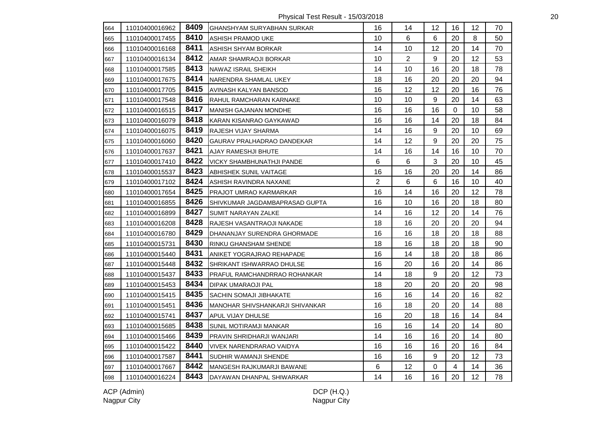Physical Test Result - 15/03/2018 20

| 664 | 11010400016962 | 8409 | IGHANSHYAM SURYABHAN SURKAR      | 16             | 14             | 12               | 16             | 12 | 70 |
|-----|----------------|------|----------------------------------|----------------|----------------|------------------|----------------|----|----|
| 665 | 11010400017455 | 8410 | ASHISH PRAMOD UKE                | 10             | 6              | 6                | 20             | 8  | 50 |
| 666 | 11010400016168 | 8411 | ASHISH SHYAM BORKAR              | 14             | 10             | 12               | 20             | 14 | 70 |
| 667 | 11010400016134 | 8412 | AMAR SHAMRAOJI BORKAR            | 10             | $\overline{2}$ | $\boldsymbol{9}$ | 20             | 12 | 53 |
| 668 | 11010400017585 | 8413 | NAWAZ ISRAIL SHEIKH              | 14             | 10             | 16               | 20             | 18 | 78 |
| 669 | 11010400017675 | 8414 | NARENDRA SHAMLAL UKEY            | 18             | 16             | 20               | 20             | 20 | 94 |
| 670 | 11010400017705 | 8415 | AVINASH KALYAN BANSOD            | 16             | 12             | 12               | 20             | 16 | 76 |
| 671 | 11010400017548 | 8416 | <b>RAHUL RAMCHARAN KARNAKE</b>   | 10             | 10             | 9                | 20             | 14 | 63 |
| 672 | 11010400016515 | 8417 | MANISH GAJANAN MONDHE            | 16             | 16             | 16               | 0              | 10 | 58 |
| 673 | 11010400016079 | 8418 | KARAN KISANRAO GAYKAWAD          | 16             | 16             | 14               | 20             | 18 | 84 |
| 674 | 11010400016075 | 8419 | RAJESH VIJAY SHARMA              | 14             | 16             | 9                | 20             | 10 | 69 |
| 675 | 11010400016060 | 8420 | GAURAV PRALHADRAO DANDEKAR       | 14             | 12             | 9                | 20             | 20 | 75 |
| 676 | 11010400017637 | 8421 | <b>AJAY RAMESHJI BHUTE</b>       | 14             | 16             | 14               | 16             | 10 | 70 |
| 677 | 11010400017410 | 8422 | <b>VICKY SHAMBHUNATHJI PANDE</b> | 6              | 6              | 3                | 20             | 10 | 45 |
| 678 | 11010400015537 | 8423 | ABHISHEK SUNIL VAITAGE           | 16             | 16             | 20               | 20             | 14 | 86 |
| 679 | 11010400017102 | 8424 | ASHISH RAVINDRA NAXANE           | $\overline{2}$ | 6              | 6                | 16             | 10 | 40 |
| 680 | 11010400017654 | 8425 | PRAJOT UMRAO KARMARKAR           | 16             | 14             | 16               | 20             | 12 | 78 |
| 681 | 11010400016855 | 8426 | SHIVKUMAR JAGDAMBAPRASAD GUPTA   | 16             | 10             | 16               | 20             | 18 | 80 |
| 682 | 11010400016899 | 8427 | <b>SUMIT NARAYAN ZALKE</b>       | 14             | 16             | 12               | 20             | 14 | 76 |
| 683 | 11010400016208 | 8428 | RAJESH VASANTRAOJI NAKADE        | 18             | 16             | 20               | 20             | 20 | 94 |
| 684 | 11010400016780 | 8429 | DHANANJAY SURENDRA GHORMADE      | 16             | 16             | 18               | 20             | 18 | 88 |
| 685 | 11010400015731 | 8430 | <b>RINKU GHANSHAM SHENDE</b>     | 18             | 16             | 18               | 20             | 18 | 90 |
| 686 | 11010400015440 | 8431 | ANIKET YOGRAJRAO REHAPADE        | 16             | 14             | 18               | 20             | 18 | 86 |
| 687 | 11010400015448 | 8432 | SHRIKANT ISHWARRAO DHULSE        | 16             | 20             | 16               | 20             | 14 | 86 |
| 688 | 11010400015437 | 8433 | PRAFUL RAMCHANDRRAO ROHANKAR     | 14             | 18             | 9                | 20             | 12 | 73 |
| 689 | 11010400015453 | 8434 | DIPAK UMARAOJI PAL               | 18             | 20             | 20               | 20             | 20 | 98 |
| 690 | 11010400015415 | 8435 | ISACHIN SOMAJI JIBHAKATE         | 16             | 16             | 14               | 20             | 16 | 82 |
| 691 | 11010400015451 | 8436 | MANOHAR SHIVSHANKARJI SHIVANKAR  | 16             | 18             | 20               | 20             | 14 | 88 |
| 692 | 11010400015741 | 8437 | APUL VIJAY DHULSE                | 16             | 20             | 18               | 16             | 14 | 84 |
| 693 | 11010400015685 | 8438 | <b>SUNIL MOTIRAMJI MANKAR</b>    | 16             | 16             | 14               | 20             | 14 | 80 |
| 694 | 11010400015466 | 8439 | PRAVIN SHRIDHARJI WANJARI        | 14             | 16             | 16               | 20             | 14 | 80 |
| 695 | 11010400015422 | 8440 | VIVEK NARENDRARAO VAIDYA         | 16             | 16             | 16               | 20             | 16 | 84 |
| 696 | 11010400017587 | 8441 | SUDHIR WAMANJI SHENDE            | 16             | 16             | $\boldsymbol{9}$ | 20             | 12 | 73 |
| 697 | 11010400017667 | 8442 | MANGESH RAJKUMARJI BAWANE        | 6              | 12             | $\mathsf 0$      | $\overline{4}$ | 14 | 36 |
| 698 | 11010400016224 | 8443 | DAYAWAN DHANPAL SHIWARKAR        | 14             | 16             | 16               | 20             | 12 | 78 |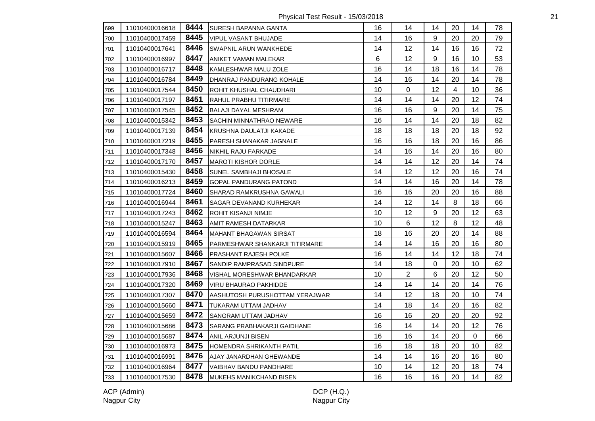Physical Test Result - 15/03/2018 21

| 699 | 11010400016618 | 8444 | SURESH BAPANNA GANTA            | 16 | 14             | 14 | 20 | 14 | 78 |
|-----|----------------|------|---------------------------------|----|----------------|----|----|----|----|
| 700 | 11010400017459 | 8445 | VIPUL VASANT BHUJADE            | 14 | 16             | 9  | 20 | 20 | 79 |
| 701 | 11010400017641 | 8446 | <b>SWAPNIL ARUN WANKHEDE</b>    | 14 | 12             | 14 | 16 | 16 | 72 |
| 702 | 11010400016997 | 8447 | ANIKET VAMAN MALEKAR            | 6  | 12             | 9  | 16 | 10 | 53 |
| 703 | 11010400016717 | 8448 | KAMLESHWAR MALU ZOLE            | 16 | 14             | 18 | 16 | 14 | 78 |
| 704 | 11010400016784 | 8449 | DHANRAJ PANDURANG KOHALE        | 14 | 16             | 14 | 20 | 14 | 78 |
| 705 | 11010400017544 | 8450 | <b>ROHIT KHUSHAL CHAUDHARI</b>  | 10 | $\Omega$       | 12 | 4  | 10 | 36 |
| 706 | 11010400017197 | 8451 | RAHUL PRABHU TITIRMARE          | 14 | 14             | 14 | 20 | 12 | 74 |
| 707 | 11010400017545 | 8452 | <b>BALAJI DAYAL MESHRAM</b>     | 16 | 16             | 9  | 20 | 14 | 75 |
| 708 | 11010400015342 | 8453 | <b>SACHIN MINNATHRAO NEWARE</b> | 16 | 14             | 14 | 20 | 18 | 82 |
| 709 | 11010400017139 | 8454 | KRUSHNA DAULATJI KAKADE         | 18 | 18             | 18 | 20 | 18 | 92 |
| 710 | 11010400017219 | 8455 | PARESH SHANAKAR JAGNALE         | 16 | 16             | 18 | 20 | 16 | 86 |
| 711 | 11010400017348 | 8456 | NIKHIL RAJU FARKADE             | 14 | 16             | 14 | 20 | 16 | 80 |
| 712 | 11010400017170 | 8457 | <b>MAROTI KISHOR DORLE</b>      | 14 | 14             | 12 | 20 | 14 | 74 |
| 713 | 11010400015430 | 8458 | <b>SUNEL SAMBHAJI BHOSALE</b>   | 14 | 12             | 12 | 20 | 16 | 74 |
| 714 | 11010400016213 | 8459 | GOPAL PANDURANG PATOND          | 14 | 14             | 16 | 20 | 14 | 78 |
| 715 | 11010400017724 | 8460 | SHARAD RAMKRUSHNA GAWALI        | 16 | 16             | 20 | 20 | 16 | 88 |
| 716 | 11010400016944 | 8461 | SAGAR DEVANAND KURHEKAR         | 14 | 12             | 14 | 8  | 18 | 66 |
| 717 | 11010400017243 | 8462 | ROHIT KISANJI NIMJE             | 10 | 12             | 9  | 20 | 12 | 63 |
| 718 | 11010400015247 | 8463 | AMIT RAMESH DATARKAR            | 10 | 6              | 12 | 8  | 12 | 48 |
| 719 | 11010400016594 | 8464 | MAHANT BHAGAWAN SIRSAT          | 18 | 16             | 20 | 20 | 14 | 88 |
| 720 | 11010400015919 | 8465 | PARMESHWAR SHANKARJI TITIRMARE  | 14 | 14             | 16 | 20 | 16 | 80 |
| 721 | 11010400015607 | 8466 | <b>PRASHANT RAJESH POLKE</b>    | 16 | 14             | 14 | 12 | 18 | 74 |
| 722 | 11010400017910 | 8467 | SANDIP RAMPRASAD SINDPURE       | 14 | 18             | 0  | 20 | 10 | 62 |
| 723 | 11010400017936 | 8468 | VISHAL MORESHWAR BHANDARKAR     | 10 | $\overline{2}$ | 6  | 20 | 12 | 50 |
| 724 | 11010400017320 | 8469 | <b>VIRU BHAURAO PAKHIDDE</b>    | 14 | 14             | 14 | 20 | 14 | 76 |
| 725 | 11010400017307 | 8470 | IAASHUTOSH PURUSHOTTAM YERAJWAR | 14 | 12             | 18 | 20 | 10 | 74 |
| 726 | 11010400015660 | 8471 | <b>TUKARAM UTTAM JADHAV</b>     | 14 | 18             | 14 | 20 | 16 | 82 |
| 727 | 11010400015659 | 8472 | SANGRAM UTTAM JADHAV            | 16 | 16             | 20 | 20 | 20 | 92 |
| 728 | 11010400015686 | 8473 | SARANG PRABHAKARJI GAIDHANE     | 16 | 14             | 14 | 20 | 12 | 76 |
| 729 | 11010400015687 | 8474 | ANIL ARJUNJI BISEN              | 16 | 16             | 14 | 20 | 0  | 66 |
| 730 | 11010400016973 | 8475 | HOMENDRA SHRIKANTH PATIL        | 16 | 18             | 18 | 20 | 10 | 82 |
| 731 | 11010400016991 | 8476 | AJAY JANARDHAN GHEWANDE         | 14 | 14             | 16 | 20 | 16 | 80 |
| 732 | 11010400016964 | 8477 | VAIBHAV BANDU PANDHARE          | 10 | 14             | 12 | 20 | 18 | 74 |
| 733 | 11010400017530 | 8478 | <b>MUKEHS MANIKCHAND BISEN</b>  | 16 | 16             | 16 | 20 | 14 | 82 |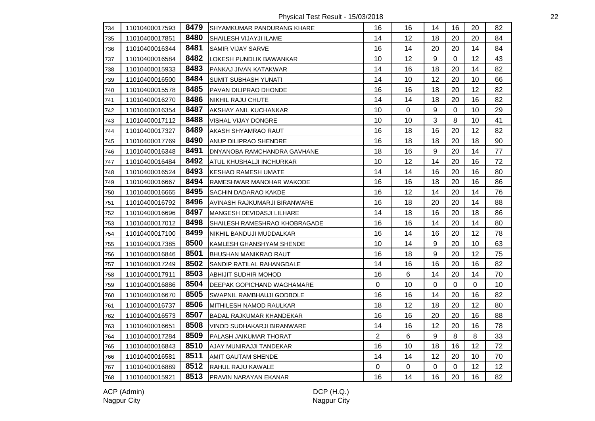Physical Test Result - 15/03/2018 22

| 734 | 11010400017593 | 8479 | <b>SHYAMKUMAR PANDURANG KHARE</b>  | 16 | 16               | 14 | 16        | 20 | 82 |
|-----|----------------|------|------------------------------------|----|------------------|----|-----------|----|----|
| 735 | 11010400017851 | 8480 | <b>SHAILESH VIJAYJI ILAME</b>      | 14 | 12               | 18 | 20        | 20 | 84 |
| 736 | 11010400016344 | 8481 | <b>SAMIR VIJAY SARVE</b>           | 16 | 14               | 20 | 20        | 14 | 84 |
| 737 | 11010400016584 | 8482 | LOKESH PUNDLIK BAWANKAR            | 10 | 12               | 9  | 0         | 12 | 43 |
| 738 | 11010400015933 | 8483 | PANKAJ JIVAN KATAKWAR              | 14 | 16               | 18 | 20        | 14 | 82 |
| 739 | 11010400016500 | 8484 | <b>SUMIT SUBHASH YUNATI</b>        | 14 | 10               | 12 | 20        | 10 | 66 |
| 740 | 11010400015578 | 8485 | PAVAN DILIPRAO DHONDE              | 16 | 16               | 18 | 20        | 12 | 82 |
| 741 | 11010400016270 | 8486 | <b>NIKHIL RAJU CHUTE</b>           | 14 | 14               | 18 | 20        | 16 | 82 |
| 742 | 11010400016354 | 8487 | AKSHAY ANIL KUCHANKAR              | 10 | $\boldsymbol{0}$ | 9  | $\pmb{0}$ | 10 | 29 |
| 743 | 11010400017112 | 8488 | VISHAL VIJAY DONGRE                | 10 | 10               | 3  | 8         | 10 | 41 |
| 744 | 11010400017327 | 8489 | AKASH SHYAMRAO RAUT                | 16 | 18               | 16 | 20        | 12 | 82 |
| 745 | 11010400017769 | 8490 | ANUP DILIPRAO SHENDRE              | 16 | 18               | 18 | 20        | 18 | 90 |
| 746 | 11010400016348 | 8491 | <b>DNYANOBA RAMCHANDRA GAVHANE</b> | 18 | 16               | 9  | 20        | 14 | 77 |
| 747 | 11010400016484 | 8492 | ATUL KHUSHALJI INCHURKAR           | 10 | 12               | 14 | 20        | 16 | 72 |
| 748 | 11010400016524 | 8493 | <b>KESHAO RAMESH UMATE</b>         | 14 | 14               | 16 | 20        | 16 | 80 |
| 749 | 11010400016667 | 8494 | RAMESHWAR MANOHAR WAKODE           | 16 | 16               | 18 | 20        | 16 | 86 |
| 750 | 11010400016665 | 8495 | <b>SACHIN DADARAO KAKDE</b>        | 16 | 12               | 14 | 20        | 14 | 76 |
| 751 | 11010400016792 | 8496 | AVINASH RAJKUMARJI BIRANWARE       | 16 | 18               | 20 | 20        | 14 | 88 |
| 752 | 11010400016696 | 8497 | MANGESH DEVIDASJI LILHARE          | 14 | 18               | 16 | 20        | 18 | 86 |
| 753 | 11010400017012 | 8498 | SHAILESH RAMESHRAO KHOBRAGADE      | 16 | 16               | 14 | 20        | 14 | 80 |
| 754 | 11010400017100 | 8499 | NIKHIL BANDUJI MUDDALKAR           | 16 | 14               | 16 | 20        | 12 | 78 |
| 755 | 11010400017385 | 8500 | KAMLESH GHANSHYAM SHENDE           | 10 | 14               | 9  | 20        | 10 | 63 |
| 756 | 11010400016846 | 8501 | <b>BHUSHAN MANIKRAO RAUT</b>       | 16 | 18               | 9  | 20        | 12 | 75 |
| 757 | 11010400017249 | 8502 | SANDIP RATILAL RAHANGDALE          | 14 | 16               | 16 | 20        | 16 | 82 |
| 758 | 11010400017911 | 8503 | <b>ABHIJIT SUDHIR MOHOD</b>        | 16 | 6                | 14 | 20        | 14 | 70 |
| 759 | 11010400016886 | 8504 | DEEPAK GOPICHAND WAGHAMARE         | 0  | 10               | 0  | 0         | 0  | 10 |
| 760 | 11010400016670 | 8505 | SWAPNIL RAMBHAUJI GODBOLE          | 16 | 16               | 14 | 20        | 16 | 82 |
| 761 | 11010400016737 | 8506 | MITHILESH NAMOD RAULKAR            | 18 | 12               | 18 | 20        | 12 | 80 |
| 762 | 11010400016573 | 8507 | <b>BADAL RAJKUMAR KHANDEKAR</b>    | 16 | 16               | 20 | 20        | 16 | 88 |
| 763 | 11010400016651 | 8508 | VINOD SUDHAKARJI BIRANWARE         | 14 | 16               | 12 | 20        | 16 | 78 |
| 764 | 11010400017284 | 8509 | PALASH JAIKUMAR THORAT             | 2  | 6                | 9  | 8         | 8  | 33 |
| 765 | 11010400016843 | 8510 | AJAY MUNIRAJJI TANDEKAR            | 16 | 10               | 18 | 16        | 12 | 72 |
| 766 | 11010400016581 | 8511 | AMIT GAUTAM SHENDE                 | 14 | 14               | 12 | 20        | 10 | 70 |
| 767 | 11010400016889 | 8512 | RAHUL RAJU KAWALE                  | 0  | $\mathbf 0$      | 0  | 0         | 12 | 12 |
| 768 | 11010400015921 | 8513 | PRAVIN NARAYAN EKANAR              | 16 | 14               | 16 | 20        | 16 | 82 |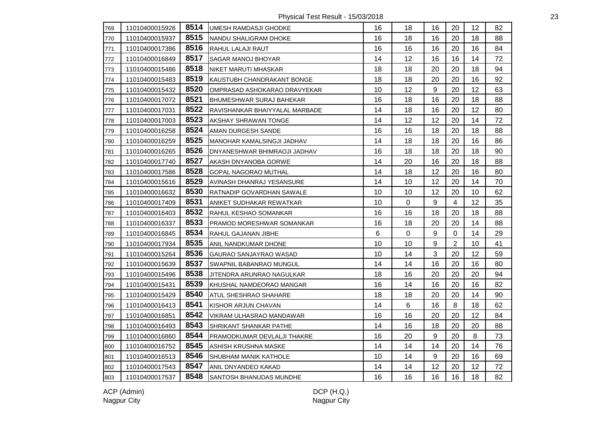Physical Test Result - 15/03/2018 23

| 769 | 11010400015926 |      | 8514   UMESH RAMDASJI GHODKE     | 16 | 18          | 16               | 20             | $12 \overline{ }$ | 82 |
|-----|----------------|------|----------------------------------|----|-------------|------------------|----------------|-------------------|----|
| 770 | 11010400015937 | 8515 | NANDU SHALIGRAM DHOKE            | 16 | 18          | 16               | 20             | 18                | 88 |
| 771 | 11010400017386 | 8516 | RAHUL LALAJI RAUT                | 16 | 16          | 16               | 20             | 16                | 84 |
| 772 | 11010400016849 | 8517 | SAGAR MANOJ BHOYAR               | 14 | 12          | 16               | 16             | 14                | 72 |
| 773 | 11010400015486 | 8518 | NIKET MARUTI MHASKAR             | 18 | 18          | 20               | 20             | 18                | 94 |
| 774 | 11010400015483 | 8519 | KAUSTUBH CHANDRAKANT BONGE       | 18 | 18          | 20               | 20             | 16                | 92 |
| 775 | 11010400015432 | 8520 | OMPRASAD ASHOKARAO DRAVYEKAR     | 10 | 12          | 9                | 20             | 12                | 63 |
| 776 | 11010400017072 | 8521 | BHUMESHWAR SURAJ BAHEKAR         | 16 | 18          | 16               | 20             | 18                | 88 |
| 777 | 11010400017031 | 8522 | RAVISHANKAR BHAIYYALAL MARBADE   | 14 | 18          | 16               | 20             | 12                | 80 |
| 778 | 11010400017003 | 8523 | AKSHAY SHRAWAN TONGE             | 14 | 12          | 12               | 20             | 14                | 72 |
| 779 | 11010400016258 | 8524 | AMAN DURGESH SANDE               | 16 | 16          | 18               | 20             | 18                | 88 |
| 780 | 11010400016259 | 8525 | MANOHAR KAMALSINGJI JADHAV       | 14 | 18          | 18               | 20             | 16                | 86 |
| 781 | 11010400016265 | 8526 | IDNYANESHWAR BHIMRAOJI JADHAV    | 16 | 18          | 18               | 20             | 18                | 90 |
| 782 | 11010400017740 | 8527 | AKASH DNYANOBA GORWE             | 14 | 20          | 16               | 20             | 18                | 88 |
| 783 | 11010400017586 | 8528 | GOPAL NAGORAO MUTHAL             | 14 | 18          | 12               | 20             | 16                | 80 |
| 784 | 11010400015616 | 8529 | AVINASH DHANRAJ YESANSURE        | 14 | 10          | 12               | 20             | 14                | 70 |
| 785 | 11010400016632 | 8530 | RATNADIP GOVARDHAN SAWALE        | 10 | 10          | 12               | 20             | 10                | 62 |
| 786 | 11010400017409 | 8531 | ANIKET SUDHAKAR REWATKAR         | 10 | 0           | 9                | $\overline{4}$ | 12                | 35 |
| 787 | 11010400016403 | 8532 | RAHUL KESHAO SOMANKAR            | 16 | 16          | 18               | 20             | 18                | 88 |
| 788 | 11010400016337 | 8533 | <b>PRAMOD MORESHWAR SOMANKAR</b> | 16 | 18          | 20               | 20             | 14                | 88 |
| 789 | 11010400016845 | 8534 | RAHUL GAJANAN JIBHE              | 6  | $\mathbf 0$ | 9                | $\mathbf 0$    | 14                | 29 |
| 790 | 11010400017934 | 8535 | ANIL NANDKUMAR DHONE             | 10 | 10          | 9                | $\overline{2}$ | 10                | 41 |
| 791 | 11010400015264 | 8536 | GAURAO SANJAYRAO WASAD           | 10 | 14          | 3                | 20             | 12                | 59 |
| 792 | 11010400015639 | 8537 | <b>SWAPNIL BABANRAO MUNGUL</b>   | 14 | 14          | 16               | 20             | 16                | 80 |
| 793 | 11010400015496 | 8538 | JITENDRA ARUNRAO NAGULKAR        | 18 | 16          | 20               | 20             | 20                | 94 |
| 794 | 11010400015431 | 8539 | KHUSHAL NAMDEORAO MANGAR         | 16 | 14          | 16               | 20             | 16                | 82 |
| 795 | 11010400015429 | 8540 | <b>ATUL SHESHRAO SHAHARE</b>     | 18 | 18          | 20               | 20             | 14                | 90 |
| 796 | 11010400016413 | 8541 | KISHOR ARJUN CHAVAN              | 14 | 6           | 16               | 8              | 18                | 62 |
| 797 | 11010400016851 | 8542 | VIKRAM ULHASRAO MANDAWAR         | 16 | 16          | 20               | 20             | 12                | 84 |
| 798 | 11010400016493 | 8543 | SHRIKANT SHANKAR PATHE           | 14 | 16          | 18               | 20             | 20                | 88 |
| 799 | 11010400016860 | 8544 | PRAMODKUMAR DEVLALJI THAKRE      | 16 | 20          | $\boldsymbol{9}$ | 20             | 8                 | 73 |
| 800 | 11010400016752 | 8545 | ASHISH KRUSHNA MASKE             | 14 | 14          | 14               | 20             | 14                | 76 |
| 801 | 11010400016513 | 8546 | <b>SHUBHAM MANIK KATHOLE</b>     | 10 | 14          | 9                | 20             | 16                | 69 |
| 802 | 11010400017543 | 8547 | ANIL DNYANDEO KAKAD              | 14 | 14          | 12               | 20             | $12 \,$           | 72 |
| 803 | 11010400017537 | 8548 | <b>SANTOSH BHANUDAS MUNDHE</b>   | 16 | 16          | 16               | 16             | 18                | 82 |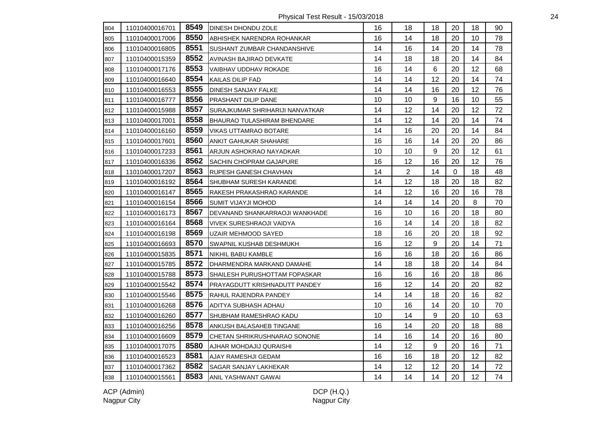Physical Test Result - 15/03/2018 24

| 804 | 11010400016701 | 8549 | <b>DINESH DHONDU ZOLE</b>            | 16 | 18             | 18               | 20       | 18 | 90 |
|-----|----------------|------|--------------------------------------|----|----------------|------------------|----------|----|----|
| 805 | 11010400017006 | 8550 | ABHISHEK NARENDRA ROHANKAR           | 16 | 14             | 18               | 20       | 10 | 78 |
| 806 | 11010400016805 | 8551 | SUSHANT ZUMBAR CHANDANSHIVE          | 14 | 16             | 14               | 20       | 14 | 78 |
| 807 | 11010400015359 | 8552 | AVINASH BAJIRAO DEVKATE              | 14 | 18             | 18               | 20       | 14 | 84 |
| 808 | 11010400017176 | 8553 | VAIBHAV UDDHAV ROKADE                | 16 | 14             | $\,6\,$          | 20       | 12 | 68 |
| 809 | 11010400016640 | 8554 | KAILAS DILIP FAD                     | 14 | 14             | 12               | 20       | 14 | 74 |
| 810 | 11010400016553 | 8555 | <b>DINESH SANJAY FALKE</b>           | 14 | 14             | 16               | 20       | 12 | 76 |
| 811 | 11010400016777 | 8556 | PRASHANT DILIP DANE                  | 10 | 10             | 9                | 16       | 10 | 55 |
| 812 | 11010400015988 | 8557 | SURAJKUMAR SHRIHARIJI NANVATKAR      | 14 | 12             | 14               | 20       | 12 | 72 |
| 813 | 11010400017001 | 8558 | <b>BHAURAO TULASHIRAM BHENDARE</b>   | 14 | 12             | 14               | 20       | 14 | 74 |
| 814 | 11010400016160 | 8559 | <b>VIKAS UTTAMRAO BOTARE</b>         | 14 | 16             | 20               | 20       | 14 | 84 |
| 815 | 11010400017601 | 8560 | <b>ANKIT GAHUKAR SHAHARE</b>         | 16 | 16             | 14               | 20       | 20 | 86 |
| 816 | 11010400017233 | 8561 | ARJUN ASHOKRAO NAYADKAR              | 10 | 10             | 9                | 20       | 12 | 61 |
| 817 | 11010400016336 | 8562 | SACHIN CHOPRAM GAJAPURE              | 16 | 12             | 16               | 20       | 12 | 76 |
| 818 | 11010400017207 | 8563 | <b>RUPESH GANESH CHAVHAN</b>         | 14 | $\overline{2}$ | 14               | $\Omega$ | 18 | 48 |
| 819 | 11010400016192 | 8564 | SHUBHAM SURESH KARANDE               | 14 | 12             | 18               | 20       | 18 | 82 |
| 820 | 11010400016147 | 8565 | RAKESH PRAKASHRAO KARANDE            | 14 | 12             | 16               | 20       | 16 | 78 |
| 821 | 11010400016154 | 8566 | SUMIT VIJAYJI MOHOD                  | 14 | 14             | 14               | 20       | 8  | 70 |
| 822 | 11010400016173 | 8567 | DEVANAND SHANKARRAOJI WANKHADE       | 16 | 10             | 16               | 20       | 18 | 80 |
| 823 | 11010400016164 | 8568 | <b>VIVEK SURESHRAOJI VAIDYA</b>      | 16 | 14             | 14               | 20       | 18 | 82 |
| 824 | 11010400016198 | 8569 | <b>UZAIR MEHMOOD SAYED</b>           | 18 | 16             | 20               | 20       | 18 | 92 |
| 825 | 11010400016693 | 8570 | SWAPNIL KUSHAB DESHMUKH              | 16 | 12             | $\boldsymbol{9}$ | 20       | 14 | 71 |
| 826 | 11010400015835 | 8571 | <b>NIKHIL BABU KAMBLE</b>            | 16 | 16             | 18               | 20       | 16 | 86 |
| 827 | 11010400015785 | 8572 | DHARMENDRA MARKAND DAMAHE            | 14 | 18             | 18               | 20       | 14 | 84 |
| 828 | 11010400015788 | 8573 | SHAILESH PURUSHOTTAM FOPASKAR        | 16 | 16             | 16               | 20       | 18 | 86 |
| 829 | 11010400015542 | 8574 | <b>PRAYAGDUTT KRISHNADUTT PANDEY</b> | 16 | 12             | 14               | 20       | 20 | 82 |
| 830 | 11010400015546 | 8575 | RAHUL RAJENDRA PANDEY                | 14 | 14             | 18               | 20       | 16 | 82 |
| 831 | 11010400016268 | 8576 | ADITYA SUBHASH ADHAU                 | 10 | 16             | 14               | 20       | 10 | 70 |
| 832 | 11010400016260 | 8577 | SHUBHAM RAMESHRAO KADU               | 10 | 14             | 9                | 20       | 10 | 63 |
| 833 | 11010400016256 | 8578 | <b>ANKUSH BALASAHEB TINGANE</b>      | 16 | 14             | 20               | 20       | 18 | 88 |
| 834 | 11010400016609 | 8579 | CHETAN SHRIKRUSHNARAO SONONE         | 14 | 16             | 14               | 20       | 16 | 80 |
| 835 | 11010400017075 | 8580 | AJHAR MOHDAJIJ QURAISHI              | 14 | 12             | 9                | 20       | 16 | 71 |
| 836 | 11010400016523 | 8581 | AJAY RAMESHJI GEDAM                  | 16 | 16             | 18               | 20       | 12 | 82 |
| 837 | 11010400017362 | 8582 | SAGAR SANJAY LAKHEKAR                | 14 | 12             | 12               | 20       | 14 | 72 |
| 838 | 11010400015561 | 8583 | ANIL YASHWANT GAWAI                  | 14 | 14             | 14               | 20       | 12 | 74 |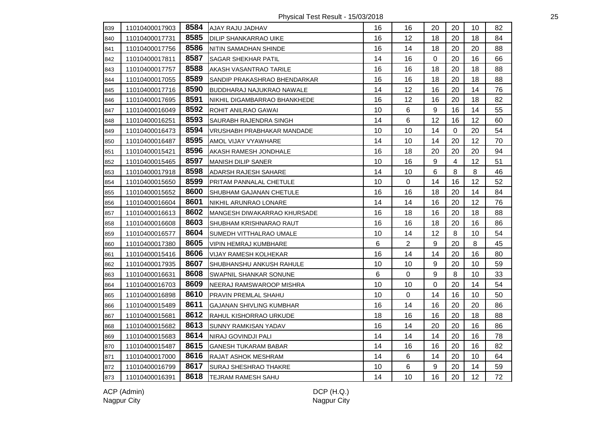Physical Test Result - 15/03/2018 25

| 839 | 11010400017903 | 8584 | AJAY RAJU JADHAV                | 16 | 16          | 20               | 20             | 10 | 82 |
|-----|----------------|------|---------------------------------|----|-------------|------------------|----------------|----|----|
| 840 | 11010400017731 | 8585 | <b>DILIP SHANKARRAO UIKE</b>    | 16 | 12          | 18               | 20             | 18 | 84 |
| 841 | 11010400017756 | 8586 | NITIN SAMADHAN SHINDE           | 16 | 14          | 18               | 20             | 20 | 88 |
| 842 | 11010400017811 | 8587 | SAGAR SHEKHAR PATIL             | 14 | 16          | $\mathbf 0$      | 20             | 16 | 66 |
| 843 | 11010400017757 | 8588 | AKASH VASANTRAO TARILE          | 16 | 16          | 18               | 20             | 18 | 88 |
| 844 | 11010400017055 | 8589 | SANDIP PRAKASHRAO BHENDARKAR    | 16 | 16          | 18               | 20             | 18 | 88 |
| 845 | 11010400017716 | 8590 | BUDDHARAJ NAJUKRAO NAWALE       | 14 | 12          | 16               | 20             | 14 | 76 |
| 846 | 11010400017695 | 8591 | NIKHIL DIGAMBARRAO BHANKHEDE    | 16 | 12          | 16               | 20             | 18 | 82 |
| 847 | 11010400016049 | 8592 | ROHIT ANILRAO GAWAI             | 10 | 6           | $\boldsymbol{9}$ | 16             | 14 | 55 |
| 848 | 11010400016251 | 8593 | SAURABH RAJENDRA SINGH          | 14 | 6           | 12               | 16             | 12 | 60 |
| 849 | 11010400016473 | 8594 | VRUSHABH PRABHAKAR MANDADE      | 10 | 10          | 14               | $\Omega$       | 20 | 54 |
| 850 | 11010400016487 | 8595 | AMOL VIJAY VYAWHARE             | 14 | 10          | 14               | 20             | 12 | 70 |
| 851 | 11010400015421 | 8596 | AKASH RAMESH JONDHALE           | 16 | 18          | 20               | 20             | 20 | 94 |
| 852 | 11010400015465 | 8597 | <b>MANISH DILIP SANER</b>       | 10 | 16          | $9\,$            | $\overline{4}$ | 12 | 51 |
| 853 | 11010400017918 | 8598 | ADARSH RAJESH SAHARE            | 14 | 10          | 6                | 8              | 8  | 46 |
| 854 | 11010400015650 | 8599 | PRITAM PANNALAL CHETULE         | 10 | 0           | 14               | 16             | 12 | 52 |
| 855 | 11010400015652 | 8600 | SHUBHAM GAJANAN CHETULE         | 16 | 16          | 18               | 20             | 14 | 84 |
| 856 | 11010400016604 | 8601 | NIKHIL ARUNRAO LONARE           | 14 | 14          | 16               | 20             | 12 | 76 |
| 857 | 11010400016613 | 8602 | MANGESH DIWAKARRAO KHURSADE     | 16 | 18          | 16               | 20             | 18 | 88 |
| 858 | 11010400016608 | 8603 | <b>SHUBHAM KRISHNARAO RAUT</b>  | 16 | 16          | 18               | 20             | 16 | 86 |
| 859 | 11010400016577 | 8604 | SUMEDH VITTHALRAO UMALE         | 10 | 14          | 12               | 8              | 10 | 54 |
| 860 | 11010400017380 | 8605 | <b>VIPIN HEMRAJ KUMBHARE</b>    | 6  | 2           | $9\,$            | 20             | 8  | 45 |
| 861 | 11010400015416 | 8606 | <b>VIJAY RAMESH KOLHEKAR</b>    | 16 | 14          | 14               | 20             | 16 | 80 |
| 862 | 11010400017935 | 8607 | <b>SHUBHANSHU ANKUSH RAHULE</b> | 10 | 10          | $9\,$            | 20             | 10 | 59 |
| 863 | 11010400016631 | 8608 | SWAPNIL SHANKAR SONUNE          | 6  | 0           | 9                | 8              | 10 | 33 |
| 864 | 11010400016703 | 8609 | NEERAJ RAMSWAROOP MISHRA        | 10 | 10          | 0                | 20             | 14 | 54 |
| 865 | 11010400016898 | 8610 | PRAVIN PREMLAL SHAHU            | 10 | $\mathbf 0$ | 14               | 16             | 10 | 50 |
| 866 | 11010400015489 | 8611 | <b>GAJANAN SHIVLING KUMBHAR</b> | 16 | 14          | 16               | 20             | 20 | 86 |
| 867 | 11010400015681 | 8612 | RAHUL KISHORRAO URKUDE          | 18 | 16          | 16               | 20             | 18 | 88 |
| 868 | 11010400015682 | 8613 | SUNNY RAMKISAN YADAV            | 16 | 14          | 20               | 20             | 16 | 86 |
| 869 | 11010400015683 | 8614 | NIRAJ GOVINDJI PALI             | 14 | 14          | 14               | 20             | 16 | 78 |
| 870 | 11010400015487 | 8615 | <b>GANESH TUKARAM BABAR</b>     | 14 | 16          | 16               | 20             | 16 | 82 |
| 871 | 11010400017000 | 8616 | RAJAT ASHOK MESHRAM             | 14 | 6           | 14               | 20             | 10 | 64 |
| 872 | 11010400016799 | 8617 | SURAJ SHESHRAO THAKRE           | 10 | 6           | 9                | 20             | 14 | 59 |
| 873 | 11010400016391 | 8618 | <b>TEJRAM RAMESH SAHU</b>       | 14 | 10          | 16               | 20             | 12 | 72 |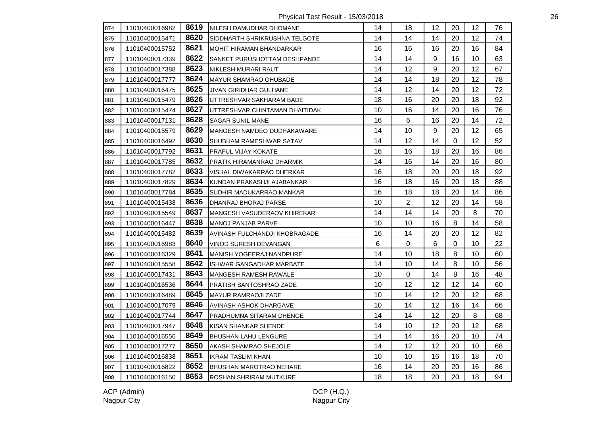Physical Test Result - 15/03/2018 26

| 874 | 11010400016982 | 8619 | INILESH DAMUDHAR DHOMANE        | 14 | 18             | 12      | 20          | $12 \overline{ }$ | 76 |
|-----|----------------|------|---------------------------------|----|----------------|---------|-------------|-------------------|----|
| 875 | 11010400015471 | 8620 | SIDDHARTH SHRIKRUSHNA TELGOTE   | 14 | 14             | 14      | 20          | 12                | 74 |
| 876 | 11010400015752 | 8621 | MOHIT HIRAMAN BHANDARKAR        | 16 | 16             | 16      | 20          | 16                | 84 |
| 877 | 11010400017339 | 8622 | SANKET PURUSHOTTAM DESHPANDE    | 14 | 14             | 9       | 16          | 10                | 63 |
| 878 | 11010400017388 | 8623 | NIKLESH MURARI RAUT             | 14 | 12             | 9       | 20          | 12                | 67 |
| 879 | 11010400017777 | 8624 | <b>MAYUR SHAMRAO GHUBADE</b>    | 14 | 14             | 18      | 20          | 12                | 78 |
| 880 | 11010400016475 | 8625 | JIVAN GIRIDHAR GULHANE          | 14 | 12             | 14      | 20          | 12                | 72 |
| 881 | 11010400015479 | 8626 | UTTRESHVAR SAKHARAM BADE        | 18 | 16             | 20      | 20          | 18                | 92 |
| 882 | 11010400015474 | 8627 | UTTRESHVAR CHINTAMAN DHAITIDAK  | 10 | 16             | 14      | 20          | 16                | 76 |
| 883 | 11010400017131 | 8628 | <b>SAGAR SUNIL MANE</b>         | 16 | 6              | 16      | 20          | 14                | 72 |
| 884 | 11010400015579 | 8629 | MANGESH NAMDEO DUDHAKAWARE      | 14 | 10             | 9       | 20          | 12                | 65 |
| 885 | 11010400016492 | 8630 | SHUBHAM RAMESHWAR SATAV         | 14 | 12             | 14      | $\mathbf 0$ | 12                | 52 |
| 886 | 11010400017792 | 8631 | PRAFUL VIJAY KOKATE             | 16 | 16             | 18      | 20          | 16                | 86 |
| 887 | 11010400017785 | 8632 | PRATIK HIRAMANRAO DHARMIK       | 14 | 16             | 14      | 20          | 16                | 80 |
| 888 | 11010400017782 | 8633 | VISHAL DIWAKARRAO DHERKAR       | 16 | 18             | 20      | 20          | 18                | 92 |
| 889 | 11010400017829 | 8634 | KUNDAN PRAKASHJI AJABANKAR      | 16 | 18             | 16      | 20          | 18                | 88 |
| 890 | 11010400017784 | 8635 | SUDHIR MADUKARRAO MANKAR        | 16 | 18             | 18      | 20          | 14                | 86 |
| 891 | 11010400015438 | 8636 | DHANRAJ BHORAJ PARSE            | 10 | $\overline{2}$ | 12      | 20          | 14                | 58 |
| 892 | 11010400015549 | 8637 | MANGESH VASUDERAOV KHIREKAR     | 14 | 14             | 14      | 20          | 8                 | 70 |
| 893 | 11010400016447 | 8638 | <b>MANOJ PANJAB PARVE</b>       | 10 | 10             | 16      | 8           | 14                | 58 |
| 894 | 11010400015482 | 8639 | AVINASH FULCHANDJI KHOBRAGADE   | 16 | 14             | 20      | 20          | 12                | 82 |
| 895 | 11010400016983 | 8640 | <b>VINOD SURESH DEVANGAN</b>    | 6  | $\mathbf 0$    | $\,6\,$ | $\mathbf 0$ | 10                | 22 |
| 896 | 11010400016329 | 8641 | <b>MANISH YOGEERAJ NANDPURE</b> | 14 | 10             | 18      | 8           | 10                | 60 |
| 897 | 11010400015558 | 8642 | <b>ISHWAR GANGADHAR MARBATE</b> | 14 | 10             | 14      | 8           | 10                | 56 |
| 898 | 11010400017431 | 8643 | <b>MANGESH RAMESH RAWALE</b>    | 10 | 0              | 14      | 8           | 16                | 48 |
| 899 | 11010400016536 | 8644 | PRATISH SANTOSHRAO ZADE         | 10 | 12             | 12      | 12          | 14                | 60 |
| 900 | 11010400016489 | 8645 | <b>MAYUR RAMRAOJI ZADE</b>      | 10 | 14             | 12      | 20          | 12                | 68 |
| 901 | 11010400017079 | 8646 | AVINASH ASHOK DHARGAVE          | 10 | 14             | 12      | 16          | 14                | 66 |
| 902 | 11010400017744 | 8647 | PRADHUMNA SITARAM DHENGE        | 14 | 14             | 12      | 20          | 8                 | 68 |
| 903 | 11010400017947 | 8648 | KISAN SHANKAR SHENDE            | 14 | 10             | 12      | 20          | 12                | 68 |
| 904 | 11010400016556 | 8649 | <b>BHUSHAN LAHU LENGURE</b>     | 14 | 14             | 16      | 20          | 10                | 74 |
| 905 | 11010400017277 | 8650 | AKASH SHAMRAO SHEJOLE           | 14 | 12             | 12      | 20          | 10                | 68 |
| 906 | 11010400016838 | 8651 | <b>IKRAM TASLIM KHAN</b>        | 10 | 10             | 16      | 16          | 18                | 70 |
| 907 | 11010400016822 | 8652 | <b>BHUSHAN MAROTRAO NEHARE</b>  | 16 | 14             | 20      | 20          | 16                | 86 |
| 908 | 11010400016150 | 8653 | <b>ROSHAN SHRIRAM MUTKURE</b>   | 18 | 18             | 20      | 20          | 18                | 94 |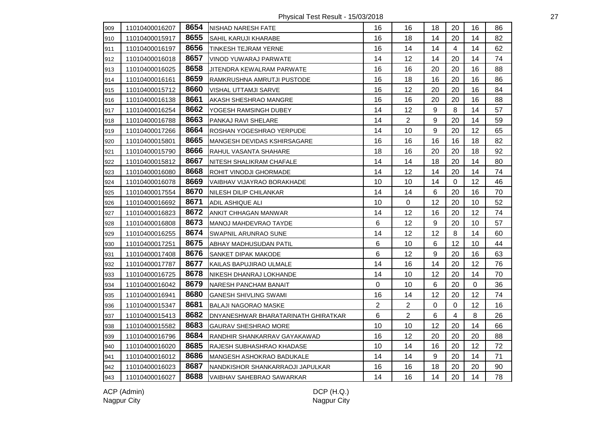Physical Test Result - 15/03/2018 27

| 909 | 11010400016207 | 8654 | NISHAD NARESH FATE                  | 16             | 16               | 18          | 20             | 16 | 86 |
|-----|----------------|------|-------------------------------------|----------------|------------------|-------------|----------------|----|----|
| 910 | 11010400015917 | 8655 | <b>SAHIL KARUJI KHARABE</b>         | 16             | 18               | 14          | 20             | 14 | 82 |
| 911 | 11010400016197 | 8656 | <b>TINKESH TEJRAM YERNE</b>         | 16             | 14               | 14          | $\overline{4}$ | 14 | 62 |
| 912 | 11010400016018 | 8657 | VINOD YUWARAJ PARWATE               | 14             | 12               | 14          | 20             | 14 | 74 |
| 913 | 11010400016025 | 8658 | JITENDRA KEWALRAM PARWATE           | 16             | 16               | 20          | 20             | 16 | 88 |
| 914 | 11010400016161 | 8659 | RAMKRUSHNA AMRUTJI PUSTODE          | 16             | 18               | 16          | 20             | 16 | 86 |
| 915 | 11010400015712 | 8660 | VISHAL UTTAMJI SARVE                | 16             | 12               | 20          | 20             | 16 | 84 |
| 916 | 11010400016138 | 8661 | AKASH SHESHRAO MANGRE               | 16             | 16               | 20          | 20             | 16 | 88 |
| 917 | 11010400016254 | 8662 | YOGESH RAMSINGH DUBEY               | 14             | 12               | 9           | 8              | 14 | 57 |
| 918 | 11010400016788 | 8663 | PANKAJ RAVI SHELARE                 | 14             | $\overline{2}$   | 9           | 20             | 14 | 59 |
| 919 | 11010400017266 | 8664 | ROSHAN YOGESHRAO YERPUDE            | 14             | 10               | 9           | 20             | 12 | 65 |
| 920 | 11010400015801 | 8665 | MANGESH DEVIDAS KSHIRSAGARE         | 16             | 16               | 16          | 16             | 18 | 82 |
| 921 | 11010400015790 | 8666 | RAHUL VASANTA SHAHARE               | 18             | 16               | 20          | 20             | 18 | 92 |
| 922 | 11010400015812 | 8667 | NITESH SHALIKRAM CHAFALE            | 14             | 14               | 18          | 20             | 14 | 80 |
| 923 | 11010400016080 | 8668 | ROHIT VINODJI GHORMADE              | 14             | 12               | 14          | 20             | 14 | 74 |
| 924 | 11010400016078 | 8669 | VAIBHAV VIJAYRAO BORAKHADE          | 10             | 10               | 14          | $\mathbf{0}$   | 12 | 46 |
| 925 | 11010400017554 | 8670 | NILESH DILIP CHILANKAR              | 14             | 14               | 6           | 20             | 16 | 70 |
| 926 | 11010400016692 | 8671 | ADIL ASHIQUE ALI                    | 10             | $\boldsymbol{0}$ | 12          | 20             | 10 | 52 |
| 927 | 11010400016823 | 8672 | ANKIT CHHAGAN MANWAR                | 14             | 12               | 16          | 20             | 12 | 74 |
| 928 | 11010400016808 | 8673 | MANOJ MAHDEVRAO TAYDE               | 6              | 12               | 9           | 20             | 10 | 57 |
| 929 | 11010400016255 | 8674 | SWAPNIL ARUNRAO SUNE                | 14             | 12               | 12          | 8              | 14 | 60 |
| 930 | 11010400017251 | 8675 | ABHAY MADHUSUDAN PATIL              | 6              | 10               | $\,6\,$     | 12             | 10 | 44 |
| 931 | 11010400017408 | 8676 | SANKET DIPAK MAKODE                 | 6              | 12               | 9           | 20             | 16 | 63 |
| 932 | 11010400017787 | 8677 | KAILAS BAPUJIRAO ULMALE             | 14             | 16               | 14          | 20             | 12 | 76 |
| 933 | 11010400016725 | 8678 | NIKESH DHANRAJ LOKHANDE             | 14             | 10               | 12          | 20             | 14 | 70 |
| 934 | 11010400016042 | 8679 | NARESH PANCHAM BANAIT               | 0              | 10               | 6           | 20             | 0  | 36 |
| 935 | 11010400016941 | 8680 | <b>GANESH SHIVLING SWAMI</b>        | 16             | 14               | 12          | 20             | 12 | 74 |
| 936 | 11010400015347 | 8681 | <b>BALAJI NAGORAO MASKE</b>         | $\overline{2}$ | $\overline{2}$   | $\mathbf 0$ | 0              | 12 | 16 |
| 937 | 11010400015413 | 8682 | DNYANESHWAR BHARATARINATH GHIRATKAR | 6              | $\overline{2}$   | 6           | 4              | 8  | 26 |
| 938 | 11010400015582 | 8683 | <b>GAURAV SHESHRAO MORE</b>         | 10             | 10               | 12          | 20             | 14 | 66 |
| 939 | 11010400016796 | 8684 | RANDHIR SHANKARRAV GAYAKAWAD        | 16             | 12               | 20          | 20             | 20 | 88 |
| 940 | 11010400016020 | 8685 | RAJESH SUBHASHRAO KHADASE           | 10             | 14               | 16          | 20             | 12 | 72 |
| 941 | 11010400016012 | 8686 | MANGESH ASHOKRAO BADUKALE           | 14             | 14               | 9           | 20             | 14 | 71 |
| 942 | 11010400016023 | 8687 | NANDKISHOR SHANKARRAOJI JAPULKAR    | 16             | 16               | 18          | 20             | 20 | 90 |
| 943 | 11010400016027 | 8688 | VAIBHAV SAHEBRAO SAWARKAR           | 14             | 16               | 14          | 20             | 14 | 78 |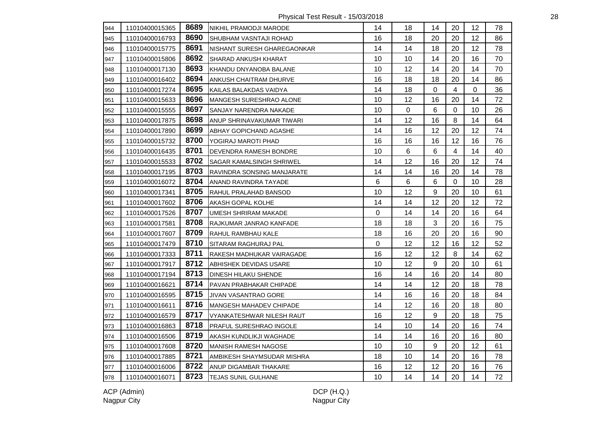Physical Test Result - 15/03/2018 28

| 944 | 11010400015365 | 8689 | NIKHIL PRAMODJI MARODE         | 14 | 18 | 14               | 20             | 12       | 78 |
|-----|----------------|------|--------------------------------|----|----|------------------|----------------|----------|----|
| 945 | 11010400016793 | 8690 | SHUBHAM VASNTAJI ROHAD         | 16 | 18 | 20               | 20             | 12       | 86 |
| 946 | 11010400015775 | 8691 | NISHANT SURESH GHAREGAONKAR    | 14 | 14 | 18               | 20             | 12       | 78 |
| 947 | 11010400015806 | 8692 | SHARAD ANKUSH KHARAT           | 10 | 10 | 14               | 20             | 16       | 70 |
| 948 | 11010400017130 | 8693 | KHANDU DNYANOBA BALANE         | 10 | 12 | 14               | 20             | 14       | 70 |
| 949 | 11010400016402 | 8694 | ANKUSH CHAITRAM DHURVE         | 16 | 18 | 18               | 20             | 14       | 86 |
| 950 | 11010400017274 | 8695 | KAILAS BALAKDAS VAIDYA         | 14 | 18 | $\Omega$         | $\overline{4}$ | $\Omega$ | 36 |
| 951 | 11010400015633 | 8696 | <b>MANGESH SURESHRAO ALONE</b> | 10 | 12 | 16               | 20             | 14       | 72 |
| 952 | 11010400015555 | 8697 | SANJAY NARENDRA NAKADE         | 10 | 0  | 6                | 0              | 10       | 26 |
| 953 | 11010400017875 | 8698 | ANUP SHRINAVAKUMAR TIWARI      | 14 | 12 | 16               | 8              | 14       | 64 |
| 954 | 11010400017890 | 8699 | ABHAY GOPICHAND AGASHE         | 14 | 16 | 12               | 20             | 12       | 74 |
| 955 | 11010400015732 | 8700 | YOGIRAJ MAROTI PHAD            | 16 | 16 | 16               | 12             | 16       | 76 |
| 956 | 11010400016435 | 8701 | <b>DEVENDRA RAMESH BONDRE</b>  | 10 | 6  | $6\phantom{1}$   | 4              | 14       | 40 |
| 957 | 11010400015533 | 8702 | SAGAR KAMALSINGH SHRIWEL       | 14 | 12 | 16               | 20             | 12       | 74 |
| 958 | 11010400017195 | 8703 | RAVINDRA SONSING MANJARATE     | 14 | 14 | 16               | 20             | 14       | 78 |
| 959 | 11010400016072 | 8704 | ANAND RAVINDRA TAYADE          | 6  | 6  | $6\phantom{1}$   | $\mathbf 0$    | 10       | 28 |
| 960 | 11010400017341 | 8705 | RAHUL PRALAHAD BANSOD          | 10 | 12 | $\boldsymbol{9}$ | 20             | 10       | 61 |
| 961 | 11010400017602 | 8706 | AKASH GOPAL KOLHE              | 14 | 14 | 12               | 20             | 12       | 72 |
| 962 | 11010400017526 | 8707 | UMESH SHRIRAM MAKADE           | 0  | 14 | 14               | 20             | 16       | 64 |
| 963 | 11010400017581 | 8708 | RAJKUMAR JANRAO KANFADE        | 18 | 18 | $\mathbf{3}$     | 20             | 16       | 75 |
| 964 | 11010400017607 | 8709 | RAHUL RAMBHAU KALE             | 18 | 16 | 20               | 20             | 16       | 90 |
| 965 | 11010400017479 | 8710 | <b>SITARAM RAGHURAJ PAL</b>    | 0  | 12 | 12               | 16             | 12       | 52 |
| 966 | 11010400017333 | 8711 | RAKESH MADHUKAR VAIRAGADE      | 16 | 12 | 12               | 8              | 14       | 62 |
| 967 | 11010400017917 | 8712 | ABHISHEK DEVIDAS USARE         | 10 | 12 | $9\,$            | 20             | 10       | 61 |
| 968 | 11010400017194 | 8713 | DINESH HILAKU SHENDE           | 16 | 14 | 16               | 20             | 14       | 80 |
| 969 | 11010400016621 | 8714 | PAVAN PRABHAKAR CHIPADE        | 14 | 14 | 12               | 20             | 18       | 78 |
| 970 | 11010400016595 | 8715 | JIVAN VASANTRAO GORE           | 14 | 16 | 16               | 20             | 18       | 84 |
| 971 | 11010400016611 | 8716 | <b>MANGESH MAHADEV CHIPADE</b> | 14 | 12 | 16               | 20             | 18       | 80 |
| 972 | 11010400016579 | 8717 | VYANKATESHWAR NILESH RAUT      | 16 | 12 | $9\,$            | 20             | 18       | 75 |
| 973 | 11010400016863 | 8718 | PRAFUL SURESHRAO INGOLE        | 14 | 10 | 14               | 20             | 16       | 74 |
| 974 | 11010400016506 | 8719 | AKASH KUNDLIKJI WAGHADE        | 14 | 14 | 16               | 20             | 16       | 80 |
| 975 | 11010400017608 | 8720 | MANISH RAMESH NAGOSE           | 10 | 10 | $\boldsymbol{9}$ | 20             | 12       | 61 |
| 976 | 11010400017885 | 8721 | AMBIKESH SHAYMSUDAR MISHRA     | 18 | 10 | 14               | 20             | 16       | 78 |
| 977 | 11010400016006 | 8722 | ANUP DIGAMBAR THAKARE          | 16 | 12 | 12               | 20             | 16       | 76 |
| 978 | 11010400016071 | 8723 | <b>TEJAS SUNIL GULHANE</b>     | 10 | 14 | 14               | 20             | 14       | 72 |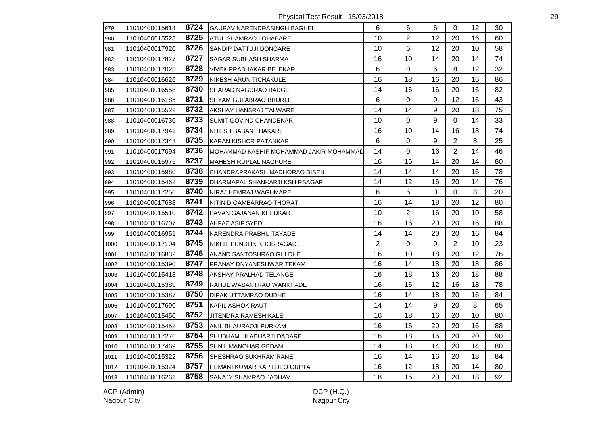Physical Test Result - 15/03/2018 29

| 979  | 11010400015614 | 8724 | <b>GAURAV NARENDRASINGH BAGHEL</b>       | 6  | 6              | 6  | 0              | 12 | 30 |
|------|----------------|------|------------------------------------------|----|----------------|----|----------------|----|----|
| 980  | 11010400015523 | 8725 | ATUL SHAMRAO LOHABARE                    | 10 | $\overline{2}$ | 12 | 20             | 16 | 60 |
| 981  | 11010400017920 | 8726 | SANDIP DATTUJI DONGARE                   | 10 | $\,6$          | 12 | 20             | 10 | 58 |
| 982  | 11010400017827 | 8727 | SAGAR SUBHASH SHARMA                     | 16 | 10             | 14 | 20             | 14 | 74 |
| 983  | 11010400017025 | 8728 | <b>VIVEK PRABHAKAR BELEKAR</b>           | 6  | $\pmb{0}$      | 6  | 8              | 12 | 32 |
| 984  | 11010400016626 | 8729 | <b>NIKESH ARUN TICHAKULE</b>             | 16 | 18             | 16 | 20             | 16 | 86 |
| 985  | 11010400016558 | 8730 | <b>SHARAD NAGORAO BADGE</b>              | 14 | 16             | 16 | 20             | 16 | 82 |
| 986  | 11010400016185 | 8731 | <b>SHYAM GULABRAO BHURLE</b>             | 6  | $\mathbf 0$    | 9  | 12             | 16 | 43 |
| 987  | 11010400015522 | 8732 | AKSHAY HANSRAJ TALWARE                   | 14 | 14             | 9  | 20             | 18 | 75 |
| 988  | 11010400016730 | 8733 | SUMIT GOVIND CHANDEKAR                   | 10 | 0              | 9  | $\mathbf 0$    | 14 | 33 |
| 989  | 11010400017941 | 8734 | NITESH BABAN THAKARE                     | 16 | 10             | 14 | 16             | 18 | 74 |
| 990  | 11010400017343 | 8735 | KARAN KISHOR PATANKAR                    | 6  | $\pmb{0}$      | 9  | $\overline{2}$ | 8  | 25 |
| 991  | 11010400017094 | 8736 | IMOHAMMAD KASHIF MOHAMMAD JAKIR MOHAMMAD | 14 | $\mathbf 0$    | 16 | $\overline{2}$ | 14 | 46 |
| 992  | 11010400015975 | 8737 | MAHESH RUPLAL NAGPURE                    | 16 | 16             | 14 | 20             | 14 | 80 |
| 993  | 11010400015980 | 8738 | CHANDRAPRAKASH MADHORAO BISEN            | 14 | 14             | 14 | 20             | 16 | 78 |
| 994  | 11010400015462 | 8739 | DHARMAPAL SHANKARJI KSHIRSAGAR           | 14 | 12             | 16 | 20             | 14 | 76 |
| 995  | 11010400017256 | 8740 | NIRAJ HEMRAJ WAGHMARE                    | 6  | $6\phantom{1}$ | 0  | $\mathbf 0$    | 8  | 20 |
| 996  | 11010400017688 | 8741 | NITIN DIGAMBARRAO THORAT                 | 16 | 14             | 18 | 20             | 12 | 80 |
| 997  | 11010400015510 | 8742 | PAVAN GAJANAN KHEDKAR                    | 10 | $\overline{2}$ | 16 | 20             | 10 | 58 |
| 998  | 11010400016707 | 8743 | <b>AHFAZ ASIF SYED</b>                   | 16 | 16             | 20 | 20             | 16 | 88 |
| 999  | 11010400016951 | 8744 | NARENDRA PRABHU TAYADE                   | 14 | 14             | 20 | 20             | 16 | 84 |
| 1000 | 11010400017104 | 8745 | NIKHIL PUNDLIK KHOBRAGADE                | 2  | $\mathbf 0$    | 9  | $\overline{2}$ | 10 | 23 |
| 1001 | 11010400016832 | 8746 | ANAND SANTOSHRAO GULDHE                  | 16 | 10             | 18 | 20             | 12 | 76 |
| 1002 | 11010400015390 | 8747 | PRANAY DNYANESHWAR TEKAM                 | 16 | 14             | 18 | 20             | 18 | 86 |
| 1003 | 11010400015418 | 8748 | AKSHAY PRALHAD TELANGE                   | 16 | 18             | 16 | 20             | 18 | 88 |
| 1004 | 11010400015389 | 8749 | RAHUL WASANTRAO WANKHADE                 | 16 | 16             | 12 | 16             | 18 | 78 |
| 1005 | 11010400015387 | 8750 | DIPAK UTTAMRAO DUDHE                     | 16 | 14             | 18 | 20             | 16 | 84 |
| 1006 | 11010400017690 | 8751 | KAPIL ASHOK RAUT                         | 14 | 14             | 9  | 20             | 8  | 65 |
| 1007 | 11010400015450 | 8752 | JITENDRA RAMESH KALE                     | 16 | 18             | 16 | 20             | 10 | 80 |
| 1008 | 11010400015452 | 8753 | ANIL BHAURAOJI PURKAM                    | 16 | 16             | 20 | 20             | 16 | 88 |
| 1009 | 11010400017276 | 8754 | SHUBHAM LILADHARJI DADARE                | 16 | 18             | 16 | 20             | 20 | 90 |
| 1010 | 11010400017469 | 8755 | <b>SUNIL MANOHAR GEDAM</b>               | 14 | 18             | 14 | 20             | 14 | 80 |
| 1011 | 11010400015322 | 8756 | SHESHRAO SUKHRAM RANE                    | 16 | 14             | 16 | 20             | 18 | 84 |
| 1012 | 11010400015324 | 8757 | HEMANTKUMAR KAPILDEO GUPTA               | 16 | 12             | 18 | 20             | 14 | 80 |
| 1013 | 11010400016261 | 8758 | SANAJY SHAMRAO JADHAV                    | 18 | 16             | 20 | 20             | 18 | 92 |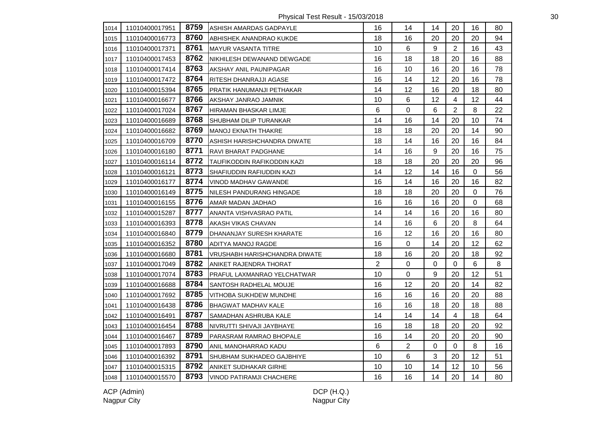Physical Test Result - 15/03/2018 30

| 1014 | 11010400017951 | 8759 | <b>ASHISH AMARDAS GADPAYLE</b>  | 16             | 14             | 14             | 20             | 16          | 80 |
|------|----------------|------|---------------------------------|----------------|----------------|----------------|----------------|-------------|----|
| 1015 | 11010400016773 | 8760 | ABHISHEK ANANDRAO KUKDE         | 18             | 16             | 20             | 20             | 20          | 94 |
| 1016 | 11010400017371 | 8761 | <b>MAYUR VASANTA TITRE</b>      | 10             | 6              | 9              | $\overline{2}$ | 16          | 43 |
| 1017 | 11010400017453 | 8762 | NIKHILESH DEWANAND DEWGADE      | 16             | 18             | 18             | 20             | 16          | 88 |
| 1018 | 11010400017414 | 8763 | AKSHAY ANIL PAUNIPAGAR          | 16             | 10             | 16             | 20             | 16          | 78 |
| 1019 | 11010400017472 | 8764 | RITESH DHANRAJJI AGASE          | 16             | 14             | 12             | 20             | 16          | 78 |
| 1020 | 11010400015394 | 8765 | PRATIK HANUMANJI PETHAKAR       | 14             | 12             | 16             | 20             | 18          | 80 |
| 1021 | 11010400016677 | 8766 | AKSHAY JANRAO JAMNIK            | 10             | 6              | 12             | 4              | 12          | 44 |
| 1022 | 11010400017024 | 8767 | HIRAMAN BHASKAR LIMJE           | 6              | 0              | 6              | $\overline{c}$ | 8           | 22 |
| 1023 | 11010400016689 | 8768 | SHUBHAM DILIP TURANKAR          | 14             | 16             | 14             | 20             | 10          | 74 |
| 1024 | 11010400016682 | 8769 | MANOJ EKNATH THAKRE             | 18             | 18             | 20             | 20             | 14          | 90 |
| 1025 | 11010400016709 | 8770 | ASHISH HARISHCHANDRA DIWATE     | 18             | 14             | 16             | 20             | 16          | 84 |
| 1026 | 11010400016180 | 8771 | RAVI BHARAT PADGHANE            | 14             | 16             | $\mathsf g$    | 20             | 16          | 75 |
| 1027 | 11010400016114 | 8772 | TAUFIKODDIN RAFIKODDIN KAZI     | 18             | 18             | 20             | 20             | 20          | 96 |
| 1028 | 11010400016121 | 8773 | SHAFIUDDIN RAFIUDDIN KAZI       | 14             | 12             | 14             | 16             | $\mathbf 0$ | 56 |
| 1029 | 11010400016177 | 8774 | VINOD MADHAV GAWANDE            | 16             | 14             | 16             | 20             | 16          | 82 |
| 1030 | 11010400016149 | 8775 | <b>NILESH PANDURANG HINGADE</b> | 18             | 18             | 20             | 20             | $\Omega$    | 76 |
| 1031 | 11010400016155 | 8776 | AMAR MADAN JADHAO               | 16             | 16             | 16             | 20             | $\Omega$    | 68 |
| 1032 | 11010400015287 | 8777 | ANANTA VISHVASRAO PATIL         | 14             | 14             | 16             | 20             | 16          | 80 |
| 1033 | 11010400016393 | 8778 | AKASH VIKAS CHAVAN              | 14             | 16             | $6\phantom{1}$ | 20             | 8           | 64 |
| 1034 | 11010400016840 | 8779 | DHANANJAY SURESH KHARATE        | 16             | 12             | 16             | 20             | 16          | 80 |
| 1035 | 11010400016352 | 8780 | ADITYA MANOJ RAGDE              | 16             | 0              | 14             | 20             | 12          | 62 |
| 1036 | 11010400016680 | 8781 | VRUSHABH HARISHCHANDRA DIWATE   | 18             | 16             | 20             | 20             | 18          | 92 |
| 1037 | 11010400017049 | 8782 | ANIKET RAJENDRA THORAT          | $\overline{2}$ | 0              | $\Omega$       | 0              | 6           | 8  |
| 1038 | 11010400017074 | 8783 | PRAFUL LAXMANRAO YELCHATWAR     | 10             | 0              | 9              | 20             | 12          | 51 |
| 1039 | 11010400016688 | 8784 | SANTOSH RADHELAL MOUJE          | 16             | 12             | 20             | 20             | 14          | 82 |
| 1040 | 11010400017692 | 8785 | VITHOBA SUKHDEW MUNDHE          | 16             | 16             | 16             | 20             | 20          | 88 |
| 1041 | 11010400016438 | 8786 | <b>BHAGWAT MADHAV KALE</b>      | 16             | 16             | 18             | 20             | 18          | 88 |
| 1042 | 11010400016491 | 8787 | SAMADHAN ASHRUBA KALE           | 14             | 14             | 14             | $\overline{4}$ | 18          | 64 |
| 1043 | 11010400016454 | 8788 | NIVRUTTI SHIVAJI JAYBHAYE       | 16             | 18             | 18             | 20             | 20          | 92 |
| 1044 | 11010400016467 | 8789 | PARASRAM RAMRAO BHOPALE         | 16             | 14             | 20             | 20             | 20          | 90 |
| 1045 | 11010400017893 | 8790 | ANIL MANOHARRAO KADU            | 6              | $\overline{2}$ | 0              | $\Omega$       | 8           | 16 |
| 1046 | 11010400016392 | 8791 | SHUBHAM SUKHADEO GAJBHIYE       | 10             | 6              | 3              | 20             | 12          | 51 |
| 1047 | 11010400015315 | 8792 | ANIKET SUDHAKAR GIRHE           | 10             | 10             | 14             | 12             | 10          | 56 |
| 1048 | 11010400015570 | 8793 | VINOD PATIRAMJI CHACHERE        | 16             | 16             | 14             | 20             | 14          | 80 |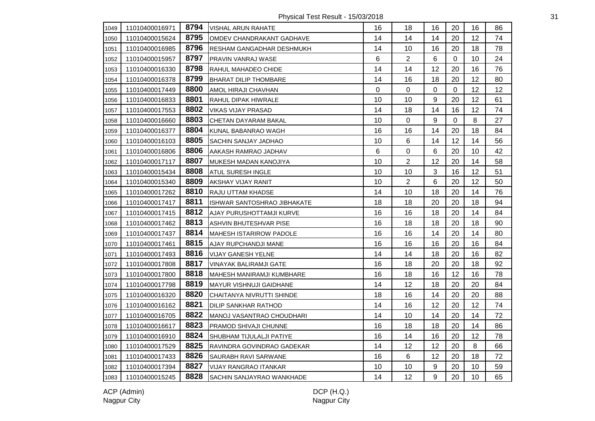Physical Test Result - 15/03/2018 31

| 1049 | 11010400016971 | 8794 | VISHAL ARUN RAHATE             | 16      | 18             | 16 | 20          | 16      | 86 |
|------|----------------|------|--------------------------------|---------|----------------|----|-------------|---------|----|
| 1050 | 11010400015624 | 8795 | OMDEV CHANDRAKANT GADHAVE      | 14      | 14             | 14 | 20          | 12      | 74 |
| 1051 | 11010400016985 | 8796 | RESHAM GANGADHAR DESHMUKH      | 14      | 10             | 16 | 20          | 18      | 78 |
| 1052 | 11010400015957 | 8797 | PRAVIN VANRAJ WASE             | $\,6\,$ | $\overline{2}$ | 6  | $\mathbf 0$ | 10      | 24 |
| 1053 | 11010400016330 | 8798 | RAHUL MAHADEO CHIDE            | 14      | 14             | 12 | 20          | 16      | 76 |
| 1054 | 11010400016378 | 8799 | <b>BHARAT DILIP THOMBARE</b>   | 14      | 16             | 18 | 20          | 12      | 80 |
| 1055 | 11010400017449 | 8800 | AMOL HIRAJI CHAVHAN            | 0       | $\mathbf 0$    | 0  | 0           | 12      | 12 |
| 1056 | 11010400016833 | 8801 | RAHUL DIPAK HIWRALE            | 10      | 10             | 9  | 20          | 12      | 61 |
| 1057 | 11010400017553 | 8802 | <b>VIKAS VIJAY PRASAD</b>      | 14      | 18             | 14 | 16          | 12      | 74 |
| 1058 | 11010400016660 | 8803 | CHETAN DAYARAM BAKAL           | 10      | $\mathbf 0$    | 9  | 0           | 8       | 27 |
| 1059 | 11010400016377 | 8804 | KUNAL BABANRAO WAGH            | 16      | 16             | 14 | 20          | 18      | 84 |
| 1060 | 11010400016103 | 8805 | <b>SACHIN SANJAY JADHAO</b>    | 10      | 6              | 14 | 12          | 14      | 56 |
| 1061 | 11010400016806 | 8806 | AAKASH RAMRAO JADHAV           | 6       | 0              | 6  | 20          | 10      | 42 |
| 1062 | 11010400017117 | 8807 | MUKESH MADAN KANOJIYA          | 10      | $\overline{2}$ | 12 | 20          | 14      | 58 |
| 1063 | 11010400015434 | 8808 | <b>ATUL SURESH INGLE</b>       | 10      | 10             | 3  | 16          | 12      | 51 |
| 1064 | 11010400015340 | 8809 | AKSHAY VIJAY RANIT             | 10      | $\overline{2}$ | 6  | 20          | 12      | 50 |
| 1065 | 11010400017262 | 8810 | RAJU UTTAM KHADSE              | 14      | 10             | 18 | 20          | 14      | 76 |
| 1066 | 11010400017417 | 8811 | ISHWAR SANTOSHRAO JIBHAKATE    | 18      | 18             | 20 | 20          | 18      | 94 |
| 1067 | 11010400017415 | 8812 | AJAY PURUSHOTTAMJI KURVE       | 16      | 16             | 18 | 20          | 14      | 84 |
| 1068 | 11010400017462 | 8813 | ASHVIN BHUTESHVAR PISE         | 16      | 18             | 18 | 20          | 18      | 90 |
| 1069 | 11010400017437 | 8814 | <b>MAHESH ISTARIROW PADOLE</b> | 16      | 16             | 14 | 20          | 14      | 80 |
| 1070 | 11010400017461 | 8815 | AJAY RUPCHANDJI MANE           | 16      | 16             | 16 | 20          | 16      | 84 |
| 1071 | 11010400017493 | 8816 | <b>VIJAY GANESH YELNE</b>      | 14      | 14             | 18 | 20          | 16      | 82 |
| 1072 | 11010400017808 | 8817 | <b>VINAYAK BALIRAMJI GATE</b>  | 16      | 18             | 20 | 20          | 18      | 92 |
| 1073 | 11010400017800 | 8818 | MAHESH MANIRAMJI KUMBHARE      | 16      | 18             | 16 | 12          | 16      | 78 |
| 1074 | 11010400017798 | 8819 | <b>MAYUR VISHNUJI GAIDHANE</b> | 14      | 12             | 18 | 20          | 20      | 84 |
| 1075 | 11010400016320 | 8820 | CHAITANYA NIVRUTTI SHINDE      | 18      | 16             | 14 | 20          | 20      | 88 |
| 1076 | 11010400016162 | 8821 | DILIP SANKHAR RATHOD           | 14      | 16             | 12 | 20          | 12      | 74 |
| 1077 | 11010400016705 | 8822 | MANOJ VASANTRAO CHOUDHARI      | 14      | 10             | 14 | 20          | 14      | 72 |
| 1078 | 11010400016617 | 8823 | <b>PRAMOD SHIVAJI CHUNNE</b>   | 16      | 18             | 18 | 20          | 14      | 86 |
| 1079 | 11010400016910 | 8824 | SHUBHAM TIJULALJI PATIYE       | 16      | 14             | 16 | 20          | $12 \,$ | 78 |
| 1080 | 11010400017529 | 8825 | RAVINDRA GOVINDRAO GADEKAR     | 14      | 12             | 12 | 20          | 8       | 66 |
| 1081 | 11010400017433 | 8826 | SAURABH RAVI SARWANE           | 16      | 6              | 12 | 20          | 18      | 72 |
| 1082 | 11010400017394 | 8827 | VIJAY RANGRAO ITANKAR          | 10      | 10             | 9  | 20          | 10      | 59 |
| 1083 | 11010400015245 | 8828 | SACHIN SANJAYRAO WANKHADE      | 14      | 12             | 9  | 20          | 10      | 65 |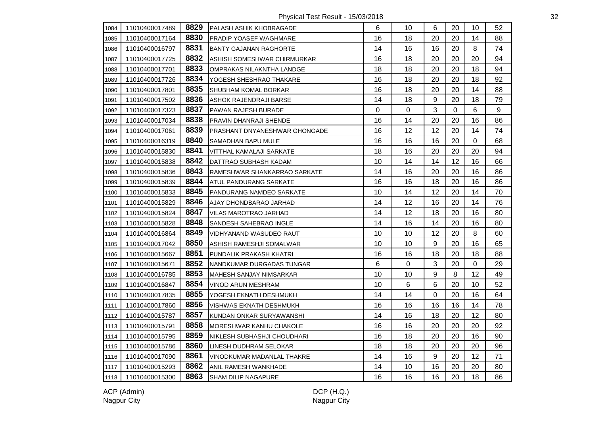Physical Test Result - 15/03/2018 32

| 1084 | 11010400017489 | 8829 | <b>PALASH ASHIK KHOBRAGADE</b>       | 6  | 10        | 6                | 20 | 10               | 52 |
|------|----------------|------|--------------------------------------|----|-----------|------------------|----|------------------|----|
| 1085 | 11010400017164 | 8830 | <b>PRADIP YOASEF WAGHMARE</b>        | 16 | 18        | 20               | 20 | 14               | 88 |
| 1086 | 11010400016797 | 8831 | <b>BANTY GAJANAN RAGHORTE</b>        | 14 | 16        | 16               | 20 | 8                | 74 |
| 1087 | 11010400017725 | 8832 | ASHISH SOMESHWAR CHIRMURKAR          | 16 | 18        | 20               | 20 | 20               | 94 |
| 1088 | 11010400017701 | 8833 | OMPRAKAS NILAKNTHA LANDGE            | 18 | 18        | 20               | 20 | 18               | 94 |
| 1089 | 11010400017726 | 8834 | YOGESH SHESHRAO THAKARE              | 16 | 18        | 20               | 20 | 18               | 92 |
| 1090 | 11010400017801 | 8835 | <b>SHUBHAM KOMAL BORKAR</b>          | 16 | 18        | 20               | 20 | 14               | 88 |
| 1091 | 11010400017502 | 8836 | ASHOK RAJENDRAJI BARSE               | 14 | 18        | $\boldsymbol{9}$ | 20 | 18               | 79 |
| 1092 | 11010400017323 | 8837 | PAWAN RAJESH BURADE                  | 0  | $\pmb{0}$ | 3                | 0  | 6                | 9  |
| 1093 | 11010400017034 | 8838 | <b>PRAVIN DHANRAJI SHENDE</b>        | 16 | 14        | 20               | 20 | 16               | 86 |
| 1094 | 11010400017061 | 8839 | <b>PRASHANT DNYANESHWAR GHONGADE</b> | 16 | 12        | 12               | 20 | 14               | 74 |
| 1095 | 11010400016319 | 8840 | SAMADHAN BAPU MULE                   | 16 | 16        | 16               | 20 | $\boldsymbol{0}$ | 68 |
| 1096 | 11010400015830 | 8841 | VITTHAL KAMALAJI SARKATE             | 18 | 16        | 20               | 20 | 20               | 94 |
| 1097 | 11010400015838 | 8842 | DATTRAO SUBHASH KADAM                | 10 | 14        | 14               | 12 | 16               | 66 |
| 1098 | 11010400015836 | 8843 | RAMESHWAR SHANKARRAO SARKATE         | 14 | 16        | 20               | 20 | 16               | 86 |
| 1099 | 11010400015839 | 8844 | ATUL PANDURANG SARKATE               | 16 | 16        | 18               | 20 | 16               | 86 |
| 1100 | 11010400015833 | 8845 | PANDURANG NAMDEO SARKATE             | 10 | 14        | 12               | 20 | 14               | 70 |
| 1101 | 11010400015829 | 8846 | AJAY DHONDBARAO JARHAD               | 14 | 12        | 16               | 20 | 14               | 76 |
| 1102 | 11010400015824 | 8847 | <b>VILAS MAROTRAO JARHAD</b>         | 14 | 12        | 18               | 20 | 16               | 80 |
| 1103 | 11010400015828 | 8848 | <b>SANDESH SAHEBRAO INGLE</b>        | 14 | 16        | 14               | 20 | 16               | 80 |
| 1104 | 11010400016864 | 8849 | VIDHYANAND WASUDEO RAUT              | 10 | 10        | 12               | 20 | 8                | 60 |
| 1105 | 11010400017042 | 8850 | ASHISH RAMESHJI SOMALWAR             | 10 | 10        | 9                | 20 | 16               | 65 |
| 1106 | 11010400015667 | 8851 | PUNDALIK PRAKASH KHATRI              | 16 | 16        | 18               | 20 | 18               | 88 |
| 1107 | 11010400015671 | 8852 | NANDKUMAR DURGADAS TUNGAR            | 6  | 0         | 3                | 20 | 0                | 29 |
| 1108 | 11010400016785 | 8853 | MAHESH SANJAY NIMSARKAR              | 10 | 10        | 9                | 8  | 12               | 49 |
| 1109 | 11010400016847 | 8854 | <b>VINOD ARUN MESHRAM</b>            | 10 | $\,6$     | 6                | 20 | 10               | 52 |
| 1110 | 11010400017835 | 8855 | YOGESH EKNATH DESHMUKH               | 14 | 14        | 0                | 20 | 16               | 64 |
| 1111 | 11010400017860 | 8856 | VISHWAS EKNATH DESHMUKH              | 16 | 16        | 16               | 16 | 14               | 78 |
| 1112 | 11010400015787 | 8857 | KUNDAN ONKAR SURYAWANSHI             | 14 | 16        | 18               | 20 | 12               | 80 |
| 1113 | 11010400015791 | 8858 | MORESHWAR KANHU CHAKOLE              | 16 | 16        | 20               | 20 | 20               | 92 |
| 1114 | 11010400015795 | 8859 | NIKLESH SUBHASHJI CHOUDHARI          | 16 | 18        | 20               | 20 | 16               | 90 |
| 1115 | 11010400015786 | 8860 | LINESH DUDHRAM SELOKAR               | 18 | 18        | 20               | 20 | 20               | 96 |
| 1116 | 11010400017090 | 8861 | VINODKUMAR MADANLAL THAKRE           | 14 | 16        | 9                | 20 | 12               | 71 |
| 1117 | 11010400015293 | 8862 | ANIL RAMESH WANKHADE                 | 14 | 10        | 16               | 20 | 20               | 80 |
| 1118 | 11010400015300 | 8863 | SHAM DILIP NAGAPURE                  | 16 | 16        | 16               | 20 | 18               | 86 |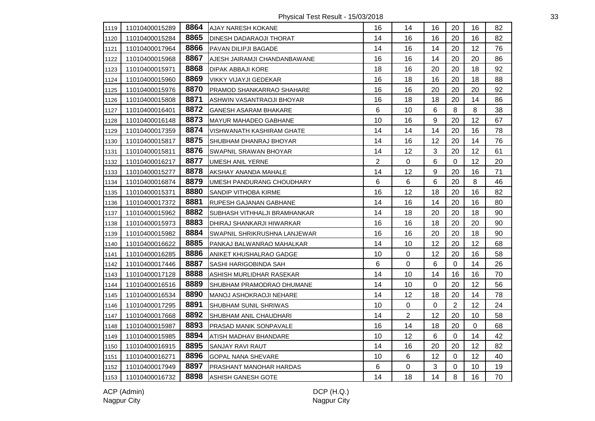Physical Test Result - 15/03/2018 33

| 1119 | 11010400015289 | 8864 | <b>AJAY NARESH KOKANE</b>      | 16             | 14             | 16               | 20             | 16          | 82 |
|------|----------------|------|--------------------------------|----------------|----------------|------------------|----------------|-------------|----|
| 1120 | 11010400015284 | 8865 | <b>DINESH DADARAOJI THORAT</b> | 14             | 16             | 16               | 20             | 16          | 82 |
| 1121 | 11010400017964 | 8866 | PAVAN DILIPJI BAGADE           | 14             | 16             | 14               | 20             | 12          | 76 |
| 1122 | 11010400015968 | 8867 | AJESH JAIRAMJI CHANDANBAWANE   | 16             | 16             | 14               | 20             | 20          | 86 |
| 1123 | 11010400015971 | 8868 | <b>DIPAK ABBAJI KORE</b>       | 18             | 16             | 20               | 20             | 18          | 92 |
| 1124 | 11010400015960 | 8869 | <b>VIKKY VIJAYJI GEDEKAR</b>   | 16             | 18             | 16               | 20             | 18          | 88 |
| 1125 | 11010400015976 | 8870 | PRAMOD SHANKARRAO SHAHARE      | 16             | 16             | 20               | 20             | 20          | 92 |
| 1126 | 11010400015808 | 8871 | ASHWIN VASANTRAOJI BHOYAR      | 16             | 18             | 18               | 20             | 14          | 86 |
| 1127 | 11010400016401 | 8872 | <b>GANESH ASARAM BHAKARE</b>   | 6              | 10             | 6                | $\, 8$         | 8           | 38 |
| 1128 | 11010400016148 | 8873 | <b>MAYUR MAHADEO GABHANE</b>   | 10             | 16             | 9                | 20             | 12          | 67 |
| 1129 | 11010400017359 | 8874 | VISHWANATH KASHIRAM GHATE      | 14             | 14             | 14               | 20             | 16          | 78 |
| 1130 | 11010400015817 | 8875 | <b>SHUBHAM DHANRAJ BHOYAR</b>  | 14             | 16             | 12               | 20             | 14          | 76 |
| 1131 | 11010400015811 | 8876 | <b>SWAPNIL SRAWAN BHOYAR</b>   | 14             | 12             | 3                | 20             | 12          | 61 |
| 1132 | 11010400016217 | 8877 | <b>UMESH ANIL YERNE</b>        | $\overline{2}$ | 0              | 6                | $\mathbf 0$    | 12          | 20 |
| 1133 | 11010400015277 | 8878 | AKSHAY ANANDA MAHALE           | 14             | 12             | $\boldsymbol{9}$ | 20             | 16          | 71 |
| 1134 | 11010400016874 | 8879 | UMESH PANDURANG CHOUDHARY      | 6              | 6              | $6\phantom{1}$   | 20             | 8           | 46 |
| 1135 | 11010400015371 | 8880 | SANDIP VITHOBA KIRME           | 16             | 12             | 18               | 20             | 16          | 82 |
| 1136 | 11010400017372 | 8881 | RUPESH GAJANAN GABHANE         | 14             | 16             | 14               | 20             | 16          | 80 |
| 1137 | 11010400015962 | 8882 | SUBHASH VITHHALJI BRAMHANKAR   | 14             | 18             | 20               | 20             | 18          | 90 |
| 1138 | 11010400015973 | 8883 | DHIRAJ SHANKARJI HIWARKAR      | 16             | 16             | 18               | 20             | 20          | 90 |
| 1139 | 11010400015982 | 8884 | SWAPNIL SHRIKRUSHNA LANJEWAR   | 16             | 16             | 20               | 20             | 18          | 90 |
| 1140 | 11010400016622 | 8885 | PANKAJ BALWANRAO MAHALKAR      | 14             | 10             | 12               | 20             | 12          | 68 |
| 1141 | 11010400016285 | 8886 | ANIKET KHUSHALRAO GADGE        | 10             | 0              | 12               | 20             | 16          | 58 |
| 1142 | 11010400017446 | 8887 | SASHI HARIGOBINDA SAH          | 6              | 0              | 6                | $\Omega$       | 14          | 26 |
| 1143 | 11010400017128 | 8888 | ASHISH MURLIDHAR RASEKAR       | 14             | 10             | 14               | 16             | 16          | 70 |
| 1144 | 11010400016516 | 8889 | SHUBHAM PRAMODRAO DHUMANE      | 14             | 10             | 0                | 20             | 12          | 56 |
| 1145 | 11010400016534 | 8890 | MANOJ ASHOKRAOJI NEHARE        | 14             | 12             | 18               | 20             | 14          | 78 |
| 1146 | 11010400017295 | 8891 | <b>SHUBHAM SUNIL SHRIWAS</b>   | 10             | $\pmb{0}$      | $\boldsymbol{0}$ | $\overline{2}$ | 12          | 24 |
| 1147 | 11010400017668 | 8892 | SHUBHAM ANIL CHAUDHARI         | 14             | $\overline{2}$ | 12               | 20             | 10          | 58 |
| 1148 | 11010400015987 | 8893 | <b>PRASAD MANIK SONPAVALE</b>  | 16             | 14             | 18               | 20             | $\mathbf 0$ | 68 |
| 1149 | 11010400015985 | 8894 | ATISH MADHAV BHANDARE          | 10             | 12             | $\,6\,$          | 0              | 14          | 42 |
| 1150 | 11010400016915 | 8895 | <b>SANJAY RAVI RAUT</b>        | 14             | 16             | 20               | 20             | 12          | 82 |
| 1151 | 11010400016271 | 8896 | GOPAL NANA SHEVARE             | 10             | 6              | 12               | 0              | 12          | 40 |
| 1152 | 11010400017949 | 8897 | PRASHANT MANOHAR HARDAS        | 6              | 0              | 3                | 0              | 10          | 19 |
| 1153 | 11010400016732 | 8898 | <b>ASHISH GANESH GOTE</b>      | 14             | 18             | 14               | 8              | 16          | 70 |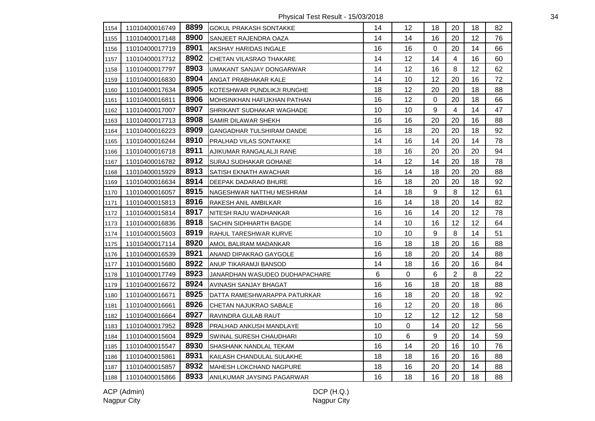Physical Test Result - 15/03/2018 34

| 1154 | 11010400016749 | 8899 | <b>I</b> GOKUL PRAKASH SONTAKKE | 14 | 12        | 18               | 20             | 18 | 82 |
|------|----------------|------|---------------------------------|----|-----------|------------------|----------------|----|----|
| 1155 | 11010400017148 | 8900 | SANJEET RAJENDRA OAZA           | 14 | 14        | 16               | 20             | 12 | 76 |
| 1156 | 11010400017719 | 8901 | AKSHAY HARIDAS INGALE           | 16 | 16        | 0                | 20             | 14 | 66 |
| 1157 | 11010400017712 | 8902 | CHETAN VILASRAO THAKARE         | 14 | 12        | 14               | $\overline{4}$ | 16 | 60 |
| 1158 | 11010400017797 | 8903 | UMAKANT SANJAY DONGARWAR        | 14 | 12        | 16               | 8              | 12 | 62 |
| 1159 | 11010400016830 | 8904 | <b>ANGAT PRABHAKAR KALE</b>     | 14 | 10        | 12               | 20             | 16 | 72 |
| 1160 | 11010400017634 | 8905 | KOTESHWAR PUNDLIKJI RUNGHE      | 18 | 12        | 20               | 20             | 18 | 88 |
| 1161 | 11010400016811 | 8906 | MOHSINKHAN HAFIJKHAN PATHAN     | 16 | 12        | $\mathbf 0$      | 20             | 18 | 66 |
| 1162 | 11010400017007 | 8907 | SHRIKANT SUDHAKAR WAGHADE       | 10 | 10        | 9                | $\overline{4}$ | 14 | 47 |
| 1163 | 11010400017713 | 8908 | <b>SAMIR DILAWAR SHEKH</b>      | 16 | 16        | 20               | 20             | 16 | 88 |
| 1164 | 11010400016223 | 8909 | GANGADHAR TULSHIRAM DANDE       | 16 | 18        | 20               | 20             | 18 | 92 |
| 1165 | 11010400016244 | 8910 | <b>PRALHAD VILAS SONTAKKE</b>   | 14 | 16        | 14               | 20             | 14 | 78 |
| 1166 | 11010400016718 | 8911 | AJIKUMAR RANGALALJI RANE        | 18 | 16        | 20               | 20             | 20 | 94 |
| 1167 | 11010400016782 | 8912 | SURAJ SUDHAKAR GOHANE           | 14 | 12        | 14               | 20             | 18 | 78 |
| 1168 | 11010400015929 | 8913 | SATISH EKNATH AWACHAR           | 16 | 14        | 18               | 20             | 20 | 88 |
| 1169 | 11010400016634 | 8914 | DEEPAK DADARAO BHURE            | 16 | 18        | 20               | 20             | 18 | 92 |
| 1170 | 11010400016057 | 8915 | NAGESHWAR NATTHU MESHRAM        | 14 | 18        | 9                | 8              | 12 | 61 |
| 1171 | 11010400015813 | 8916 | RAKESH ANIL AMBILKAR            | 16 | 14        | 18               | 20             | 14 | 82 |
| 1172 | 11010400015814 | 8917 | NITESH RAJU WADHANKAR           | 16 | 16        | 14               | 20             | 12 | 78 |
| 1173 | 11010400016836 | 8918 | SACHIN SIDHHARTH BAGDE          | 14 | 10        | 16               | 12             | 12 | 64 |
| 1174 | 11010400015603 | 8919 | RAHUL TARESHWAR KURVE           | 10 | 10        | 9                | 8              | 14 | 51 |
| 1175 | 11010400017114 | 8920 | AMOL BALIRAM MADANKAR           | 16 | 18        | 18               | 20             | 16 | 88 |
| 1176 | 11010400016539 | 8921 | ANAND DIPAKRAO GAYGOLE          | 16 | 18        | 20               | 20             | 14 | 88 |
| 1177 | 11010400015680 | 8922 | <b>ANUP TIKARAMJI BANSOD</b>    | 14 | 18        | 16               | 20             | 16 | 84 |
| 1178 | 11010400017749 | 8923 | JANARDHAN WASUDEO DUDHAPACHARE  | 6  | $\pmb{0}$ | 6                | $\overline{2}$ | 8  | 22 |
| 1179 | 11010400016672 | 8924 | AVINASH SANJAY BHAGAT           | 16 | 16        | 18               | 20             | 18 | 88 |
| 1180 | 11010400016671 | 8925 | IDATTA RAMESHWARAPPA PATURKAR   | 16 | 18        | 20               | 20             | 18 | 92 |
| 1181 | 11010400016661 | 8926 | CHETAN NAJUKRAO SABALE          | 16 | 12        | 20               | 20             | 18 | 86 |
| 1182 | 11010400016664 | 8927 | RAVINDRA GULAB RAUT             | 10 | 12        | 12               | 12             | 12 | 58 |
| 1183 | 11010400017952 | 8928 | PRALHAD ANKUSH MANDLAYE         | 10 | 0         | 14               | 20             | 12 | 56 |
| 1184 | 11010400015604 | 8929 | SWINAL SURESH CHAUDHARI         | 10 | 6         | $\boldsymbol{9}$ | 20             | 14 | 59 |
| 1185 | 11010400015547 | 8930 | SHASHANK NANDLAL TEKAM          | 16 | 14        | 20               | 16             | 10 | 76 |
| 1186 | 11010400015861 | 8931 | KAILASH CHANDULAL SULAKHE       | 18 | 18        | 16               | 20             | 16 | 88 |
| 1187 | 11010400015857 | 8932 | <b>MAHESH LOKCHAND NAGPURE</b>  | 18 | 16        | 20               | 20             | 14 | 88 |
| 1188 | 11010400015866 | 8933 | ANILKUMAR JAYSING PAGARWAR      | 16 | 18        | 16               | 20             | 18 | 88 |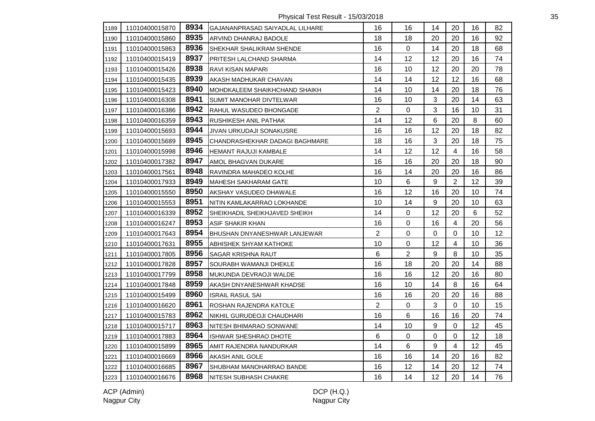Physical Test Result - 15/03/2018 35

| 1189 | 11010400015870 | 8934 | GAJANANPRASAD SAIYADLAL LILHARE | 16             | 16        | 14               | 20             | 16 | 82 |
|------|----------------|------|---------------------------------|----------------|-----------|------------------|----------------|----|----|
| 1190 | 11010400015860 | 8935 | ARVIND DHANRAJ BADOLE           | 18             | 18        | 20               | 20             | 16 | 92 |
| 1191 | 11010400015863 | 8936 | SHEKHAR SHALIKRAM SHENDE        | 16             | 0         | 14               | 20             | 18 | 68 |
| 1192 | 11010400015419 | 8937 | PRITESH LALCHAND SHARMA         | 14             | 12        | 12               | 20             | 16 | 74 |
| 1193 | 11010400015426 | 8938 | RAVI KISAN MAPARI               | 16             | 10        | 12               | 20             | 20 | 78 |
| 1194 | 11010400015435 | 8939 | AKASH MADHUKAR CHAVAN           | 14             | 14        | 12               | 12             | 16 | 68 |
| 1195 | 11010400015423 | 8940 | MOHDKALEEM SHAIKHCHAND SHAIKH   | 14             | 10        | 14               | 20             | 18 | 76 |
| 1196 | 11010400016308 | 8941 | SUMIT MANOHAR DIVTELWAR         | 16             | 10        | 3                | 20             | 14 | 63 |
| 1197 | 11010400016386 | 8942 | RAHUL WASUDEO BHONGADE          | $\overline{2}$ | 0         | 3                | 16             | 10 | 31 |
| 1198 | 11010400016359 | 8943 | RUSHIKESH ANIL PATHAK           | 14             | 12        | 6                | 20             | 8  | 60 |
| 1199 | 11010400015693 | 8944 | JIVAN URKUDAJI SONAKUSRE        | 16             | 16        | 12               | 20             | 18 | 82 |
| 1200 | 11010400015689 | 8945 | CHANDRASHEKHAR DADAGI BAGHMARE  | 18             | 16        | $\mathfrak{S}$   | 20             | 18 | 75 |
| 1201 | 11010400015998 | 8946 | HEMANT RAJUJI KAMBALE           | 14             | 12        | 12               | 4              | 16 | 58 |
| 1202 | 11010400017382 | 8947 | AMOL BHAGVAN DUKARE             | 16             | 16        | 20               | 20             | 18 | 90 |
| 1203 | 11010400017561 | 8948 | RAVINDRA MAHADEO KOLHE          | 16             | 14        | 20               | 20             | 16 | 86 |
| 1204 | 11010400017933 | 8949 | <b>MAHESH SAKHARAM GATE</b>     | 10             | 6         | $\boldsymbol{9}$ | $\overline{2}$ | 12 | 39 |
| 1205 | 11010400015550 | 8950 | AKSHAY VASUDEO DHAWALE          | 16             | 12        | 16               | 20             | 10 | 74 |
| 1206 | 11010400015553 | 8951 | NITIN KAMLAKARRAO LOKHANDE      | 10             | 14        | 9                | 20             | 10 | 63 |
| 1207 | 11010400016339 | 8952 | SHEIKHADIL SHEIKHJAVED SHEIKH   | 14             | $\pmb{0}$ | 12               | 20             | 6  | 52 |
| 1208 | 11010400016247 | 8953 | ASIF SHAKIR KHAN                | 16             | 0         | 16               | $\overline{4}$ | 20 | 56 |
| 1209 | 11010400017643 | 8954 | BHUSHAN DNYANESHWAR LANJEWAR    | $\overline{2}$ | 0         | 0                | 0              | 10 | 12 |
| 1210 | 11010400017631 | 8955 | ABHISHEK SHYAM KATHOKE          | 10             | 0         | 12               | 4              | 10 | 36 |
| 1211 | 11010400017805 | 8956 | SAGAR KRISHNA RAUT              | 6              | 2         | 9                | 8              | 10 | 35 |
| 1212 | 11010400017828 | 8957 | SOURABH WAMANJI DHEKLE          | 16             | 18        | 20               | 20             | 14 | 88 |
| 1213 | 11010400017799 | 8958 | MUKUNDA DEVRAOJI WALDE          | 16             | 16        | 12               | 20             | 16 | 80 |
| 1214 | 11010400017848 | 8959 | AKASH DNYANESHWAR KHADSE        | 16             | 10        | 14               | 8              | 16 | 64 |
| 1215 | 11010400015499 | 8960 | <b>ISRAIL RASUL SAI</b>         | 16             | 16        | 20               | 20             | 16 | 88 |
| 1216 | 11010400016620 | 8961 | ROSHAN RAJENDRA KATOLE          | $\overline{2}$ | 0         | 3                | $\mathbf{0}$   | 10 | 15 |
| 1217 | 11010400015783 | 8962 | NIKHIL GURUDEOJI CHAUDHARI      | 16             | 6         | 16               | 16             | 20 | 74 |
| 1218 | 11010400015717 | 8963 | NITESH BHIMARAO SONWANE         | 14             | 10        | 9                | $\mathbf 0$    | 12 | 45 |
| 1219 | 11010400017883 | 8964 | <b>ISHWAR SHESHRAO DHOTE</b>    | 6              | 0         | $\mathbf 0$      | 0              | 12 | 18 |
| 1220 | 11010400015899 | 8965 | AMIT RAJENDRA NANDURKAR         | 14             | 6         | 9                | 4              | 12 | 45 |
| 1221 | 11010400016669 | 8966 | AKASH ANIL GOLE                 | 16             | 16        | 14               | 20             | 16 | 82 |
| 1222 | 11010400016685 | 8967 | SHUBHAM MANOHARRAO BANDE        | 16             | 12        | 14               | 20             | 12 | 74 |
| 1223 | 11010400016676 | 8968 | <b>NITESH SUBHASH CHAKRE</b>    | 16             | 14        | 12               | 20             | 14 | 76 |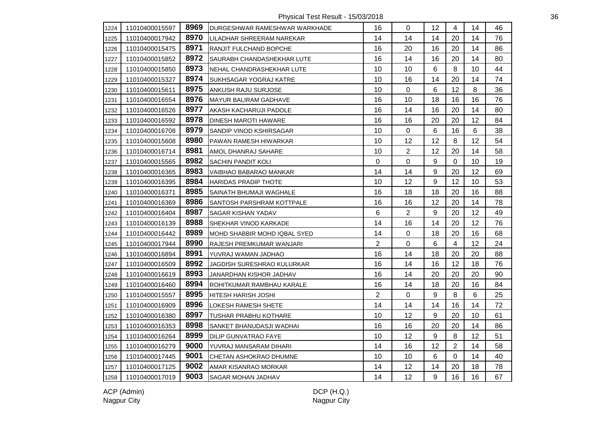Physical Test Result - 15/03/2018 36

| 1224 | 11010400015597 | 8969 | DURGESHWAR RAMESHWAR WARKHADE | 16             | 0              | 12 | 4              | 14 | 46 |
|------|----------------|------|-------------------------------|----------------|----------------|----|----------------|----|----|
| 1225 | 11010400017942 | 8970 | LILADHAR SHREERAM NAREKAR     | 14             | 14             | 14 | 20             | 14 | 76 |
| 1226 | 11010400015475 | 8971 | <b>RANJIT FULCHAND BOPCHE</b> | 16             | 20             | 16 | 20             | 14 | 86 |
| 1227 | 11010400015852 | 8972 | SAURABH CHANDASHEKHAR LUTE    | 16             | 14             | 16 | 20             | 14 | 80 |
| 1228 | 11010400015850 | 8973 | NEHAL CHANDRASHEKHAR LUTE     | 10             | 10             | 6  | 8              | 10 | 44 |
| 1229 | 11010400015327 | 8974 | SUKHSAGAR YOGRAJ KATRE        | 10             | 16             | 14 | 20             | 14 | 74 |
| 1230 | 11010400015611 | 8975 | ANKUSH RAJU SURJOSE           | 10             | $\Omega$       | 6  | 12             | 8  | 36 |
| 1231 | 11010400016554 | 8976 | MAYUR BALIRAM GADHAVE         | 16             | 10             | 18 | 16             | 16 | 76 |
| 1232 | 11010400016526 | 8977 | AKASH KACHARUJI PADOLE        | 16             | 14             | 16 | 20             | 14 | 80 |
| 1233 | 11010400016592 | 8978 | DINESH MAROTI HAWARE          | 16             | 16             | 20 | 20             | 12 | 84 |
| 1234 | 11010400016708 | 8979 | SANDIP VINOD KSHIRSAGAR       | 10             | $\mathbf 0$    | 6  | 16             | 6  | 38 |
| 1235 | 11010400015608 | 8980 | PAWAN RAMESH HIWARKAR         | 10             | 12             | 12 | 8              | 12 | 54 |
| 1236 | 11010400016714 | 8981 | AMOL DHANRAJ SAHARE           | 10             | $\overline{2}$ | 12 | 20             | 14 | 58 |
| 1237 | 11010400015565 | 8982 | SACHIN PANDIT KOLI            | $\mathbf 0$    | $\mathbf 0$    | 9  | 0              | 10 | 19 |
| 1238 | 11010400016365 | 8983 | VAIBHAO BABARAO MANKAR        | 14             | 14             | 9  | 20             | 12 | 69 |
| 1239 | 11010400016395 | 8984 | <b>HARIDAS PRADIP THOTE</b>   | 10             | 12             | 9  | 12             | 10 | 53 |
| 1240 | 11010400016371 | 8985 | SAINATH BHUMAJI WAGHALE       | 16             | 18             | 18 | 20             | 16 | 88 |
| 1241 | 11010400016369 | 8986 | SANTOSH PARSHRAM KOTTPALE     | 16             | 16             | 12 | 20             | 14 | 78 |
| 1242 | 11010400016404 | 8987 | SAGAR KISHAN YADAV            | 6              | $\mathbf{2}$   | 9  | 20             | 12 | 49 |
| 1243 | 11010400016139 | 8988 | SHEKHAR VINOD KARKADE         | 14             | 16             | 14 | 20             | 12 | 76 |
| 1244 | 11010400016442 | 8989 | MOHD SHABBIR MOHD IQBAL SYED  | 14             | $\mathbf 0$    | 18 | 20             | 16 | 68 |
| 1245 | 11010400017944 | 8990 | RAJESH PREMKUMAR WANJARI      | $\overline{2}$ | $\mathbf 0$    | 6  | $\overline{4}$ | 12 | 24 |
| 1246 | 11010400016894 | 8991 | YUVRAJ WAMAN JADHAO           | 16             | 14             | 18 | 20             | 20 | 88 |
| 1247 | 11010400016509 | 8992 | JAGDISH SURESHRAO KULURKAR    | 16             | 14             | 16 | 12             | 18 | 76 |
| 1248 | 11010400016619 | 8993 | JANARDHAN KISHOR JADHAV       | 16             | 14             | 20 | 20             | 20 | 90 |
| 1249 | 11010400016460 | 8994 | ROHITKUMAR RAMBHAU KARALE     | 16             | 14             | 18 | 20             | 16 | 84 |
| 1250 | 11010400015557 | 8995 | HITESH HARISH JOSHI           | $\overline{2}$ | $\Omega$       | 9  | 8              | 6  | 25 |
| 1251 | 11010400016909 | 8996 | LOKESH RAMESH SHETE           | 14             | 14             | 14 | 16             | 14 | 72 |
| 1252 | 11010400016380 | 8997 | TUSHAR PRABHU KOTHARE         | 10             | 12             | 9  | 20             | 10 | 61 |
| 1253 | 11010400016353 | 8998 | SANKET BHANUDASJI WADHAI      | 16             | 16             | 20 | 20             | 14 | 86 |
| 1254 | 11010400016264 | 8999 | DILIP GUNVATRAO FAYE          | 10             | 12             | 9  | 8              | 12 | 51 |
| 1255 | 11010400016279 | 9000 | YUVRAJ MANSARAM DIHARI        | 14             | 16             | 12 | $\sqrt{2}$     | 14 | 58 |
| 1256 | 11010400017445 | 9001 | CHETAN ASHOKRAO DHUMNE        | 10             | 10             | 6  | $\Omega$       | 14 | 40 |
| 1257 | 11010400017125 | 9002 | AMAR KISANRAO MORKAR          | 14             | 12             | 14 | 20             | 18 | 78 |
| 1258 | 11010400017019 | 9003 | SAGAR MOHAN JADHAV            | 14             | 12             | 9  | 16             | 16 | 67 |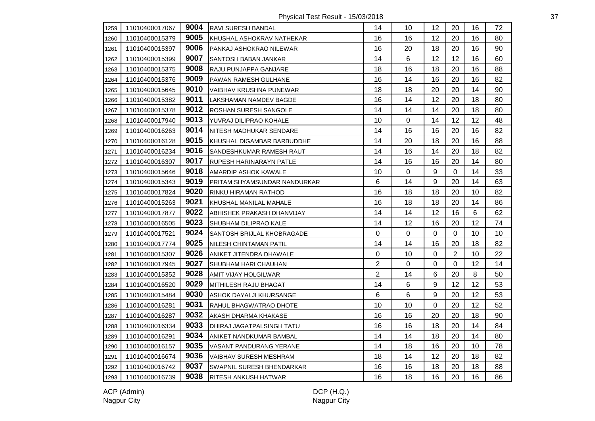Physical Test Result - 15/03/2018 37

| 1259 | 11010400017067 | 9004 | RAVI SURESH BANDAL           | 14             | 10          | 12 | 20             | 16 | 72 |
|------|----------------|------|------------------------------|----------------|-------------|----|----------------|----|----|
| 1260 | 11010400015379 | 9005 | KHUSHAL ASHOKRAV NATHEKAR    | 16             | 16          | 12 | 20             | 16 | 80 |
| 1261 | 11010400015397 | 9006 | PANKAJ ASHOKRAO NILEWAR      | 16             | 20          | 18 | 20             | 16 | 90 |
| 1262 | 11010400015399 | 9007 | <b>SANTOSH BABAN JANKAR</b>  | 14             | $\,6\,$     | 12 | 12             | 16 | 60 |
| 1263 | 11010400015375 | 9008 | <b>RAJU PUNJAPPA GANJARE</b> | 18             | 16          | 18 | 20             | 16 | 88 |
| 1264 | 11010400015376 | 9009 | PAWAN RAMESH GULHANE         | 16             | 14          | 16 | 20             | 16 | 82 |
| 1265 | 11010400015645 | 9010 | VAIBHAV KRUSHNA PUNEWAR      | 18             | 18          | 20 | 20             | 14 | 90 |
| 1266 | 11010400015382 | 9011 | LAKSHAMAN NAMDEV BAGDE       | 16             | 14          | 12 | 20             | 18 | 80 |
| 1267 | 11010400015378 | 9012 | <b>ROSHAN SURESH SANGOLE</b> | 14             | 14          | 14 | 20             | 18 | 80 |
| 1268 | 11010400017940 | 9013 | YUVRAJ DILIPRAO KOHALE       | 10             | $\pmb{0}$   | 14 | 12             | 12 | 48 |
| 1269 | 11010400016263 | 9014 | NITESH MADHUKAR SENDARE      | 14             | 16          | 16 | 20             | 16 | 82 |
| 1270 | 11010400016128 | 9015 | KHUSHAL DIGAMBAR BARBUDDHE   | 14             | 20          | 18 | 20             | 16 | 88 |
| 1271 | 11010400016234 | 9016 | SANDESHKUMAR RAMESH RAUT     | 14             | 16          | 14 | 20             | 18 | 82 |
| 1272 | 11010400016307 | 9017 | RUPESH HARINARAYN PATLE      | 14             | 16          | 16 | 20             | 14 | 80 |
| 1273 | 11010400015646 | 9018 | AMARDIP ASHOK KAWALE         | 10             | $\mathbf 0$ | 9  | $\Omega$       | 14 | 33 |
| 1274 | 11010400015343 | 9019 | PRITAM SHYAMSUNDAR NANDURKAR | 6              | 14          | 9  | 20             | 14 | 63 |
| 1275 | 11010400017824 | 9020 | RINKU HIRAMAN RATHOD         | 16             | 18          | 18 | 20             | 10 | 82 |
| 1276 | 11010400015263 | 9021 | KHUSHAL MANILAL MAHALE       | 16             | 18          | 18 | 20             | 14 | 86 |
| 1277 | 11010400017877 | 9022 | ABHISHEK PRAKASH DHANVIJAY   | 14             | 14          | 12 | 16             | 6  | 62 |
| 1278 | 11010400016505 | 9023 | <b>SHUBHAM DILIPRAO KALE</b> | 14             | 12          | 16 | 20             | 12 | 74 |
| 1279 | 11010400017521 | 9024 | SANTOSH BRIJLAL KHOBRAGADE   | 0              | $\pmb{0}$   | 0  | 0              | 10 | 10 |
| 1280 | 11010400017774 | 9025 | NILESH CHINTAMAN PATIL       | 14             | 14          | 16 | 20             | 18 | 82 |
| 1281 | 11010400015307 | 9026 | ANIKET JITENDRA DHAWALE      | 0              | 10          | 0  | $\overline{2}$ | 10 | 22 |
| 1282 | 11010400017945 | 9027 | SHUBHAM HARI CHAUHAN         | $\overline{2}$ | $\mathbf 0$ | 0  | 0              | 12 | 14 |
| 1283 | 11010400015352 | 9028 | AMIT VIJAY HOLGILWAR         | 2              | 14          | 6  | 20             | 8  | 50 |
| 1284 | 11010400016520 | 9029 | MITHILESH RAJU BHAGAT        | 14             | $\,6\,$     | 9  | 12             | 12 | 53 |
| 1285 | 11010400015484 | 9030 | ASHOK DAYALJI KHURSANGE      | 6              | 6           | 9  | 20             | 12 | 53 |
| 1286 | 11010400016281 | 9031 | RAHUL BHAGWATRAO DHOTE       | 10             | 10          | 0  | 20             | 12 | 52 |
| 1287 | 11010400016287 | 9032 | AKASH DHARMA KHAKASE         | 16             | 16          | 20 | 20             | 18 | 90 |
| 1288 | 11010400016334 | 9033 | DHIRAJ JAGATPALSINGH TATU    | 16             | 16          | 18 | 20             | 14 | 84 |
| 1289 | 11010400016291 | 9034 | ANIKET NANDKUMAR BAMBAL      | 14             | 14          | 18 | 20             | 14 | 80 |
| 1290 | 11010400016157 | 9035 | VASANT PANDURANG YERANE      | 14             | 18          | 16 | 20             | 10 | 78 |
| 1291 | 11010400016674 | 9036 | VAIBHAV SURESH MESHRAM       | 18             | 14          | 12 | 20             | 18 | 82 |
| 1292 | 11010400016742 | 9037 | SWAPNIL SURESH BHENDARKAR    | 16             | 16          | 18 | 20             | 18 | 88 |
| 1293 | 11010400016739 | 9038 | <b>RITESH ANKUSH HATWAR</b>  | 16             | 18          | 16 | 20             | 16 | 86 |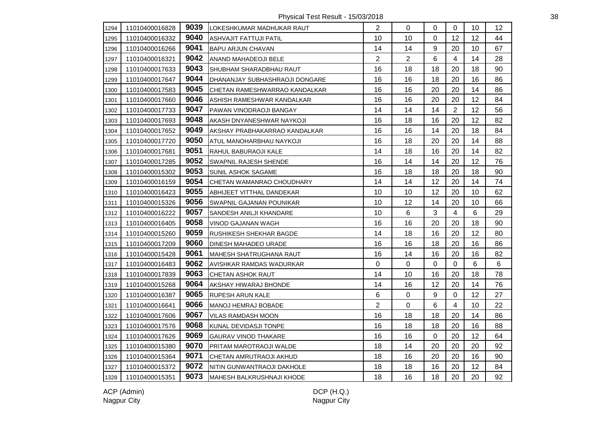Physical Test Result - 15/03/2018 38

| 1294 | 11010400016828 | 9039 | LOKESHKUMAR MADHUKAR RAUT       | $\overline{2}$ | $\Omega$       | $\Omega$         | $\Omega$                | 10      | 12 |
|------|----------------|------|---------------------------------|----------------|----------------|------------------|-------------------------|---------|----|
| 1295 | 11010400016332 | 9040 | ASHVAJIT FATTUJI PATIL          | 10             | 10             | 0                | 12                      | 12      | 44 |
| 1296 | 11010400016266 | 9041 | <b>BAPU ARJUN CHAVAN</b>        | 14             | 14             | 9                | 20                      | 10      | 67 |
| 1297 | 11010400016321 | 9042 | ANAND MAHADEOJI BELE            | $\overline{2}$ | $\overline{2}$ | 6                | $\overline{4}$          | 14      | 28 |
| 1298 | 11010400017633 | 9043 | SHUBHAM SHARADBHAU RAUT         | 16             | 18             | 18               | 20                      | 18      | 90 |
| 1299 | 11010400017647 | 9044 | DHANANJAY SUBHASHRAOJI DONGARE  | 16             | 16             | 18               | 20                      | 16      | 86 |
| 1300 | 11010400017583 | 9045 | CHETAN RAMESHWARRAO KANDALKAR   | 16             | 16             | 20               | 20                      | 14      | 86 |
| 1301 | 11010400017660 | 9046 | ASHISH RAMESHWAR KANDALKAR      | 16             | 16             | 20               | 20                      | 12      | 84 |
| 1302 | 11010400017733 | 9047 | PAWAN VINODRAOJI BANGAY         | 14             | 14             | 14               | $\overline{2}$          | 12      | 56 |
| 1303 | 11010400017693 | 9048 | AKASH DNYANESHWAR NAYKOJI       | 16             | 18             | 16               | 20                      | 12      | 82 |
| 1304 | 11010400017652 | 9049 | AKSHAY PRABHAKARRAO KANDALKAR   | 16             | 16             | 14               | 20                      | 18      | 84 |
| 1305 | 11010400017720 | 9050 | ATUL MANOHARBHAU NAYKOJI        | 16             | 18             | 20               | 20                      | 14      | 88 |
| 1306 | 11010400017681 | 9051 | RAHUL BABURAOJI KALE            | 14             | 18             | 16               | 20                      | 14      | 82 |
| 1307 | 11010400017285 | 9052 | <b>SWAPNIL RAJESH SHENDE</b>    | 16             | 14             | 14               | 20                      | 12      | 76 |
| 1308 | 11010400015302 | 9053 | SUNIL ASHOK SAGAME              | 16             | 18             | 18               | 20                      | 18      | 90 |
| 1309 | 11010400016159 | 9054 | CHETAN WAMANRAO CHOUDHARY       | 14             | 14             | 12               | 20                      | 14      | 74 |
| 1310 | 11010400016423 | 9055 | ABHIJEET VITTHAL DANDEKAR       | 10             | 10             | 12               | 20                      | 10      | 62 |
| 1311 | 11010400015326 | 9056 | <b>SWAPNIL GAJANAN POUNIKAR</b> | 10             | 12             | 14               | 20                      | 10      | 66 |
| 1312 | 11010400016222 | 9057 | <b>SANDESH ANILJI KHANDARE</b>  | 10             | $\,6\,$        | $\mathbf{3}$     | $\overline{\mathbf{4}}$ | 6       | 29 |
| 1313 | 11010400016405 | 9058 | <b>VINOD GAJANAN WAGH</b>       | 16             | 16             | 20               | 20                      | 18      | 90 |
| 1314 | 11010400015260 | 9059 | <b>RUSHIKESH SHEKHAR BAGDE</b>  | 14             | 18             | 16               | 20                      | 12      | 80 |
| 1315 | 11010400017209 | 9060 | <b>DINESH MAHADEO URADE</b>     | 16             | 16             | 18               | 20                      | 16      | 86 |
| 1316 | 11010400015428 | 9061 | <b>MAHESH SHATRUGHANA RAUT</b>  | 16             | 14             | 16               | 20                      | 16      | 82 |
| 1317 | 11010400016483 | 9062 | AVISHKAR RAMDAS WADURKAR        | 0              | 0              | 0                | $\mathbf 0$             | 6       | 6  |
| 1318 | 11010400017839 | 9063 | CHETAN ASHOK RAUT               | 14             | 10             | 16               | 20                      | 18      | 78 |
| 1319 | 11010400015268 | 9064 | AKSHAY HIWARAJ BHONDE           | 14             | 16             | 12               | 20                      | 14      | 76 |
| 1320 | 11010400016387 | 9065 | <b>RUPESH ARUN KALE</b>         | 6              | $\pmb{0}$      | $\boldsymbol{9}$ | $\mathbf 0$             | 12      | 27 |
| 1321 | 11010400016641 | 9066 | MANOJ HEMRAJ BOBADE             | $\overline{2}$ | $\pmb{0}$      | 6                | 4                       | 10      | 22 |
| 1322 | 11010400017606 | 9067 | <b>VILAS RAMDASH MOON</b>       | 16             | 18             | 18               | 20                      | 14      | 86 |
| 1323 | 11010400017576 | 9068 | KUNAL DEVIDASJI TONPE           | 16             | 18             | 18               | 20                      | 16      | 88 |
| 1324 | 11010400017626 | 9069 | <b>GAURAV VINOD THAKARE</b>     | 16             | 16             | $\mathsf 0$      | 20                      | 12      | 64 |
| 1325 | 11010400015380 | 9070 | PRITAM MAROTRAOJI WALDE         | 18             | 14             | 20               | 20                      | 20      | 92 |
| 1326 | 11010400015364 | 9071 | CHETAN AMRUTRAOJI AKHUD         | 18             | 16             | 20               | 20                      | 16      | 90 |
| 1327 | 11010400015372 | 9072 | NITIN GUNWANTRAOJI DAKHOLE      | 18             | 18             | 16               | 20                      | $12 \,$ | 84 |
| 1328 | 11010400015351 | 9073 | MAHESH BALKRUSHNAJI KHODE       | 18             | 16             | 18               | 20                      | 20      | 92 |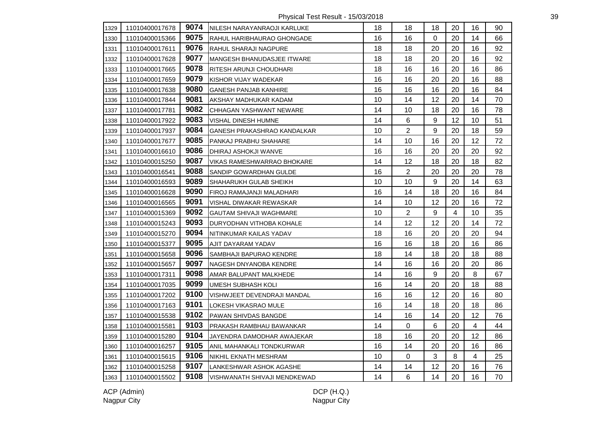Physical Test Result - 15/03/2018 39

| 1329 | 11010400017678 | 9074 | NILESH NARAYANRAOJI KARLUKE    | 18 | 18             | 18               | 20             | 16 | 90 |
|------|----------------|------|--------------------------------|----|----------------|------------------|----------------|----|----|
| 1330 | 11010400015366 | 9075 | RAHUL HARIBHAURAO GHONGADE     | 16 | 16             | 0                | 20             | 14 | 66 |
| 1331 | 11010400017611 | 9076 | RAHUL SHARAJI NAGPURE          | 18 | 18             | 20               | 20             | 16 | 92 |
| 1332 | 11010400017628 | 9077 | MANGESH BHANUDASJEE ITWARE     | 18 | 18             | 20               | 20             | 16 | 92 |
| 1333 | 11010400017665 | 9078 | RITESH ARUNJI CHOUDHARI        | 18 | 16             | 16               | 20             | 16 | 86 |
| 1334 | 11010400017659 | 9079 | KISHOR VIJAY WADEKAR           | 16 | 16             | 20               | 20             | 16 | 88 |
| 1335 | 11010400017638 | 9080 | <b>GANESH PANJAB KANHIRE</b>   | 16 | 16             | 16               | 20             | 16 | 84 |
| 1336 | 11010400017844 | 9081 | AKSHAY MADHUKAR KADAM          | 10 | 14             | 12               | 20             | 14 | 70 |
| 1337 | 11010400017781 | 9082 | CHHAGAN YASHWANT NEWARE        | 14 | 10             | 18               | 20             | 16 | 78 |
| 1338 | 11010400017922 | 9083 | VISHAL DINESH HUMNE            | 14 | 6              | $9\,$            | 12             | 10 | 51 |
| 1339 | 11010400017937 | 9084 | GANESH PRAKASHRAO KANDALKAR    | 10 | $\overline{2}$ | 9                | 20             | 18 | 59 |
| 1340 | 11010400017677 | 9085 | PANKAJ PRABHU SHAHARE          | 14 | 10             | 16               | 20             | 12 | 72 |
| 1341 | 11010400016610 | 9086 | DHIRAJ ASHOKJI WANVE           | 16 | 16             | 20               | 20             | 20 | 92 |
| 1342 | 11010400015250 | 9087 | VIKAS RAMESHWARRAO BHOKARE     | 14 | 12             | 18               | 20             | 18 | 82 |
| 1343 | 11010400016541 | 9088 | SANDIP GOWARDHAN GULDE         | 16 | $\overline{2}$ | 20               | 20             | 20 | 78 |
| 1344 | 11010400016593 | 9089 | SHAHARUKH GULAB SHEIKH         | 10 | 10             | 9                | 20             | 14 | 63 |
| 1345 | 11010400016628 | 9090 | FIROJ RAMAJANJI MALADHARI      | 16 | 14             | 18               | 20             | 16 | 84 |
| 1346 | 11010400016565 | 9091 | VISHAL DIWAKAR REWASKAR        | 14 | 10             | 12               | 20             | 16 | 72 |
| 1347 | 11010400015369 | 9092 | <b>GAUTAM SHIVAJI WAGHMARE</b> | 10 | $\overline{2}$ | $\boldsymbol{9}$ | $\overline{4}$ | 10 | 35 |
| 1348 | 11010400015243 | 9093 | DURYODHAN VITHOBA KOHALE       | 14 | 12             | 12               | 20             | 14 | 72 |
| 1349 | 11010400015270 | 9094 | NITINKUMAR KAILAS YADAV        | 18 | 16             | 20               | 20             | 20 | 94 |
| 1350 | 11010400015377 | 9095 | AJIT DAYARAM YADAV             | 16 | 16             | 18               | 20             | 16 | 86 |
| 1351 | 11010400015658 | 9096 | SAMBHAJI BAPURAO KENDRE        | 18 | 14             | 18               | 20             | 18 | 88 |
| 1352 | 11010400015657 | 9097 | NAGESH DNYANOBA KENDRE         | 14 | 16             | 16               | 20             | 20 | 86 |
| 1353 | 11010400017311 | 9098 | AMAR BALUPANT MALKHEDE         | 14 | 16             | 9                | 20             | 8  | 67 |
| 1354 | 11010400017035 | 9099 | UMESH SUBHASH KOLI             | 16 | 14             | 20               | 20             | 18 | 88 |
| 1355 | 11010400017202 | 9100 | VISHWJEET DEVENDRAJI MANDAL    | 16 | 16             | 12               | 20             | 16 | 80 |
| 1356 | 11010400017163 | 9101 | LOKESH VIKASRAO MULE           | 16 | 14             | 18               | 20             | 18 | 86 |
| 1357 | 11010400015538 | 9102 | PAWAN SHIVDAS BANGDE           | 14 | 16             | 14               | 20             | 12 | 76 |
| 1358 | 11010400015581 | 9103 | PRAKASH RAMBHAU BAWANKAR       | 14 | $\mathbf 0$    | 6                | 20             | 4  | 44 |
| 1359 | 11010400015280 | 9104 | JAYENDRA DAMODHAR AWAJEKAR     | 18 | 16             | 20               | 20             | 12 | 86 |
| 1360 | 11010400016257 | 9105 | ANIL MAHANKALI TONDKURWAR      | 16 | 14             | 20               | 20             | 16 | 86 |
| 1361 | 11010400015615 | 9106 | NIKHIL EKNATH MESHRAM          | 10 | $\mathbf 0$    | 3                | 8              | 4  | 25 |
| 1362 | 11010400015258 | 9107 | LANKESHWAR ASHOK AGASHE        | 14 | 14             | 12               | 20             | 16 | 76 |
| 1363 | 11010400015502 | 9108 | VISHWANATH SHIVAJI MENDKEWAD   | 14 | $6\phantom{1}$ | 14               | 20             | 16 | 70 |